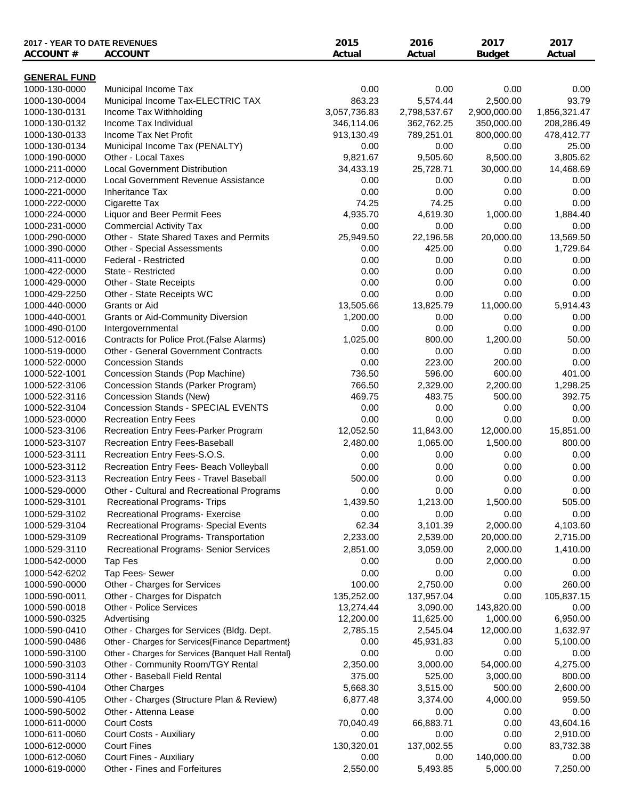| 2017 - YEAR TO DATE REVENUES         |                                                                                         | 2015         | 2016           | 2017             | 2017          |
|--------------------------------------|-----------------------------------------------------------------------------------------|--------------|----------------|------------------|---------------|
| <b>ACCOUNT#</b>                      | <b>ACCOUNT</b>                                                                          | Actual       | Actual         | <b>Budget</b>    | Actual        |
|                                      |                                                                                         |              |                |                  |               |
| <b>GENERAL FUND</b><br>1000-130-0000 | Municipal Income Tax                                                                    | 0.00         | 0.00           | 0.00             | 0.00          |
| 1000-130-0004                        | Municipal Income Tax-ELECTRIC TAX                                                       | 863.23       | 5,574.44       | 2,500.00         | 93.79         |
| 1000-130-0131                        | Income Tax Withholding                                                                  | 3,057,736.83 | 2,798,537.67   | 2,900,000.00     | 1,856,321.47  |
| 1000-130-0132                        | Income Tax Individual                                                                   | 346,114.06   | 362,762.25     | 350,000.00       | 208,286.49    |
| 1000-130-0133                        | Income Tax Net Profit                                                                   | 913,130.49   | 789,251.01     | 800,000.00       | 478,412.77    |
| 1000-130-0134                        | Municipal Income Tax (PENALTY)                                                          | 0.00         | 0.00           | 0.00             | 25.00         |
| 1000-190-0000                        | Other - Local Taxes                                                                     | 9,821.67     | 9,505.60       | 8,500.00         | 3,805.62      |
| 1000-211-0000                        | <b>Local Government Distribution</b>                                                    | 34,433.19    | 25,728.71      | 30,000.00        | 14,468.69     |
| 1000-212-0000                        | Local Government Revenue Assistance                                                     | 0.00         | 0.00           | 0.00             | 0.00          |
| 1000-221-0000                        | <b>Inheritance Tax</b>                                                                  | 0.00         | 0.00           | 0.00             | 0.00          |
| 1000-222-0000                        | Cigarette Tax                                                                           | 74.25        | 74.25          | 0.00             | 0.00          |
| 1000-224-0000                        | Liquor and Beer Permit Fees                                                             | 4,935.70     | 4,619.30       | 1,000.00         | 1,884.40      |
| 1000-231-0000                        | <b>Commercial Activity Tax</b>                                                          | 0.00         | 0.00           | 0.00             | 0.00          |
| 1000-290-0000                        | Other - State Shared Taxes and Permits                                                  | 25,949.50    | 22,196.58      | 20,000.00        | 13,569.50     |
| 1000-390-0000                        | Other - Special Assessments                                                             | 0.00         | 425.00         | 0.00             | 1,729.64      |
| 1000-411-0000                        | <b>Federal - Restricted</b>                                                             | 0.00         | 0.00           | 0.00             | 0.00          |
| 1000-422-0000                        | State - Restricted                                                                      | 0.00         | 0.00           | 0.00             | 0.00          |
| 1000-429-0000                        | Other - State Receipts                                                                  | 0.00         | 0.00           | 0.00             | 0.00          |
| 1000-429-2250                        | Other - State Receipts WC                                                               | 0.00         | 0.00           | 0.00             | 0.00          |
| 1000-440-0000                        | Grants or Aid                                                                           | 13,505.66    | 13,825.79      | 11,000.00        | 5,914.43      |
| 1000-440-0001                        | <b>Grants or Aid-Community Diversion</b>                                                | 1,200.00     | 0.00           | 0.00             | 0.00          |
| 1000-490-0100                        | Intergovernmental                                                                       | 0.00         | 0.00           | 0.00             | 0.00          |
| 1000-512-0016                        | Contracts for Police Prot.(False Alarms)<br><b>Other - General Government Contracts</b> | 1,025.00     | 800.00<br>0.00 | 1,200.00<br>0.00 | 50.00<br>0.00 |
| 1000-519-0000<br>1000-522-0000       | <b>Concession Stands</b>                                                                | 0.00<br>0.00 | 223.00         | 200.00           | 0.00          |
| 1000-522-1001                        | Concession Stands (Pop Machine)                                                         | 736.50       | 596.00         | 600.00           | 401.00        |
| 1000-522-3106                        | Concession Stands (Parker Program)                                                      | 766.50       | 2,329.00       | 2,200.00         | 1,298.25      |
| 1000-522-3116                        | Concession Stands (New)                                                                 | 469.75       | 483.75         | 500.00           | 392.75        |
| 1000-522-3104                        | <b>Concession Stands - SPECIAL EVENTS</b>                                               | 0.00         | 0.00           | 0.00             | 0.00          |
| 1000-523-0000                        | <b>Recreation Entry Fees</b>                                                            | 0.00         | 0.00           | 0.00             | 0.00          |
| 1000-523-3106                        | Recreation Entry Fees-Parker Program                                                    | 12,052.50    | 11,843.00      | 12,000.00        | 15,851.00     |
| 1000-523-3107                        | Recreation Entry Fees-Baseball                                                          | 2,480.00     | 1,065.00       | 1,500.00         | 800.00        |
| 1000-523-3111                        | Recreation Entry Fees-S.O.S.                                                            | 0.00         | 0.00           | 0.00             | 0.00          |
| 1000-523-3112                        | Recreation Entry Fees- Beach Volleyball                                                 | 0.00         | 0.00           | 0.00             | 0.00          |
| 1000-523-3113                        | Recreation Entry Fees - Travel Baseball                                                 | 500.00       | 0.00           | 0.00             | 0.00          |
| 1000-529-0000                        | Other - Cultural and Recreational Programs                                              | 0.00         | 0.00           | 0.00             | 0.00          |
| 1000-529-3101                        | <b>Recreational Programs- Trips</b>                                                     | 1,439.50     | 1,213.00       | 1,500.00         | 505.00        |
| 1000-529-3102                        | Recreational Programs- Exercise                                                         | 0.00         | 0.00           | 0.00             | 0.00          |
| 1000-529-3104                        | Recreational Programs- Special Events                                                   | 62.34        | 3,101.39       | 2,000.00         | 4,103.60      |
| 1000-529-3109                        | Recreational Programs- Transportation                                                   | 2,233.00     | 2,539.00       | 20,000.00        | 2,715.00      |
| 1000-529-3110                        | <b>Recreational Programs- Senior Services</b>                                           | 2,851.00     | 3,059.00       | 2,000.00         | 1,410.00      |
| 1000-542-0000                        | Tap Fes                                                                                 | 0.00         | 0.00           | 2,000.00         | 0.00          |
| 1000-542-6202                        | Tap Fees- Sewer                                                                         | 0.00         | 0.00           | 0.00             | 0.00          |
| 1000-590-0000                        | Other - Charges for Services                                                            | 100.00       | 2,750.00       | 0.00             | 260.00        |
| 1000-590-0011                        | Other - Charges for Dispatch                                                            | 135,252.00   | 137,957.04     | 0.00             | 105,837.15    |
| 1000-590-0018                        | <b>Other - Police Services</b>                                                          | 13,274.44    | 3,090.00       | 143,820.00       | 0.00          |
| 1000-590-0325                        | Advertising                                                                             | 12,200.00    | 11,625.00      | 1,000.00         | 6,950.00      |
| 1000-590-0410                        | Other - Charges for Services (Bldg. Dept.                                               | 2,785.15     | 2,545.04       | 12,000.00        | 1,632.97      |
| 1000-590-0486                        | Other - Charges for Services{Finance Department}                                        | 0.00         | 45,931.83      | 0.00             | 5,100.00      |
| 1000-590-3100                        | Other - Charges for Services {Banquet Hall Rental}                                      | 0.00         | 0.00           | 0.00             | 0.00          |
| 1000-590-3103                        | Other - Community Room/TGY Rental                                                       | 2,350.00     | 3,000.00       | 54,000.00        | 4,275.00      |
| 1000-590-3114                        | Other - Baseball Field Rental                                                           | 375.00       | 525.00         | 3,000.00         | 800.00        |
| 1000-590-4104                        | Other Charges                                                                           | 5,668.30     | 3,515.00       | 500.00           | 2,600.00      |
| 1000-590-4105                        | Other - Charges (Structure Plan & Review)                                               | 6,877.48     | 3,374.00       | 4,000.00         | 959.50        |
| 1000-590-5002                        | Other - Attenna Lease                                                                   | 0.00         | 0.00           | 0.00             | 0.00          |
| 1000-611-0000                        | <b>Court Costs</b>                                                                      | 70,040.49    | 66,883.71      | 0.00             | 43,604.16     |
| 1000-611-0060                        | Court Costs - Auxiliary                                                                 | 0.00         | 0.00           | 0.00             | 2,910.00      |
| 1000-612-0000                        | <b>Court Fines</b>                                                                      | 130,320.01   | 137,002.55     | 0.00             | 83,732.38     |
| 1000-612-0060                        | Court Fines - Auxiliary                                                                 | 0.00         | 0.00           | 140,000.00       | 0.00          |
| 1000-619-0000                        | Other - Fines and Forfeitures                                                           | 2,550.00     | 5,493.85       | 5,000.00         | 7,250.00      |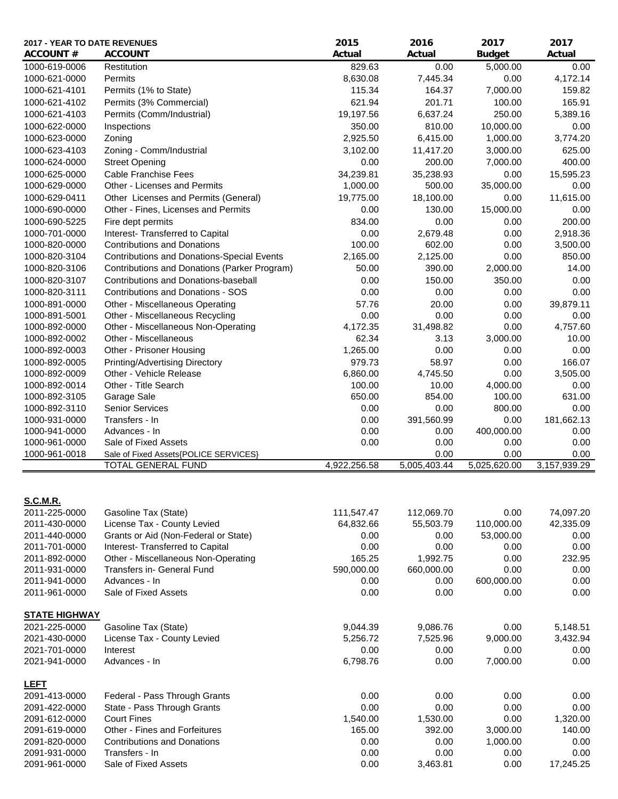| <b>ACCOUNT#</b><br><b>ACCOUNT</b><br>Actual<br>Actual<br><b>Actual</b><br><b>Budget</b><br>1000-619-0006<br>Restitution<br>829.63<br>0.00<br>5,000.00<br>0.00<br>8,630.08<br>7,445.34<br>0.00<br>4,172.14<br>1000-621-0000<br>Permits<br>Permits (1% to State)<br>115.34<br>164.37<br>7,000.00<br>159.82<br>1000-621-4101<br>201.71<br>165.91<br>1000-621-4102<br>Permits (3% Commercial)<br>621.94<br>100.00<br>6,637.24<br>5,389.16<br>1000-621-4103<br>Permits (Comm/Industrial)<br>19,197.56<br>250.00<br>1000-622-0000<br>350.00<br>810.00<br>10,000.00<br>0.00<br>Inspections<br>1000-623-0000<br>Zoning<br>2,925.50<br>6,415.00<br>3,774.20<br>1,000.00<br>1000-623-4103<br>Zoning - Comm/Industrial<br>3,102.00<br>3,000.00<br>625.00<br>11,417.20<br>400.00<br>1000-624-0000<br><b>Street Opening</b><br>0.00<br>200.00<br>7,000.00<br>34,239.81<br>15,595.23<br>1000-625-0000<br><b>Cable Franchise Fees</b><br>35,238.93<br>0.00<br>1000-629-0000<br>Other - Licenses and Permits<br>1,000.00<br>500.00<br>35,000.00<br>0.00<br>11,615.00<br>1000-629-0411<br>Other Licenses and Permits (General)<br>19,775.00<br>18,100.00<br>0.00<br>15,000.00<br>1000-690-0000<br>Other - Fines, Licenses and Permits<br>0.00<br>130.00<br>0.00<br>1000-690-5225<br>Fire dept permits<br>834.00<br>0.00<br>0.00<br>200.00<br>2,679.48<br>0.00<br>2,918.36<br>1000-701-0000<br>Interest- Transferred to Capital<br>0.00<br><b>Contributions and Donations</b><br>100.00<br>602.00<br>0.00<br>3,500.00<br>1000-820-0000<br>0.00<br>850.00<br><b>Contributions and Donations-Special Events</b><br>2,165.00<br>2,125.00<br>1000-820-3104<br>1000-820-3106<br>Contributions and Donations (Parker Program)<br>50.00<br>390.00<br>2,000.00<br>14.00<br>Contributions and Donations-baseball<br>1000-820-3107<br>0.00<br>150.00<br>350.00<br>0.00<br>1000-820-3111<br>Contributions and Donations - SOS<br>0.00<br>0.00<br>0.00<br>0.00<br>57.76<br>20.00<br>0.00<br>39,879.11<br>1000-891-0000<br>Other - Miscellaneous Operating<br>Other - Miscellaneous Recycling<br>0.00<br>0.00<br>0.00<br>0.00<br>1000-891-5001<br>Other - Miscellaneous Non-Operating<br>4,172.35<br>31,498.82<br>0.00<br>4,757.60<br>1000-892-0000<br>Other - Miscellaneous<br>62.34<br>3,000.00<br>10.00<br>1000-892-0002<br>3.13<br>1000-892-0003<br>Other - Prisoner Housing<br>1,265.00<br>0.00<br>0.00<br>0.00<br>1000-892-0005<br>Printing/Advertising Directory<br>979.73<br>58.97<br>0.00<br>166.07<br>0.00<br>1000-892-0009<br>Other - Vehicle Release<br>6,860.00<br>4,745.50<br>3,505.00<br>1000-892-0014<br>Other - Title Search<br>100.00<br>10.00<br>4,000.00<br>0.00<br>650.00<br>854.00<br>100.00<br>631.00<br>1000-892-3105<br>Garage Sale<br>0.00<br>1000-892-3110<br><b>Senior Services</b><br>0.00<br>800.00<br>0.00<br>181,662.13<br>Transfers - In<br>0.00<br>391,560.99<br>0.00<br>1000-931-0000<br>1000-941-0000<br>Advances - In<br>0.00<br>0.00<br>400,000.00<br>0.00<br>1000-961-0000<br>Sale of Fixed Assets<br>0.00<br>0.00<br>0.00<br>0.00<br>0.00<br>0.00<br>1000-961-0018<br>0.00<br>Sale of Fixed Assets{POLICE SERVICES}<br>4,922,256.58<br>5,005,403.44<br>5,025,620.00<br>3,157,939.29<br>TOTAL GENERAL FUND<br><u>S.C.M.R.</u><br>2011-225-0000<br>Gasoline Tax (State)<br>111,547.47<br>112,069.70<br>0.00<br>74,097.20<br>License Tax - County Levied<br>42,335.09<br>2011-430-0000<br>64,832.66<br>55,503.79<br>110,000.00<br>2011-440-0000<br>Grants or Aid (Non-Federal or State)<br>0.00<br>0.00<br>53,000.00<br>0.00<br>2011-701-0000<br>Interest- Transferred to Capital<br>0.00<br>0.00<br>0.00<br>0.00<br>Other - Miscellaneous Non-Operating<br>165.25<br>1,992.75<br>0.00<br>232.95<br>2011-892-0000<br>Transfers in- General Fund<br>590,000.00<br>660,000.00<br>0.00<br>0.00<br>2011-931-0000<br>Advances - In<br>0.00<br>0.00<br>600,000.00<br>0.00<br>2011-941-0000<br>2011-961-0000<br>Sale of Fixed Assets<br>0.00<br>0.00<br>0.00<br>0.00<br><b>STATE HIGHWAY</b><br>2021-225-0000<br>Gasoline Tax (State)<br>9,044.39<br>9,086.76<br>0.00<br>5,148.51<br>3,432.94<br>2021-430-0000<br>License Tax - County Levied<br>5,256.72<br>7,525.96<br>9,000.00<br>0.00<br>2021-701-0000<br>Interest<br>0.00<br>0.00<br>0.00<br>Advances - In<br>6,798.76<br>0.00<br>7,000.00<br>0.00<br>2021-941-0000<br><b>LEFT</b><br>2091-413-0000<br>Federal - Pass Through Grants<br>0.00<br>0.00<br>0.00<br>0.00<br>0.00<br>2091-422-0000<br>State - Pass Through Grants<br>0.00<br>0.00<br>0.00<br>0.00<br>2091-612-0000<br><b>Court Fines</b><br>1,540.00<br>1,530.00<br>1,320.00<br>Other - Fines and Forfeitures<br>165.00<br>392.00<br>3,000.00<br>140.00<br>2091-619-0000<br>2091-820-0000<br><b>Contributions and Donations</b><br>0.00<br>0.00<br>1,000.00<br>0.00<br>0.00<br>2091-931-0000<br>Transfers - In<br>0.00<br>0.00<br>0.00 | <b>2017 - YEAR TO DATE REVENUES</b> |                      | 2015 | 2016     | 2017 | 2017      |
|-------------------------------------------------------------------------------------------------------------------------------------------------------------------------------------------------------------------------------------------------------------------------------------------------------------------------------------------------------------------------------------------------------------------------------------------------------------------------------------------------------------------------------------------------------------------------------------------------------------------------------------------------------------------------------------------------------------------------------------------------------------------------------------------------------------------------------------------------------------------------------------------------------------------------------------------------------------------------------------------------------------------------------------------------------------------------------------------------------------------------------------------------------------------------------------------------------------------------------------------------------------------------------------------------------------------------------------------------------------------------------------------------------------------------------------------------------------------------------------------------------------------------------------------------------------------------------------------------------------------------------------------------------------------------------------------------------------------------------------------------------------------------------------------------------------------------------------------------------------------------------------------------------------------------------------------------------------------------------------------------------------------------------------------------------------------------------------------------------------------------------------------------------------------------------------------------------------------------------------------------------------------------------------------------------------------------------------------------------------------------------------------------------------------------------------------------------------------------------------------------------------------------------------------------------------------------------------------------------------------------------------------------------------------------------------------------------------------------------------------------------------------------------------------------------------------------------------------------------------------------------------------------------------------------------------------------------------------------------------------------------------------------------------------------------------------------------------------------------------------------------------------------------------------------------------------------------------------------------------------------------------------------------------------------------------------------------------------------------------------------------------------------------------------------------------------------------------------------------------------------------------------------------------------------------------------------------------------------------------------------------------------------------------------------------------------------------------------------------------------------------------------------------------------------------------------------------------------------------------------------------------------------------------------------------------------------------------------------------------------------------------------------------------------------------------------------------------------------------------------------------------------------------------------------------------------------------------------------------------------------------------------------------------------------------------------------------------------------------------------------------------------------------------------------------------------------------------------------------------------------------------------------------------------------------------------------------------------------------------------------------------------------------------------------------------------------------------------------------------------------------------------------------------------------------------------------------------------------------|-------------------------------------|----------------------|------|----------|------|-----------|
|                                                                                                                                                                                                                                                                                                                                                                                                                                                                                                                                                                                                                                                                                                                                                                                                                                                                                                                                                                                                                                                                                                                                                                                                                                                                                                                                                                                                                                                                                                                                                                                                                                                                                                                                                                                                                                                                                                                                                                                                                                                                                                                                                                                                                                                                                                                                                                                                                                                                                                                                                                                                                                                                                                                                                                                                                                                                                                                                                                                                                                                                                                                                                                                                                                                                                                                                                                                                                                                                                                                                                                                                                                                                                                                                                                                                                                                                                                                                                                                                                                                                                                                                                                                                                                                                                                                                                                                                                                                                                                                                                                                                                                                                                                                                                                                                                                                       |                                     |                      |      |          |      |           |
|                                                                                                                                                                                                                                                                                                                                                                                                                                                                                                                                                                                                                                                                                                                                                                                                                                                                                                                                                                                                                                                                                                                                                                                                                                                                                                                                                                                                                                                                                                                                                                                                                                                                                                                                                                                                                                                                                                                                                                                                                                                                                                                                                                                                                                                                                                                                                                                                                                                                                                                                                                                                                                                                                                                                                                                                                                                                                                                                                                                                                                                                                                                                                                                                                                                                                                                                                                                                                                                                                                                                                                                                                                                                                                                                                                                                                                                                                                                                                                                                                                                                                                                                                                                                                                                                                                                                                                                                                                                                                                                                                                                                                                                                                                                                                                                                                                                       |                                     |                      |      |          |      |           |
|                                                                                                                                                                                                                                                                                                                                                                                                                                                                                                                                                                                                                                                                                                                                                                                                                                                                                                                                                                                                                                                                                                                                                                                                                                                                                                                                                                                                                                                                                                                                                                                                                                                                                                                                                                                                                                                                                                                                                                                                                                                                                                                                                                                                                                                                                                                                                                                                                                                                                                                                                                                                                                                                                                                                                                                                                                                                                                                                                                                                                                                                                                                                                                                                                                                                                                                                                                                                                                                                                                                                                                                                                                                                                                                                                                                                                                                                                                                                                                                                                                                                                                                                                                                                                                                                                                                                                                                                                                                                                                                                                                                                                                                                                                                                                                                                                                                       |                                     |                      |      |          |      |           |
|                                                                                                                                                                                                                                                                                                                                                                                                                                                                                                                                                                                                                                                                                                                                                                                                                                                                                                                                                                                                                                                                                                                                                                                                                                                                                                                                                                                                                                                                                                                                                                                                                                                                                                                                                                                                                                                                                                                                                                                                                                                                                                                                                                                                                                                                                                                                                                                                                                                                                                                                                                                                                                                                                                                                                                                                                                                                                                                                                                                                                                                                                                                                                                                                                                                                                                                                                                                                                                                                                                                                                                                                                                                                                                                                                                                                                                                                                                                                                                                                                                                                                                                                                                                                                                                                                                                                                                                                                                                                                                                                                                                                                                                                                                                                                                                                                                                       |                                     |                      |      |          |      |           |
|                                                                                                                                                                                                                                                                                                                                                                                                                                                                                                                                                                                                                                                                                                                                                                                                                                                                                                                                                                                                                                                                                                                                                                                                                                                                                                                                                                                                                                                                                                                                                                                                                                                                                                                                                                                                                                                                                                                                                                                                                                                                                                                                                                                                                                                                                                                                                                                                                                                                                                                                                                                                                                                                                                                                                                                                                                                                                                                                                                                                                                                                                                                                                                                                                                                                                                                                                                                                                                                                                                                                                                                                                                                                                                                                                                                                                                                                                                                                                                                                                                                                                                                                                                                                                                                                                                                                                                                                                                                                                                                                                                                                                                                                                                                                                                                                                                                       |                                     |                      |      |          |      |           |
|                                                                                                                                                                                                                                                                                                                                                                                                                                                                                                                                                                                                                                                                                                                                                                                                                                                                                                                                                                                                                                                                                                                                                                                                                                                                                                                                                                                                                                                                                                                                                                                                                                                                                                                                                                                                                                                                                                                                                                                                                                                                                                                                                                                                                                                                                                                                                                                                                                                                                                                                                                                                                                                                                                                                                                                                                                                                                                                                                                                                                                                                                                                                                                                                                                                                                                                                                                                                                                                                                                                                                                                                                                                                                                                                                                                                                                                                                                                                                                                                                                                                                                                                                                                                                                                                                                                                                                                                                                                                                                                                                                                                                                                                                                                                                                                                                                                       |                                     |                      |      |          |      |           |
|                                                                                                                                                                                                                                                                                                                                                                                                                                                                                                                                                                                                                                                                                                                                                                                                                                                                                                                                                                                                                                                                                                                                                                                                                                                                                                                                                                                                                                                                                                                                                                                                                                                                                                                                                                                                                                                                                                                                                                                                                                                                                                                                                                                                                                                                                                                                                                                                                                                                                                                                                                                                                                                                                                                                                                                                                                                                                                                                                                                                                                                                                                                                                                                                                                                                                                                                                                                                                                                                                                                                                                                                                                                                                                                                                                                                                                                                                                                                                                                                                                                                                                                                                                                                                                                                                                                                                                                                                                                                                                                                                                                                                                                                                                                                                                                                                                                       |                                     |                      |      |          |      |           |
|                                                                                                                                                                                                                                                                                                                                                                                                                                                                                                                                                                                                                                                                                                                                                                                                                                                                                                                                                                                                                                                                                                                                                                                                                                                                                                                                                                                                                                                                                                                                                                                                                                                                                                                                                                                                                                                                                                                                                                                                                                                                                                                                                                                                                                                                                                                                                                                                                                                                                                                                                                                                                                                                                                                                                                                                                                                                                                                                                                                                                                                                                                                                                                                                                                                                                                                                                                                                                                                                                                                                                                                                                                                                                                                                                                                                                                                                                                                                                                                                                                                                                                                                                                                                                                                                                                                                                                                                                                                                                                                                                                                                                                                                                                                                                                                                                                                       |                                     |                      |      |          |      |           |
|                                                                                                                                                                                                                                                                                                                                                                                                                                                                                                                                                                                                                                                                                                                                                                                                                                                                                                                                                                                                                                                                                                                                                                                                                                                                                                                                                                                                                                                                                                                                                                                                                                                                                                                                                                                                                                                                                                                                                                                                                                                                                                                                                                                                                                                                                                                                                                                                                                                                                                                                                                                                                                                                                                                                                                                                                                                                                                                                                                                                                                                                                                                                                                                                                                                                                                                                                                                                                                                                                                                                                                                                                                                                                                                                                                                                                                                                                                                                                                                                                                                                                                                                                                                                                                                                                                                                                                                                                                                                                                                                                                                                                                                                                                                                                                                                                                                       |                                     |                      |      |          |      |           |
|                                                                                                                                                                                                                                                                                                                                                                                                                                                                                                                                                                                                                                                                                                                                                                                                                                                                                                                                                                                                                                                                                                                                                                                                                                                                                                                                                                                                                                                                                                                                                                                                                                                                                                                                                                                                                                                                                                                                                                                                                                                                                                                                                                                                                                                                                                                                                                                                                                                                                                                                                                                                                                                                                                                                                                                                                                                                                                                                                                                                                                                                                                                                                                                                                                                                                                                                                                                                                                                                                                                                                                                                                                                                                                                                                                                                                                                                                                                                                                                                                                                                                                                                                                                                                                                                                                                                                                                                                                                                                                                                                                                                                                                                                                                                                                                                                                                       |                                     |                      |      |          |      |           |
|                                                                                                                                                                                                                                                                                                                                                                                                                                                                                                                                                                                                                                                                                                                                                                                                                                                                                                                                                                                                                                                                                                                                                                                                                                                                                                                                                                                                                                                                                                                                                                                                                                                                                                                                                                                                                                                                                                                                                                                                                                                                                                                                                                                                                                                                                                                                                                                                                                                                                                                                                                                                                                                                                                                                                                                                                                                                                                                                                                                                                                                                                                                                                                                                                                                                                                                                                                                                                                                                                                                                                                                                                                                                                                                                                                                                                                                                                                                                                                                                                                                                                                                                                                                                                                                                                                                                                                                                                                                                                                                                                                                                                                                                                                                                                                                                                                                       |                                     |                      |      |          |      |           |
|                                                                                                                                                                                                                                                                                                                                                                                                                                                                                                                                                                                                                                                                                                                                                                                                                                                                                                                                                                                                                                                                                                                                                                                                                                                                                                                                                                                                                                                                                                                                                                                                                                                                                                                                                                                                                                                                                                                                                                                                                                                                                                                                                                                                                                                                                                                                                                                                                                                                                                                                                                                                                                                                                                                                                                                                                                                                                                                                                                                                                                                                                                                                                                                                                                                                                                                                                                                                                                                                                                                                                                                                                                                                                                                                                                                                                                                                                                                                                                                                                                                                                                                                                                                                                                                                                                                                                                                                                                                                                                                                                                                                                                                                                                                                                                                                                                                       |                                     |                      |      |          |      |           |
|                                                                                                                                                                                                                                                                                                                                                                                                                                                                                                                                                                                                                                                                                                                                                                                                                                                                                                                                                                                                                                                                                                                                                                                                                                                                                                                                                                                                                                                                                                                                                                                                                                                                                                                                                                                                                                                                                                                                                                                                                                                                                                                                                                                                                                                                                                                                                                                                                                                                                                                                                                                                                                                                                                                                                                                                                                                                                                                                                                                                                                                                                                                                                                                                                                                                                                                                                                                                                                                                                                                                                                                                                                                                                                                                                                                                                                                                                                                                                                                                                                                                                                                                                                                                                                                                                                                                                                                                                                                                                                                                                                                                                                                                                                                                                                                                                                                       |                                     |                      |      |          |      |           |
|                                                                                                                                                                                                                                                                                                                                                                                                                                                                                                                                                                                                                                                                                                                                                                                                                                                                                                                                                                                                                                                                                                                                                                                                                                                                                                                                                                                                                                                                                                                                                                                                                                                                                                                                                                                                                                                                                                                                                                                                                                                                                                                                                                                                                                                                                                                                                                                                                                                                                                                                                                                                                                                                                                                                                                                                                                                                                                                                                                                                                                                                                                                                                                                                                                                                                                                                                                                                                                                                                                                                                                                                                                                                                                                                                                                                                                                                                                                                                                                                                                                                                                                                                                                                                                                                                                                                                                                                                                                                                                                                                                                                                                                                                                                                                                                                                                                       |                                     |                      |      |          |      |           |
|                                                                                                                                                                                                                                                                                                                                                                                                                                                                                                                                                                                                                                                                                                                                                                                                                                                                                                                                                                                                                                                                                                                                                                                                                                                                                                                                                                                                                                                                                                                                                                                                                                                                                                                                                                                                                                                                                                                                                                                                                                                                                                                                                                                                                                                                                                                                                                                                                                                                                                                                                                                                                                                                                                                                                                                                                                                                                                                                                                                                                                                                                                                                                                                                                                                                                                                                                                                                                                                                                                                                                                                                                                                                                                                                                                                                                                                                                                                                                                                                                                                                                                                                                                                                                                                                                                                                                                                                                                                                                                                                                                                                                                                                                                                                                                                                                                                       |                                     |                      |      |          |      |           |
|                                                                                                                                                                                                                                                                                                                                                                                                                                                                                                                                                                                                                                                                                                                                                                                                                                                                                                                                                                                                                                                                                                                                                                                                                                                                                                                                                                                                                                                                                                                                                                                                                                                                                                                                                                                                                                                                                                                                                                                                                                                                                                                                                                                                                                                                                                                                                                                                                                                                                                                                                                                                                                                                                                                                                                                                                                                                                                                                                                                                                                                                                                                                                                                                                                                                                                                                                                                                                                                                                                                                                                                                                                                                                                                                                                                                                                                                                                                                                                                                                                                                                                                                                                                                                                                                                                                                                                                                                                                                                                                                                                                                                                                                                                                                                                                                                                                       |                                     |                      |      |          |      |           |
|                                                                                                                                                                                                                                                                                                                                                                                                                                                                                                                                                                                                                                                                                                                                                                                                                                                                                                                                                                                                                                                                                                                                                                                                                                                                                                                                                                                                                                                                                                                                                                                                                                                                                                                                                                                                                                                                                                                                                                                                                                                                                                                                                                                                                                                                                                                                                                                                                                                                                                                                                                                                                                                                                                                                                                                                                                                                                                                                                                                                                                                                                                                                                                                                                                                                                                                                                                                                                                                                                                                                                                                                                                                                                                                                                                                                                                                                                                                                                                                                                                                                                                                                                                                                                                                                                                                                                                                                                                                                                                                                                                                                                                                                                                                                                                                                                                                       |                                     |                      |      |          |      |           |
|                                                                                                                                                                                                                                                                                                                                                                                                                                                                                                                                                                                                                                                                                                                                                                                                                                                                                                                                                                                                                                                                                                                                                                                                                                                                                                                                                                                                                                                                                                                                                                                                                                                                                                                                                                                                                                                                                                                                                                                                                                                                                                                                                                                                                                                                                                                                                                                                                                                                                                                                                                                                                                                                                                                                                                                                                                                                                                                                                                                                                                                                                                                                                                                                                                                                                                                                                                                                                                                                                                                                                                                                                                                                                                                                                                                                                                                                                                                                                                                                                                                                                                                                                                                                                                                                                                                                                                                                                                                                                                                                                                                                                                                                                                                                                                                                                                                       |                                     |                      |      |          |      |           |
|                                                                                                                                                                                                                                                                                                                                                                                                                                                                                                                                                                                                                                                                                                                                                                                                                                                                                                                                                                                                                                                                                                                                                                                                                                                                                                                                                                                                                                                                                                                                                                                                                                                                                                                                                                                                                                                                                                                                                                                                                                                                                                                                                                                                                                                                                                                                                                                                                                                                                                                                                                                                                                                                                                                                                                                                                                                                                                                                                                                                                                                                                                                                                                                                                                                                                                                                                                                                                                                                                                                                                                                                                                                                                                                                                                                                                                                                                                                                                                                                                                                                                                                                                                                                                                                                                                                                                                                                                                                                                                                                                                                                                                                                                                                                                                                                                                                       |                                     |                      |      |          |      |           |
|                                                                                                                                                                                                                                                                                                                                                                                                                                                                                                                                                                                                                                                                                                                                                                                                                                                                                                                                                                                                                                                                                                                                                                                                                                                                                                                                                                                                                                                                                                                                                                                                                                                                                                                                                                                                                                                                                                                                                                                                                                                                                                                                                                                                                                                                                                                                                                                                                                                                                                                                                                                                                                                                                                                                                                                                                                                                                                                                                                                                                                                                                                                                                                                                                                                                                                                                                                                                                                                                                                                                                                                                                                                                                                                                                                                                                                                                                                                                                                                                                                                                                                                                                                                                                                                                                                                                                                                                                                                                                                                                                                                                                                                                                                                                                                                                                                                       |                                     |                      |      |          |      |           |
|                                                                                                                                                                                                                                                                                                                                                                                                                                                                                                                                                                                                                                                                                                                                                                                                                                                                                                                                                                                                                                                                                                                                                                                                                                                                                                                                                                                                                                                                                                                                                                                                                                                                                                                                                                                                                                                                                                                                                                                                                                                                                                                                                                                                                                                                                                                                                                                                                                                                                                                                                                                                                                                                                                                                                                                                                                                                                                                                                                                                                                                                                                                                                                                                                                                                                                                                                                                                                                                                                                                                                                                                                                                                                                                                                                                                                                                                                                                                                                                                                                                                                                                                                                                                                                                                                                                                                                                                                                                                                                                                                                                                                                                                                                                                                                                                                                                       |                                     |                      |      |          |      |           |
|                                                                                                                                                                                                                                                                                                                                                                                                                                                                                                                                                                                                                                                                                                                                                                                                                                                                                                                                                                                                                                                                                                                                                                                                                                                                                                                                                                                                                                                                                                                                                                                                                                                                                                                                                                                                                                                                                                                                                                                                                                                                                                                                                                                                                                                                                                                                                                                                                                                                                                                                                                                                                                                                                                                                                                                                                                                                                                                                                                                                                                                                                                                                                                                                                                                                                                                                                                                                                                                                                                                                                                                                                                                                                                                                                                                                                                                                                                                                                                                                                                                                                                                                                                                                                                                                                                                                                                                                                                                                                                                                                                                                                                                                                                                                                                                                                                                       |                                     |                      |      |          |      |           |
|                                                                                                                                                                                                                                                                                                                                                                                                                                                                                                                                                                                                                                                                                                                                                                                                                                                                                                                                                                                                                                                                                                                                                                                                                                                                                                                                                                                                                                                                                                                                                                                                                                                                                                                                                                                                                                                                                                                                                                                                                                                                                                                                                                                                                                                                                                                                                                                                                                                                                                                                                                                                                                                                                                                                                                                                                                                                                                                                                                                                                                                                                                                                                                                                                                                                                                                                                                                                                                                                                                                                                                                                                                                                                                                                                                                                                                                                                                                                                                                                                                                                                                                                                                                                                                                                                                                                                                                                                                                                                                                                                                                                                                                                                                                                                                                                                                                       |                                     |                      |      |          |      |           |
|                                                                                                                                                                                                                                                                                                                                                                                                                                                                                                                                                                                                                                                                                                                                                                                                                                                                                                                                                                                                                                                                                                                                                                                                                                                                                                                                                                                                                                                                                                                                                                                                                                                                                                                                                                                                                                                                                                                                                                                                                                                                                                                                                                                                                                                                                                                                                                                                                                                                                                                                                                                                                                                                                                                                                                                                                                                                                                                                                                                                                                                                                                                                                                                                                                                                                                                                                                                                                                                                                                                                                                                                                                                                                                                                                                                                                                                                                                                                                                                                                                                                                                                                                                                                                                                                                                                                                                                                                                                                                                                                                                                                                                                                                                                                                                                                                                                       |                                     |                      |      |          |      |           |
|                                                                                                                                                                                                                                                                                                                                                                                                                                                                                                                                                                                                                                                                                                                                                                                                                                                                                                                                                                                                                                                                                                                                                                                                                                                                                                                                                                                                                                                                                                                                                                                                                                                                                                                                                                                                                                                                                                                                                                                                                                                                                                                                                                                                                                                                                                                                                                                                                                                                                                                                                                                                                                                                                                                                                                                                                                                                                                                                                                                                                                                                                                                                                                                                                                                                                                                                                                                                                                                                                                                                                                                                                                                                                                                                                                                                                                                                                                                                                                                                                                                                                                                                                                                                                                                                                                                                                                                                                                                                                                                                                                                                                                                                                                                                                                                                                                                       |                                     |                      |      |          |      |           |
|                                                                                                                                                                                                                                                                                                                                                                                                                                                                                                                                                                                                                                                                                                                                                                                                                                                                                                                                                                                                                                                                                                                                                                                                                                                                                                                                                                                                                                                                                                                                                                                                                                                                                                                                                                                                                                                                                                                                                                                                                                                                                                                                                                                                                                                                                                                                                                                                                                                                                                                                                                                                                                                                                                                                                                                                                                                                                                                                                                                                                                                                                                                                                                                                                                                                                                                                                                                                                                                                                                                                                                                                                                                                                                                                                                                                                                                                                                                                                                                                                                                                                                                                                                                                                                                                                                                                                                                                                                                                                                                                                                                                                                                                                                                                                                                                                                                       |                                     |                      |      |          |      |           |
|                                                                                                                                                                                                                                                                                                                                                                                                                                                                                                                                                                                                                                                                                                                                                                                                                                                                                                                                                                                                                                                                                                                                                                                                                                                                                                                                                                                                                                                                                                                                                                                                                                                                                                                                                                                                                                                                                                                                                                                                                                                                                                                                                                                                                                                                                                                                                                                                                                                                                                                                                                                                                                                                                                                                                                                                                                                                                                                                                                                                                                                                                                                                                                                                                                                                                                                                                                                                                                                                                                                                                                                                                                                                                                                                                                                                                                                                                                                                                                                                                                                                                                                                                                                                                                                                                                                                                                                                                                                                                                                                                                                                                                                                                                                                                                                                                                                       |                                     |                      |      |          |      |           |
|                                                                                                                                                                                                                                                                                                                                                                                                                                                                                                                                                                                                                                                                                                                                                                                                                                                                                                                                                                                                                                                                                                                                                                                                                                                                                                                                                                                                                                                                                                                                                                                                                                                                                                                                                                                                                                                                                                                                                                                                                                                                                                                                                                                                                                                                                                                                                                                                                                                                                                                                                                                                                                                                                                                                                                                                                                                                                                                                                                                                                                                                                                                                                                                                                                                                                                                                                                                                                                                                                                                                                                                                                                                                                                                                                                                                                                                                                                                                                                                                                                                                                                                                                                                                                                                                                                                                                                                                                                                                                                                                                                                                                                                                                                                                                                                                                                                       |                                     |                      |      |          |      |           |
|                                                                                                                                                                                                                                                                                                                                                                                                                                                                                                                                                                                                                                                                                                                                                                                                                                                                                                                                                                                                                                                                                                                                                                                                                                                                                                                                                                                                                                                                                                                                                                                                                                                                                                                                                                                                                                                                                                                                                                                                                                                                                                                                                                                                                                                                                                                                                                                                                                                                                                                                                                                                                                                                                                                                                                                                                                                                                                                                                                                                                                                                                                                                                                                                                                                                                                                                                                                                                                                                                                                                                                                                                                                                                                                                                                                                                                                                                                                                                                                                                                                                                                                                                                                                                                                                                                                                                                                                                                                                                                                                                                                                                                                                                                                                                                                                                                                       |                                     |                      |      |          |      |           |
|                                                                                                                                                                                                                                                                                                                                                                                                                                                                                                                                                                                                                                                                                                                                                                                                                                                                                                                                                                                                                                                                                                                                                                                                                                                                                                                                                                                                                                                                                                                                                                                                                                                                                                                                                                                                                                                                                                                                                                                                                                                                                                                                                                                                                                                                                                                                                                                                                                                                                                                                                                                                                                                                                                                                                                                                                                                                                                                                                                                                                                                                                                                                                                                                                                                                                                                                                                                                                                                                                                                                                                                                                                                                                                                                                                                                                                                                                                                                                                                                                                                                                                                                                                                                                                                                                                                                                                                                                                                                                                                                                                                                                                                                                                                                                                                                                                                       |                                     |                      |      |          |      |           |
|                                                                                                                                                                                                                                                                                                                                                                                                                                                                                                                                                                                                                                                                                                                                                                                                                                                                                                                                                                                                                                                                                                                                                                                                                                                                                                                                                                                                                                                                                                                                                                                                                                                                                                                                                                                                                                                                                                                                                                                                                                                                                                                                                                                                                                                                                                                                                                                                                                                                                                                                                                                                                                                                                                                                                                                                                                                                                                                                                                                                                                                                                                                                                                                                                                                                                                                                                                                                                                                                                                                                                                                                                                                                                                                                                                                                                                                                                                                                                                                                                                                                                                                                                                                                                                                                                                                                                                                                                                                                                                                                                                                                                                                                                                                                                                                                                                                       |                                     |                      |      |          |      |           |
|                                                                                                                                                                                                                                                                                                                                                                                                                                                                                                                                                                                                                                                                                                                                                                                                                                                                                                                                                                                                                                                                                                                                                                                                                                                                                                                                                                                                                                                                                                                                                                                                                                                                                                                                                                                                                                                                                                                                                                                                                                                                                                                                                                                                                                                                                                                                                                                                                                                                                                                                                                                                                                                                                                                                                                                                                                                                                                                                                                                                                                                                                                                                                                                                                                                                                                                                                                                                                                                                                                                                                                                                                                                                                                                                                                                                                                                                                                                                                                                                                                                                                                                                                                                                                                                                                                                                                                                                                                                                                                                                                                                                                                                                                                                                                                                                                                                       |                                     |                      |      |          |      |           |
|                                                                                                                                                                                                                                                                                                                                                                                                                                                                                                                                                                                                                                                                                                                                                                                                                                                                                                                                                                                                                                                                                                                                                                                                                                                                                                                                                                                                                                                                                                                                                                                                                                                                                                                                                                                                                                                                                                                                                                                                                                                                                                                                                                                                                                                                                                                                                                                                                                                                                                                                                                                                                                                                                                                                                                                                                                                                                                                                                                                                                                                                                                                                                                                                                                                                                                                                                                                                                                                                                                                                                                                                                                                                                                                                                                                                                                                                                                                                                                                                                                                                                                                                                                                                                                                                                                                                                                                                                                                                                                                                                                                                                                                                                                                                                                                                                                                       |                                     |                      |      |          |      |           |
|                                                                                                                                                                                                                                                                                                                                                                                                                                                                                                                                                                                                                                                                                                                                                                                                                                                                                                                                                                                                                                                                                                                                                                                                                                                                                                                                                                                                                                                                                                                                                                                                                                                                                                                                                                                                                                                                                                                                                                                                                                                                                                                                                                                                                                                                                                                                                                                                                                                                                                                                                                                                                                                                                                                                                                                                                                                                                                                                                                                                                                                                                                                                                                                                                                                                                                                                                                                                                                                                                                                                                                                                                                                                                                                                                                                                                                                                                                                                                                                                                                                                                                                                                                                                                                                                                                                                                                                                                                                                                                                                                                                                                                                                                                                                                                                                                                                       |                                     |                      |      |          |      |           |
|                                                                                                                                                                                                                                                                                                                                                                                                                                                                                                                                                                                                                                                                                                                                                                                                                                                                                                                                                                                                                                                                                                                                                                                                                                                                                                                                                                                                                                                                                                                                                                                                                                                                                                                                                                                                                                                                                                                                                                                                                                                                                                                                                                                                                                                                                                                                                                                                                                                                                                                                                                                                                                                                                                                                                                                                                                                                                                                                                                                                                                                                                                                                                                                                                                                                                                                                                                                                                                                                                                                                                                                                                                                                                                                                                                                                                                                                                                                                                                                                                                                                                                                                                                                                                                                                                                                                                                                                                                                                                                                                                                                                                                                                                                                                                                                                                                                       |                                     |                      |      |          |      |           |
|                                                                                                                                                                                                                                                                                                                                                                                                                                                                                                                                                                                                                                                                                                                                                                                                                                                                                                                                                                                                                                                                                                                                                                                                                                                                                                                                                                                                                                                                                                                                                                                                                                                                                                                                                                                                                                                                                                                                                                                                                                                                                                                                                                                                                                                                                                                                                                                                                                                                                                                                                                                                                                                                                                                                                                                                                                                                                                                                                                                                                                                                                                                                                                                                                                                                                                                                                                                                                                                                                                                                                                                                                                                                                                                                                                                                                                                                                                                                                                                                                                                                                                                                                                                                                                                                                                                                                                                                                                                                                                                                                                                                                                                                                                                                                                                                                                                       |                                     |                      |      |          |      |           |
|                                                                                                                                                                                                                                                                                                                                                                                                                                                                                                                                                                                                                                                                                                                                                                                                                                                                                                                                                                                                                                                                                                                                                                                                                                                                                                                                                                                                                                                                                                                                                                                                                                                                                                                                                                                                                                                                                                                                                                                                                                                                                                                                                                                                                                                                                                                                                                                                                                                                                                                                                                                                                                                                                                                                                                                                                                                                                                                                                                                                                                                                                                                                                                                                                                                                                                                                                                                                                                                                                                                                                                                                                                                                                                                                                                                                                                                                                                                                                                                                                                                                                                                                                                                                                                                                                                                                                                                                                                                                                                                                                                                                                                                                                                                                                                                                                                                       |                                     |                      |      |          |      |           |
|                                                                                                                                                                                                                                                                                                                                                                                                                                                                                                                                                                                                                                                                                                                                                                                                                                                                                                                                                                                                                                                                                                                                                                                                                                                                                                                                                                                                                                                                                                                                                                                                                                                                                                                                                                                                                                                                                                                                                                                                                                                                                                                                                                                                                                                                                                                                                                                                                                                                                                                                                                                                                                                                                                                                                                                                                                                                                                                                                                                                                                                                                                                                                                                                                                                                                                                                                                                                                                                                                                                                                                                                                                                                                                                                                                                                                                                                                                                                                                                                                                                                                                                                                                                                                                                                                                                                                                                                                                                                                                                                                                                                                                                                                                                                                                                                                                                       |                                     |                      |      |          |      |           |
|                                                                                                                                                                                                                                                                                                                                                                                                                                                                                                                                                                                                                                                                                                                                                                                                                                                                                                                                                                                                                                                                                                                                                                                                                                                                                                                                                                                                                                                                                                                                                                                                                                                                                                                                                                                                                                                                                                                                                                                                                                                                                                                                                                                                                                                                                                                                                                                                                                                                                                                                                                                                                                                                                                                                                                                                                                                                                                                                                                                                                                                                                                                                                                                                                                                                                                                                                                                                                                                                                                                                                                                                                                                                                                                                                                                                                                                                                                                                                                                                                                                                                                                                                                                                                                                                                                                                                                                                                                                                                                                                                                                                                                                                                                                                                                                                                                                       |                                     |                      |      |          |      |           |
|                                                                                                                                                                                                                                                                                                                                                                                                                                                                                                                                                                                                                                                                                                                                                                                                                                                                                                                                                                                                                                                                                                                                                                                                                                                                                                                                                                                                                                                                                                                                                                                                                                                                                                                                                                                                                                                                                                                                                                                                                                                                                                                                                                                                                                                                                                                                                                                                                                                                                                                                                                                                                                                                                                                                                                                                                                                                                                                                                                                                                                                                                                                                                                                                                                                                                                                                                                                                                                                                                                                                                                                                                                                                                                                                                                                                                                                                                                                                                                                                                                                                                                                                                                                                                                                                                                                                                                                                                                                                                                                                                                                                                                                                                                                                                                                                                                                       |                                     |                      |      |          |      |           |
|                                                                                                                                                                                                                                                                                                                                                                                                                                                                                                                                                                                                                                                                                                                                                                                                                                                                                                                                                                                                                                                                                                                                                                                                                                                                                                                                                                                                                                                                                                                                                                                                                                                                                                                                                                                                                                                                                                                                                                                                                                                                                                                                                                                                                                                                                                                                                                                                                                                                                                                                                                                                                                                                                                                                                                                                                                                                                                                                                                                                                                                                                                                                                                                                                                                                                                                                                                                                                                                                                                                                                                                                                                                                                                                                                                                                                                                                                                                                                                                                                                                                                                                                                                                                                                                                                                                                                                                                                                                                                                                                                                                                                                                                                                                                                                                                                                                       |                                     |                      |      |          |      |           |
|                                                                                                                                                                                                                                                                                                                                                                                                                                                                                                                                                                                                                                                                                                                                                                                                                                                                                                                                                                                                                                                                                                                                                                                                                                                                                                                                                                                                                                                                                                                                                                                                                                                                                                                                                                                                                                                                                                                                                                                                                                                                                                                                                                                                                                                                                                                                                                                                                                                                                                                                                                                                                                                                                                                                                                                                                                                                                                                                                                                                                                                                                                                                                                                                                                                                                                                                                                                                                                                                                                                                                                                                                                                                                                                                                                                                                                                                                                                                                                                                                                                                                                                                                                                                                                                                                                                                                                                                                                                                                                                                                                                                                                                                                                                                                                                                                                                       |                                     |                      |      |          |      |           |
|                                                                                                                                                                                                                                                                                                                                                                                                                                                                                                                                                                                                                                                                                                                                                                                                                                                                                                                                                                                                                                                                                                                                                                                                                                                                                                                                                                                                                                                                                                                                                                                                                                                                                                                                                                                                                                                                                                                                                                                                                                                                                                                                                                                                                                                                                                                                                                                                                                                                                                                                                                                                                                                                                                                                                                                                                                                                                                                                                                                                                                                                                                                                                                                                                                                                                                                                                                                                                                                                                                                                                                                                                                                                                                                                                                                                                                                                                                                                                                                                                                                                                                                                                                                                                                                                                                                                                                                                                                                                                                                                                                                                                                                                                                                                                                                                                                                       |                                     |                      |      |          |      |           |
|                                                                                                                                                                                                                                                                                                                                                                                                                                                                                                                                                                                                                                                                                                                                                                                                                                                                                                                                                                                                                                                                                                                                                                                                                                                                                                                                                                                                                                                                                                                                                                                                                                                                                                                                                                                                                                                                                                                                                                                                                                                                                                                                                                                                                                                                                                                                                                                                                                                                                                                                                                                                                                                                                                                                                                                                                                                                                                                                                                                                                                                                                                                                                                                                                                                                                                                                                                                                                                                                                                                                                                                                                                                                                                                                                                                                                                                                                                                                                                                                                                                                                                                                                                                                                                                                                                                                                                                                                                                                                                                                                                                                                                                                                                                                                                                                                                                       |                                     |                      |      |          |      |           |
|                                                                                                                                                                                                                                                                                                                                                                                                                                                                                                                                                                                                                                                                                                                                                                                                                                                                                                                                                                                                                                                                                                                                                                                                                                                                                                                                                                                                                                                                                                                                                                                                                                                                                                                                                                                                                                                                                                                                                                                                                                                                                                                                                                                                                                                                                                                                                                                                                                                                                                                                                                                                                                                                                                                                                                                                                                                                                                                                                                                                                                                                                                                                                                                                                                                                                                                                                                                                                                                                                                                                                                                                                                                                                                                                                                                                                                                                                                                                                                                                                                                                                                                                                                                                                                                                                                                                                                                                                                                                                                                                                                                                                                                                                                                                                                                                                                                       |                                     |                      |      |          |      |           |
|                                                                                                                                                                                                                                                                                                                                                                                                                                                                                                                                                                                                                                                                                                                                                                                                                                                                                                                                                                                                                                                                                                                                                                                                                                                                                                                                                                                                                                                                                                                                                                                                                                                                                                                                                                                                                                                                                                                                                                                                                                                                                                                                                                                                                                                                                                                                                                                                                                                                                                                                                                                                                                                                                                                                                                                                                                                                                                                                                                                                                                                                                                                                                                                                                                                                                                                                                                                                                                                                                                                                                                                                                                                                                                                                                                                                                                                                                                                                                                                                                                                                                                                                                                                                                                                                                                                                                                                                                                                                                                                                                                                                                                                                                                                                                                                                                                                       |                                     |                      |      |          |      |           |
|                                                                                                                                                                                                                                                                                                                                                                                                                                                                                                                                                                                                                                                                                                                                                                                                                                                                                                                                                                                                                                                                                                                                                                                                                                                                                                                                                                                                                                                                                                                                                                                                                                                                                                                                                                                                                                                                                                                                                                                                                                                                                                                                                                                                                                                                                                                                                                                                                                                                                                                                                                                                                                                                                                                                                                                                                                                                                                                                                                                                                                                                                                                                                                                                                                                                                                                                                                                                                                                                                                                                                                                                                                                                                                                                                                                                                                                                                                                                                                                                                                                                                                                                                                                                                                                                                                                                                                                                                                                                                                                                                                                                                                                                                                                                                                                                                                                       |                                     |                      |      |          |      |           |
|                                                                                                                                                                                                                                                                                                                                                                                                                                                                                                                                                                                                                                                                                                                                                                                                                                                                                                                                                                                                                                                                                                                                                                                                                                                                                                                                                                                                                                                                                                                                                                                                                                                                                                                                                                                                                                                                                                                                                                                                                                                                                                                                                                                                                                                                                                                                                                                                                                                                                                                                                                                                                                                                                                                                                                                                                                                                                                                                                                                                                                                                                                                                                                                                                                                                                                                                                                                                                                                                                                                                                                                                                                                                                                                                                                                                                                                                                                                                                                                                                                                                                                                                                                                                                                                                                                                                                                                                                                                                                                                                                                                                                                                                                                                                                                                                                                                       |                                     |                      |      |          |      |           |
|                                                                                                                                                                                                                                                                                                                                                                                                                                                                                                                                                                                                                                                                                                                                                                                                                                                                                                                                                                                                                                                                                                                                                                                                                                                                                                                                                                                                                                                                                                                                                                                                                                                                                                                                                                                                                                                                                                                                                                                                                                                                                                                                                                                                                                                                                                                                                                                                                                                                                                                                                                                                                                                                                                                                                                                                                                                                                                                                                                                                                                                                                                                                                                                                                                                                                                                                                                                                                                                                                                                                                                                                                                                                                                                                                                                                                                                                                                                                                                                                                                                                                                                                                                                                                                                                                                                                                                                                                                                                                                                                                                                                                                                                                                                                                                                                                                                       |                                     |                      |      |          |      |           |
|                                                                                                                                                                                                                                                                                                                                                                                                                                                                                                                                                                                                                                                                                                                                                                                                                                                                                                                                                                                                                                                                                                                                                                                                                                                                                                                                                                                                                                                                                                                                                                                                                                                                                                                                                                                                                                                                                                                                                                                                                                                                                                                                                                                                                                                                                                                                                                                                                                                                                                                                                                                                                                                                                                                                                                                                                                                                                                                                                                                                                                                                                                                                                                                                                                                                                                                                                                                                                                                                                                                                                                                                                                                                                                                                                                                                                                                                                                                                                                                                                                                                                                                                                                                                                                                                                                                                                                                                                                                                                                                                                                                                                                                                                                                                                                                                                                                       |                                     |                      |      |          |      |           |
|                                                                                                                                                                                                                                                                                                                                                                                                                                                                                                                                                                                                                                                                                                                                                                                                                                                                                                                                                                                                                                                                                                                                                                                                                                                                                                                                                                                                                                                                                                                                                                                                                                                                                                                                                                                                                                                                                                                                                                                                                                                                                                                                                                                                                                                                                                                                                                                                                                                                                                                                                                                                                                                                                                                                                                                                                                                                                                                                                                                                                                                                                                                                                                                                                                                                                                                                                                                                                                                                                                                                                                                                                                                                                                                                                                                                                                                                                                                                                                                                                                                                                                                                                                                                                                                                                                                                                                                                                                                                                                                                                                                                                                                                                                                                                                                                                                                       |                                     |                      |      |          |      |           |
|                                                                                                                                                                                                                                                                                                                                                                                                                                                                                                                                                                                                                                                                                                                                                                                                                                                                                                                                                                                                                                                                                                                                                                                                                                                                                                                                                                                                                                                                                                                                                                                                                                                                                                                                                                                                                                                                                                                                                                                                                                                                                                                                                                                                                                                                                                                                                                                                                                                                                                                                                                                                                                                                                                                                                                                                                                                                                                                                                                                                                                                                                                                                                                                                                                                                                                                                                                                                                                                                                                                                                                                                                                                                                                                                                                                                                                                                                                                                                                                                                                                                                                                                                                                                                                                                                                                                                                                                                                                                                                                                                                                                                                                                                                                                                                                                                                                       |                                     |                      |      |          |      |           |
|                                                                                                                                                                                                                                                                                                                                                                                                                                                                                                                                                                                                                                                                                                                                                                                                                                                                                                                                                                                                                                                                                                                                                                                                                                                                                                                                                                                                                                                                                                                                                                                                                                                                                                                                                                                                                                                                                                                                                                                                                                                                                                                                                                                                                                                                                                                                                                                                                                                                                                                                                                                                                                                                                                                                                                                                                                                                                                                                                                                                                                                                                                                                                                                                                                                                                                                                                                                                                                                                                                                                                                                                                                                                                                                                                                                                                                                                                                                                                                                                                                                                                                                                                                                                                                                                                                                                                                                                                                                                                                                                                                                                                                                                                                                                                                                                                                                       |                                     |                      |      |          |      |           |
|                                                                                                                                                                                                                                                                                                                                                                                                                                                                                                                                                                                                                                                                                                                                                                                                                                                                                                                                                                                                                                                                                                                                                                                                                                                                                                                                                                                                                                                                                                                                                                                                                                                                                                                                                                                                                                                                                                                                                                                                                                                                                                                                                                                                                                                                                                                                                                                                                                                                                                                                                                                                                                                                                                                                                                                                                                                                                                                                                                                                                                                                                                                                                                                                                                                                                                                                                                                                                                                                                                                                                                                                                                                                                                                                                                                                                                                                                                                                                                                                                                                                                                                                                                                                                                                                                                                                                                                                                                                                                                                                                                                                                                                                                                                                                                                                                                                       |                                     |                      |      |          |      |           |
|                                                                                                                                                                                                                                                                                                                                                                                                                                                                                                                                                                                                                                                                                                                                                                                                                                                                                                                                                                                                                                                                                                                                                                                                                                                                                                                                                                                                                                                                                                                                                                                                                                                                                                                                                                                                                                                                                                                                                                                                                                                                                                                                                                                                                                                                                                                                                                                                                                                                                                                                                                                                                                                                                                                                                                                                                                                                                                                                                                                                                                                                                                                                                                                                                                                                                                                                                                                                                                                                                                                                                                                                                                                                                                                                                                                                                                                                                                                                                                                                                                                                                                                                                                                                                                                                                                                                                                                                                                                                                                                                                                                                                                                                                                                                                                                                                                                       |                                     |                      |      |          |      |           |
|                                                                                                                                                                                                                                                                                                                                                                                                                                                                                                                                                                                                                                                                                                                                                                                                                                                                                                                                                                                                                                                                                                                                                                                                                                                                                                                                                                                                                                                                                                                                                                                                                                                                                                                                                                                                                                                                                                                                                                                                                                                                                                                                                                                                                                                                                                                                                                                                                                                                                                                                                                                                                                                                                                                                                                                                                                                                                                                                                                                                                                                                                                                                                                                                                                                                                                                                                                                                                                                                                                                                                                                                                                                                                                                                                                                                                                                                                                                                                                                                                                                                                                                                                                                                                                                                                                                                                                                                                                                                                                                                                                                                                                                                                                                                                                                                                                                       |                                     |                      |      |          |      |           |
|                                                                                                                                                                                                                                                                                                                                                                                                                                                                                                                                                                                                                                                                                                                                                                                                                                                                                                                                                                                                                                                                                                                                                                                                                                                                                                                                                                                                                                                                                                                                                                                                                                                                                                                                                                                                                                                                                                                                                                                                                                                                                                                                                                                                                                                                                                                                                                                                                                                                                                                                                                                                                                                                                                                                                                                                                                                                                                                                                                                                                                                                                                                                                                                                                                                                                                                                                                                                                                                                                                                                                                                                                                                                                                                                                                                                                                                                                                                                                                                                                                                                                                                                                                                                                                                                                                                                                                                                                                                                                                                                                                                                                                                                                                                                                                                                                                                       |                                     |                      |      |          |      |           |
|                                                                                                                                                                                                                                                                                                                                                                                                                                                                                                                                                                                                                                                                                                                                                                                                                                                                                                                                                                                                                                                                                                                                                                                                                                                                                                                                                                                                                                                                                                                                                                                                                                                                                                                                                                                                                                                                                                                                                                                                                                                                                                                                                                                                                                                                                                                                                                                                                                                                                                                                                                                                                                                                                                                                                                                                                                                                                                                                                                                                                                                                                                                                                                                                                                                                                                                                                                                                                                                                                                                                                                                                                                                                                                                                                                                                                                                                                                                                                                                                                                                                                                                                                                                                                                                                                                                                                                                                                                                                                                                                                                                                                                                                                                                                                                                                                                                       |                                     |                      |      |          |      |           |
|                                                                                                                                                                                                                                                                                                                                                                                                                                                                                                                                                                                                                                                                                                                                                                                                                                                                                                                                                                                                                                                                                                                                                                                                                                                                                                                                                                                                                                                                                                                                                                                                                                                                                                                                                                                                                                                                                                                                                                                                                                                                                                                                                                                                                                                                                                                                                                                                                                                                                                                                                                                                                                                                                                                                                                                                                                                                                                                                                                                                                                                                                                                                                                                                                                                                                                                                                                                                                                                                                                                                                                                                                                                                                                                                                                                                                                                                                                                                                                                                                                                                                                                                                                                                                                                                                                                                                                                                                                                                                                                                                                                                                                                                                                                                                                                                                                                       | 2091-961-0000                       | Sale of Fixed Assets | 0.00 | 3,463.81 | 0.00 | 17,245.25 |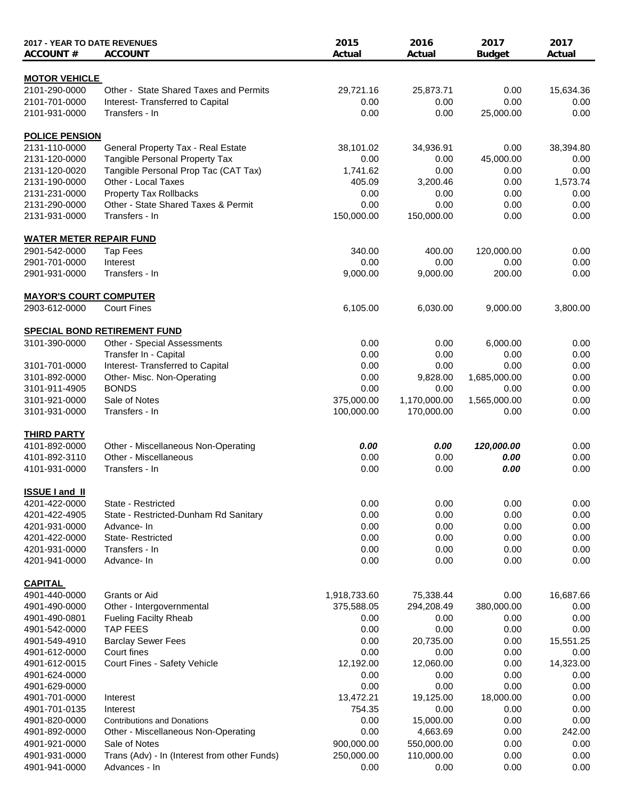| 2017 - YEAR TO DATE REVENUES<br><b>ACCOUNT#</b> | <b>ACCOUNT</b>                               | 2015<br>Actual | 2016<br>Actual | 2017<br><b>Budget</b> | 2017<br>Actual |
|-------------------------------------------------|----------------------------------------------|----------------|----------------|-----------------------|----------------|
| <b>MOTOR VEHICLE</b>                            |                                              |                |                |                       |                |
| 2101-290-0000                                   | Other - State Shared Taxes and Permits       | 29,721.16      | 25,873.71      | 0.00                  | 15,634.36      |
| 2101-701-0000                                   | Interest-Transferred to Capital              | 0.00           | 0.00           | 0.00                  | 0.00           |
| 2101-931-0000                                   | Transfers - In                               | 0.00           | 0.00           | 25,000.00             | 0.00           |
| <b>POLICE PENSION</b>                           |                                              |                |                |                       |                |
| 2131-110-0000                                   | General Property Tax - Real Estate           | 38,101.02      | 34,936.91      | 0.00                  | 38,394.80      |
| 2131-120-0000                                   | Tangible Personal Property Tax               | 0.00           | 0.00           | 45,000.00             | 0.00           |
| 2131-120-0020                                   | Tangible Personal Prop Tac (CAT Tax)         | 1,741.62       | 0.00           | 0.00                  | 0.00           |
| 2131-190-0000                                   | Other - Local Taxes                          | 405.09         | 3,200.46       | 0.00                  | 1,573.74       |
| 2131-231-0000                                   | <b>Property Tax Rollbacks</b>                | 0.00           | 0.00           | 0.00                  | 0.00           |
| 2131-290-0000                                   | Other - State Shared Taxes & Permit          | 0.00           | 0.00           | 0.00                  | 0.00           |
| 2131-931-0000                                   | Transfers - In                               | 150,000.00     | 150,000.00     | 0.00                  | 0.00           |
| <b>WATER METER REPAIR FUND</b>                  |                                              |                |                |                       |                |
| 2901-542-0000                                   | <b>Tap Fees</b>                              | 340.00         | 400.00         | 120,000.00            | 0.00           |
| 2901-701-0000                                   | Interest                                     | 0.00           | 0.00           | 0.00                  | 0.00           |
| 2901-931-0000                                   | Transfers - In                               | 9,000.00       | 9,000.00       | 200.00                | 0.00           |
| <b>MAYOR'S COURT COMPUTER</b>                   |                                              |                |                |                       |                |
| 2903-612-0000                                   | <b>Court Fines</b>                           | 6,105.00       | 6,030.00       | 9,000.00              | 3,800.00       |
|                                                 | <b>SPECIAL BOND RETIREMENT FUND</b>          |                |                |                       |                |
| 3101-390-0000                                   | Other - Special Assessments                  | 0.00           | 0.00           | 6,000.00              | 0.00           |
|                                                 | Transfer In - Capital                        | 0.00           | 0.00           | 0.00                  | 0.00           |
| 3101-701-0000                                   | Interest- Transferred to Capital             | 0.00           | 0.00           | 0.00                  | 0.00           |
| 3101-892-0000                                   | Other- Misc. Non-Operating                   | 0.00           | 9,828.00       | 1,685,000.00          | 0.00           |
| 3101-911-4905                                   | <b>BONDS</b>                                 | 0.00           | 0.00           | 0.00                  | 0.00           |
| 3101-921-0000                                   | Sale of Notes                                | 375,000.00     | 1,170,000.00   | 1,565,000.00          | 0.00           |
| 3101-931-0000                                   | Transfers - In                               | 100,000.00     | 170,000.00     | 0.00                  | 0.00           |
| <b>THIRD PARTY</b>                              |                                              |                |                |                       |                |
| 4101-892-0000                                   | Other - Miscellaneous Non-Operating          | 0.00           | 0.00           | 120,000.00            | 0.00           |
| 4101-892-3110                                   | Other - Miscellaneous                        | 0.00           | 0.00           | 0.00                  | 0.00           |
| 4101-931-0000                                   | Transfers - In                               | 0.00           | 0.00           | 0.00                  | 0.00           |
| <b>ISSUE Land II</b>                            |                                              |                |                |                       |                |
| 4201-422-0000                                   | State - Restricted                           | 0.00           | 0.00           | 0.00                  | 0.00           |
| 4201-422-4905                                   | State - Restricted-Dunham Rd Sanitary        | 0.00           | 0.00           | 0.00                  | 0.00           |
| 4201-931-0000                                   | Advance- In                                  | 0.00           | 0.00           | 0.00                  | 0.00           |
| 4201-422-0000                                   | State-Restricted                             | 0.00           | 0.00           | 0.00                  | 0.00           |
| 4201-931-0000                                   | Transfers - In                               | 0.00           | 0.00           | 0.00                  | 0.00           |
| 4201-941-0000                                   | Advance- In                                  | 0.00           | 0.00           | 0.00                  | 0.00           |
| <b>CAPITAL</b>                                  |                                              |                |                |                       |                |
| 4901-440-0000                                   | Grants or Aid                                | 1,918,733.60   | 75,338.44      | 0.00                  | 16,687.66      |
| 4901-490-0000                                   | Other - Intergovernmental                    | 375,588.05     | 294,208.49     | 380,000.00            | 0.00           |
| 4901-490-0801                                   | <b>Fueling Facilty Rheab</b>                 | 0.00           | 0.00           | 0.00                  | 0.00           |
| 4901-542-0000                                   | <b>TAP FEES</b>                              | 0.00           | 0.00           | 0.00                  | 0.00           |
| 4901-549-4910                                   | <b>Barclay Sewer Fees</b>                    | 0.00           | 20,735.00      | 0.00                  | 15,551.25      |
| 4901-612-0000                                   | Court fines                                  | 0.00           | 0.00           | 0.00                  | 0.00           |
| 4901-612-0015                                   | Court Fines - Safety Vehicle                 | 12,192.00      | 12,060.00      | 0.00                  | 14,323.00      |
| 4901-624-0000                                   |                                              | 0.00           | 0.00           | 0.00                  | 0.00           |
| 4901-629-0000                                   |                                              | 0.00           | 0.00           | 0.00                  | 0.00           |
| 4901-701-0000                                   | Interest                                     | 13,472.21      | 19,125.00      | 18,000.00             | 0.00           |
| 4901-701-0135                                   | Interest                                     | 754.35         | 0.00           | 0.00                  | 0.00           |
| 4901-820-0000                                   | <b>Contributions and Donations</b>           | 0.00           | 15,000.00      | 0.00                  | 0.00           |
| 4901-892-0000                                   | Other - Miscellaneous Non-Operating          | 0.00           | 4,663.69       | 0.00                  | 242.00         |
| 4901-921-0000                                   | Sale of Notes                                | 900,000.00     | 550,000.00     | 0.00                  | 0.00           |
| 4901-931-0000                                   | Trans (Adv) - In (Interest from other Funds) | 250,000.00     | 110,000.00     | 0.00                  | 0.00           |
| 4901-941-0000                                   | Advances - In                                | 0.00           | 0.00           | 0.00                  | 0.00           |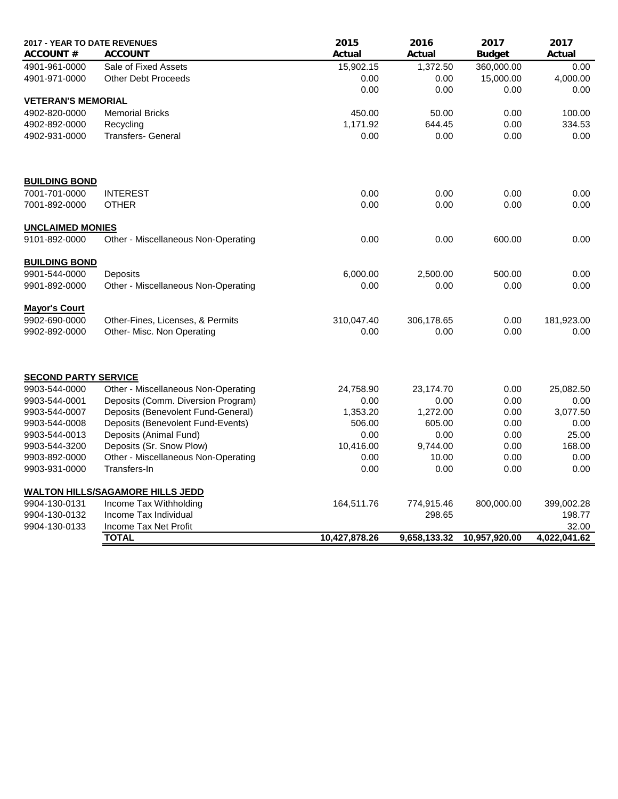| 2017 - YEAR TO DATE REVENUES |                                         | 2015          | 2016         | 2017          | 2017         |
|------------------------------|-----------------------------------------|---------------|--------------|---------------|--------------|
| <b>ACCOUNT#</b>              | <b>ACCOUNT</b>                          | Actual        | Actual       | <b>Budget</b> | Actual       |
| 4901-961-0000                | Sale of Fixed Assets                    | 15,902.15     | 1,372.50     | 360,000.00    | 0.00         |
| 4901-971-0000                | <b>Other Debt Proceeds</b>              | 0.00          | 0.00         | 15,000.00     | 4,000.00     |
|                              |                                         | 0.00          | 0.00         | 0.00          | 0.00         |
| <b>VETERAN'S MEMORIAL</b>    |                                         |               |              |               |              |
| 4902-820-0000                | <b>Memorial Bricks</b>                  | 450.00        | 50.00        | 0.00          | 100.00       |
| 4902-892-0000                | Recycling                               | 1,171.92      | 644.45       | 0.00          | 334.53       |
| 4902-931-0000                | <b>Transfers- General</b>               | 0.00          | 0.00         | 0.00          | 0.00         |
|                              |                                         |               |              |               |              |
| <b>BUILDING BOND</b>         |                                         |               |              |               |              |
| 7001-701-0000                | <b>INTEREST</b>                         | 0.00          | 0.00         | 0.00          | 0.00         |
| 7001-892-0000                | <b>OTHER</b>                            | 0.00          | 0.00         | 0.00          | 0.00         |
| <b>UNCLAIMED MONIES</b>      |                                         |               |              |               |              |
| 9101-892-0000                | Other - Miscellaneous Non-Operating     | 0.00          | 0.00         | 600.00        | 0.00         |
| <b>BUILDING BOND</b>         |                                         |               |              |               |              |
| 9901-544-0000                | Deposits                                | 6,000.00      | 2,500.00     | 500.00        | 0.00         |
| 9901-892-0000                | Other - Miscellaneous Non-Operating     | 0.00          | 0.00         | 0.00          | 0.00         |
| <b>Mayor's Court</b>         |                                         |               |              |               |              |
| 9902-690-0000                | Other-Fines, Licenses, & Permits        | 310,047.40    | 306,178.65   | 0.00          | 181,923.00   |
| 9902-892-0000                | Other- Misc. Non Operating              | 0.00          | 0.00         | 0.00          | 0.00         |
|                              |                                         |               |              |               |              |
| <b>SECOND PARTY SERVICE</b>  |                                         |               |              |               |              |
| 9903-544-0000                | Other - Miscellaneous Non-Operating     | 24,758.90     | 23,174.70    | 0.00          | 25,082.50    |
| 9903-544-0001                | Deposits (Comm. Diversion Program)      | 0.00          | 0.00         | 0.00          | 0.00         |
| 9903-544-0007                | Deposits (Benevolent Fund-General)      | 1,353.20      | 1,272.00     | 0.00          | 3,077.50     |
| 9903-544-0008                | Deposits (Benevolent Fund-Events)       | 506.00        | 605.00       | 0.00          | 0.00         |
| 9903-544-0013                | Deposits (Animal Fund)                  | 0.00          | 0.00         | 0.00          | 25.00        |
| 9903-544-3200                | Deposits (Sr. Snow Plow)                | 10,416.00     | 9,744.00     | 0.00          | 168.00       |
| 9903-892-0000                | Other - Miscellaneous Non-Operating     | 0.00          | 10.00        | 0.00          | 0.00         |
| 9903-931-0000                | Transfers-In                            | 0.00          | 0.00         | 0.00          | 0.00         |
|                              | <b>WALTON HILLS/SAGAMORE HILLS JEDD</b> |               |              |               |              |
| 9904-130-0131                | Income Tax Withholding                  | 164,511.76    | 774,915.46   | 800,000.00    | 399,002.28   |
| 9904-130-0132                | Income Tax Individual                   |               | 298.65       |               | 198.77       |
| 9904-130-0133                | Income Tax Net Profit                   |               |              |               | 32.00        |
|                              | <b>TOTAL</b>                            | 10,427,878.26 | 9,658,133.32 | 10,957,920.00 | 4,022,041.62 |
|                              |                                         |               |              |               |              |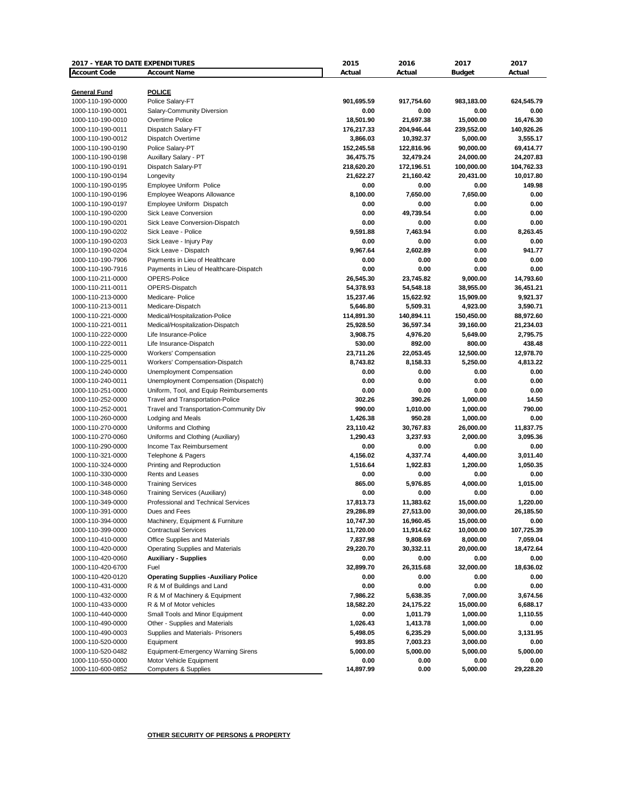| 2017 - YEAR TO DATE EXPENDITURES       |                                                            | 2015                   | 2016                    | 2017                  | 2017                  |
|----------------------------------------|------------------------------------------------------------|------------------------|-------------------------|-----------------------|-----------------------|
| <b>Account Code</b>                    | <b>Account Name</b>                                        | Actual                 | Actual                  | <b>Budget</b>         | Actual                |
|                                        |                                                            |                        |                         |                       |                       |
| General Fund                           | <b>POLICE</b>                                              |                        |                         |                       |                       |
| 1000-110-190-0000                      | Police Salary-FT                                           | 901,695.59             | 917,754.60              | 983,183.00            | 624,545.79            |
| 1000-110-190-0001                      | Salary-Community Diversion                                 | 0.00                   | 0.00                    | 0.00                  | 0.00                  |
| 1000-110-190-0010<br>1000-110-190-0011 | Overtime Police<br>Dispatch Salary-FT                      | 18,501.90              | 21,697.38               | 15,000.00             | 16,476.30             |
| 1000-110-190-0012                      |                                                            | 176,217.33             | 204,946.44              | 239,552.00            | 140,926.26            |
| 1000-110-190-0190                      | Dispatch Overtime<br>Police Salary-PT                      | 3,866.03<br>152,245.58 | 10,392.37<br>122,816.96 | 5,000.00<br>90,000.00 | 3,555.17<br>69,414.77 |
| 1000-110-190-0198                      | Auxillary Salary - PT                                      | 36,475.75              | 32,479.24               | 24,000.00             | 24,207.83             |
| 1000-110-190-0191                      | Dispatch Salary-PT                                         | 218,620.20             | 172,196.51              | 100,000.00            | 104,762.33            |
| 1000-110-190-0194                      | Longevity                                                  | 21,622.27              | 21,160.42               | 20,431.00             | 10,017.80             |
| 1000-110-190-0195                      | Employee Uniform Police                                    | 0.00                   | 0.00                    | 0.00                  | 149.98                |
| 1000-110-190-0196                      | <b>Employee Weapons Allowance</b>                          | 8,100.00               | 7,650.00                | 7.650.00              | 0.00                  |
| 1000-110-190-0197                      | Employee Uniform Dispatch                                  | 0.00                   | 0.00                    | 0.00                  | 0.00                  |
| 1000-110-190-0200                      | <b>Sick Leave Conversion</b>                               | 0.00                   | 49,739.54               | 0.00                  | 0.00                  |
| 1000-110-190-0201                      | Sick Leave Conversion-Dispatch                             | 0.00                   | 0.00                    | 0.00                  | 0.00                  |
| 1000-110-190-0202                      | Sick Leave - Police                                        | 9,591.88               | 7,463.94                | 0.00                  | 8,263.45              |
| 1000-110-190-0203                      | Sick Leave - Injury Pay                                    | 0.00                   | 0.00                    | 0.00                  | 0.00                  |
| 1000-110-190-0204                      | Sick Leave - Dispatch                                      | 9,967.64               | 2,602.89                | 0.00                  | 941.77                |
| 1000-110-190-7906                      | Payments in Lieu of Healthcare                             | 0.00                   | 0.00                    | 0.00                  | 0.00                  |
| 1000-110-190-7916                      | Payments in Lieu of Healthcare-Dispatch                    | 0.00                   | 0.00                    | 0.00                  | 0.00                  |
| 1000-110-211-0000                      | OPERS-Police                                               | 26,545.30              | 23,745.82               | 9,000.00              | 14,793.60             |
| 1000-110-211-0011                      | OPERS-Dispatch                                             | 54,378.93              | 54,548.18               | 38,955.00             | 36,451.21             |
| 1000-110-213-0000                      | Medicare- Police                                           | 15,237.46              | 15,622.92               | 15,909.00             | 9,921.37              |
| 1000-110-213-0011                      | Medicare-Dispatch                                          | 5,646.80               | 5,509.31                | 4,923.00              | 3,590.71              |
| 1000-110-221-0000                      | Medical/Hospitalization-Police                             | 114,891.30             | 140,894.11              | 150,450.00            | 88,972.60             |
| 1000-110-221-0011                      | Medical/Hospitalization-Dispatch                           | 25,928.50              | 36,597.34               | 39,160.00             | 21,234.03             |
| 1000-110-222-0000                      | Life Insurance-Police                                      | 3,908.75               | 4,976.20                | 5,649.00              | 2,795.75              |
| 1000-110-222-0011                      | Life Insurance-Dispatch                                    | 530.00                 | 892.00                  | 800.00                | 438.48                |
| 1000-110-225-0000                      | <b>Workers' Compensation</b>                               | 23,711.26              | 22,053.45               | 12,500.00             | 12,978.70             |
| 1000-110-225-0011                      | Workers' Compensation-Dispatch                             | 8,743.82               | 8,158.33                | 5,250.00              | 4,813.22              |
| 1000-110-240-0000                      | Unemployment Compensation                                  | 0.00                   | 0.00                    | 0.00                  | 0.00                  |
| 1000-110-240-0011                      | Unemployment Compensation (Dispatch)                       | 0.00                   | 0.00                    | 0.00                  | 0.00                  |
| 1000-110-251-0000                      | Uniform, Tool, and Equip Reimbursements                    | 0.00                   | 0.00                    | 0.00                  | 0.00                  |
| 1000-110-252-0000                      | <b>Travel and Transportation-Police</b>                    | 302.26                 | 390.26                  | 1,000.00              | 14.50                 |
| 1000-110-252-0001                      | Travel and Transportation-Community Div                    | 990.00                 | 1,010.00                | 1,000.00              | 790.00                |
| 1000-110-260-0000                      | Lodging and Meals                                          | 1,426.38               | 950.28                  | 1,000.00              | 0.00                  |
| 1000-110-270-0000                      | Uniforms and Clothing                                      | 23,110.42              | 30,767.83               | 26,000.00             | 11,837.75             |
| 1000-110-270-0060                      | Uniforms and Clothing (Auxiliary)                          | 1,290.43               | 3,237.93                | 2,000.00              | 3,095.36              |
| 1000-110-290-0000                      | Income Tax Reimbursement                                   | 0.00                   | 0.00                    | 0.00                  | 0.00                  |
| 1000-110-321-0000                      | Telephone & Pagers                                         | 4,156.02               | 4,337.74                | 4,400.00              | 3,011.40              |
| 1000-110-324-0000                      | Printing and Reproduction                                  | 1,516.64               | 1,922.83                | 1,200.00              | 1,050.35              |
| 1000-110-330-0000                      | Rents and Leases                                           | 0.00                   | 0.00                    | 0.00                  | 0.00                  |
| 1000-110-348-0000                      | <b>Training Services</b>                                   | 865.00                 | 5,976.85                | 4,000.00              | 1,015.00              |
| 1000-110-348-0060                      | <b>Training Services (Auxiliary)</b>                       | 0.00                   | 0.00                    | 0.00                  | 0.00                  |
| 1000-110-349-0000                      | Professional and Technical Services                        | 17,813.73              | 11,383.62               | 15,000.00             | 1,220.00              |
| 1000-110-391-0000                      | Dues and Fees                                              | 29,286.89              | 27,513.00               | 30,000.00             | 26,185.50             |
| 1000-110-394-0000                      | Machinery, Equipment & Furniture                           | 10,747.30              | 16,960.45               | 15,000.00             | 0.00                  |
| 1000-110-399-0000                      | <b>Contractual Services</b>                                | 11,720.00              | 11,914.62               | 10,000.00             | 107,725.39            |
| 1000-110-410-0000                      | Office Supplies and Materials                              | 7,837.98               | 9,808.69                | 8,000.00              | 7,059.04              |
| 1000-110-420-0000                      | Operating Supplies and Materials                           | 29,220.70              | 30,332.11               | 20,000.00             | 18,472.64             |
| 1000-110-420-0060                      | <b>Auxiliary - Supplies</b>                                | 0.00                   | 0.00                    | 0.00                  | 0.00                  |
| 1000-110-420-6700                      | Fuel                                                       | 32,899.70              | 26,315.68               | 32,000.00             | 18,636.02             |
| 1000-110-420-0120                      | <b>Operating Supplies -Auxiliary Police</b>                | 0.00                   | 0.00                    | 0.00                  | 0.00                  |
| 1000-110-431-0000                      | R & M of Buildings and Land                                | 0.00                   | 0.00                    | 0.00                  | 0.00                  |
| 1000-110-432-0000                      | R & M of Machinery & Equipment                             | 7,986.22               | 5,638.35                | 7,000.00              | 3,674.56              |
| 1000-110-433-0000                      | R & M of Motor vehicles                                    | 18,582.20              | 24,175.22               | 15,000.00             | 6,688.17              |
| 1000-110-440-0000                      | Small Tools and Minor Equipment                            | 0.00                   | 1,011.79                | 1,000.00              | 1,110.55              |
| 1000-110-490-0000                      | Other - Supplies and Materials                             | 1,026.43               | 1,413.78                | 1,000.00              | 0.00                  |
| 1000-110-490-0003                      | Supplies and Materials- Prisoners                          | 5,498.05               | 6,235.29                | 5,000.00              | 3,131.95              |
| 1000-110-520-0000                      | Equipment                                                  | 993.85                 | 7,003.23                | 3,000.00              | 0.00                  |
| 1000-110-520-0482                      | <b>Equipment-Emergency Warning Sirens</b>                  | 5,000.00               | 5,000.00                | 5,000.00              | 5,000.00              |
| 1000-110-550-0000<br>1000-110-600-0852 | Motor Vehicle Equipment<br><b>Computers &amp; Supplies</b> | 0.00<br>14,897.99      | 0.00<br>0.00            | 0.00<br>5,000.00      | 0.00<br>29,228.20     |
|                                        |                                                            |                        |                         |                       |                       |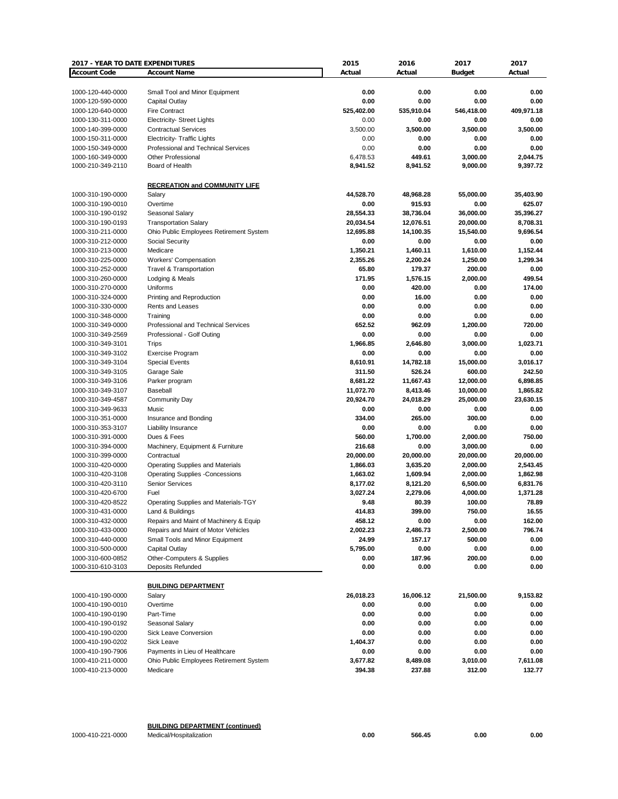| 2017 - YEAR TO DATE EXPENDITURES |                                            | 2015       | 2016       | 2017          | 2017       |
|----------------------------------|--------------------------------------------|------------|------------|---------------|------------|
| <b>Account Code</b>              | <b>Account Name</b>                        | Actual     | Actual     | <b>Budget</b> | Actual     |
|                                  |                                            |            |            |               |            |
| 1000-120-440-0000                | Small Tool and Minor Equipment             | 0.00       | 0.00       | 0.00          | 0.00       |
| 1000-120-590-0000                | Capital Outlay                             | 0.00       | 0.00       | 0.00          | 0.00       |
|                                  | <b>Fire Contract</b>                       | 525,402.00 | 535,910.04 |               | 409,971.18 |
| 1000-120-640-0000                |                                            |            |            | 546,418.00    |            |
| 1000-130-311-0000                | <b>Electricity- Street Lights</b>          | 0.00       | 0.00       | 0.00          | 0.00       |
| 1000-140-399-0000                | <b>Contractual Services</b>                | 3,500.00   | 3,500.00   | 3,500.00      | 3,500.00   |
| 1000-150-311-0000                | Electricity- Traffic Lights                | 0.00       | 0.00       | 0.00          | 0.00       |
| 1000-150-349-0000                | Professional and Technical Services        | 0.00       | 0.00       | 0.00          | 0.00       |
| 1000-160-349-0000                | <b>Other Professional</b>                  | 6,478.53   | 449.61     | 3,000.00      | 2,044.75   |
| 1000-210-349-2110                | Board of Health                            | 8,941.52   | 8,941.52   | 9,000.00      | 9,397.72   |
|                                  |                                            |            |            |               |            |
|                                  | <b>RECREATION and COMMUNITY LIFE</b>       |            |            |               |            |
| 1000-310-190-0000                | Salary                                     | 44,528.70  | 48,968.28  | 55,000.00     | 35,403.90  |
| 1000-310-190-0010                | Overtime                                   | 0.00       | 915.93     | 0.00          | 625.07     |
| 1000-310-190-0192                | Seasonal Salary                            | 28,554.33  | 38,736.04  | 36,000.00     | 35,396.27  |
| 1000-310-190-0193                | <b>Transportation Salary</b>               | 20,034.54  | 12,076.51  | 20,000.00     | 8,708.31   |
| 1000-310-211-0000                | Ohio Public Employees Retirement System    | 12,695.88  | 14,100.35  | 15,540.00     | 9,696.54   |
| 1000-310-212-0000                | Social Security                            | 0.00       | 0.00       | 0.00          | 0.00       |
| 1000-310-213-0000                | Medicare                                   | 1,350.21   | 1,460.11   | 1,610.00      | 1,152.44   |
|                                  |                                            |            |            |               |            |
| 1000-310-225-0000                | Workers' Compensation                      | 2,355.26   | 2,200.24   | 1,250.00      | 1,299.34   |
| 1000-310-252-0000                | <b>Travel &amp; Transportation</b>         | 65.80      | 179.37     | 200.00        | 0.00       |
| 1000-310-260-0000                | Lodging & Meals                            | 171.95     | 1,576.15   | 2,000.00      | 499.54     |
| 1000-310-270-0000                | Uniforms                                   | 0.00       | 420.00     | 0.00          | 174.00     |
| 1000-310-324-0000                | Printing and Reproduction                  | 0.00       | 16.00      | 0.00          | 0.00       |
| 1000-310-330-0000                | Rents and Leases                           | 0.00       | 0.00       | 0.00          | 0.00       |
| 1000-310-348-0000                | Training                                   | 0.00       | 0.00       | 0.00          | 0.00       |
| 1000-310-349-0000                | <b>Professional and Technical Services</b> | 652.52     | 962.09     | 1,200.00      | 720.00     |
| 1000-310-349-2569                | Professional - Golf Outing                 | 0.00       | 0.00       | 0.00          | 0.00       |
| 1000-310-349-3101                | <b>Trips</b>                               | 1,966.85   | 2,646.80   | 3,000.00      | 1,023.71   |
| 1000-310-349-3102                | <b>Exercise Program</b>                    | 0.00       | 0.00       | 0.00          | 0.00       |
| 1000-310-349-3104                | <b>Special Events</b>                      | 8,610.91   | 14,782.18  | 15,000.00     | 3,016.17   |
| 1000-310-349-3105                | Garage Sale                                | 311.50     | 526.24     | 600.00        | 242.50     |
| 1000-310-349-3106                | Parker program                             | 8,681.22   | 11,667.43  | 12,000.00     | 6,898.85   |
| 1000-310-349-3107                | Baseball                                   | 11,072.70  | 8,413.46   | 10,000.00     | 1,865.82   |
|                                  |                                            |            |            |               |            |
| 1000-310-349-4587                | <b>Community Day</b>                       | 20,924.70  | 24,018.29  | 25,000.00     | 23,630.15  |
| 1000-310-349-9633                | Music                                      | 0.00       | 0.00       | 0.00          | 0.00       |
| 1000-310-351-0000                | Insurance and Bonding                      | 334.00     | 265.00     | 300.00        | 0.00       |
| 1000-310-353-3107                | Liability Insurance                        | 0.00       | 0.00       | 0.00          | 0.00       |
| 1000-310-391-0000                | Dues & Fees                                | 560.00     | 1,700.00   | 2,000.00      | 750.00     |
| 1000-310-394-0000                | Machinery, Equipment & Furniture           | 216.68     | 0.00       | 3,000.00      | 0.00       |
| 1000-310-399-0000                | Contractual                                | 20,000.00  | 20,000.00  | 20,000.00     | 20,000.00  |
| 1000-310-420-0000                | <b>Operating Supplies and Materials</b>    | 1,866.03   | 3,635.20   | 2,000.00      | 2,543.45   |
| 1000-310-420-3108                | <b>Operating Supplies -Concessions</b>     | 1,663.02   | 1,609.94   | 2,000.00      | 1,862.98   |
| 1000-310-420-3110                | <b>Senior Services</b>                     | 8,177.02   | 8,121.20   | 6,500.00      | 6,831.76   |
| 1000-310-420-6700                | Fuel                                       | 3,027.24   | 2,279.06   | 4,000.00      | 1,371.28   |
| 1000-310-420-8522                | Operating Supplies and Materials-TGY       | 9.48       | 80.39      | 100.00        | 78.89      |
| 1000-310-431-0000                | Land & Buildings                           | 414.83     | 399.00     | 750.00        | 16.55      |
| 1000-310-432-0000                | Repairs and Maint of Machinery & Equip     | 458.12     | 0.00       | 0.00          | 162.00     |
| 1000-310-433-0000                | Repairs and Maint of Motor Vehicles        | 2,002.23   | 2,486.73   | 2,500.00      | 796.74     |
| 1000-310-440-0000                | Small Tools and Minor Equipment            | 24.99      | 157.17     | 500.00        | 0.00       |
| 1000-310-500-0000                |                                            |            |            |               |            |
|                                  | Capital Outlay                             | 5,795.00   | 0.00       | 0.00          | 0.00       |
| 1000-310-600-0852                | Other-Computers & Supplies                 | 0.00       | 187.96     | 200.00        | 0.00       |
| 1000-310-610-3103                | Deposits Refunded                          | 0.00       | 0.00       | 0.00          | 0.00       |
|                                  |                                            |            |            |               |            |
|                                  | <b>BUILDING DEPARTMENT</b>                 |            |            |               |            |
| 1000-410-190-0000                | Salary                                     | 26,018.23  | 16,006.12  | 21,500.00     | 9,153.82   |
| 1000-410-190-0010                | Overtime                                   | 0.00       | 0.00       | 0.00          | 0.00       |
| 1000-410-190-0190                | Part-Time                                  | 0.00       | 0.00       | 0.00          | 0.00       |
| 1000-410-190-0192                | Seasonal Salary                            | 0.00       | 0.00       | 0.00          | 0.00       |
| 1000-410-190-0200                | Sick Leave Conversion                      | 0.00       | 0.00       | 0.00          | 0.00       |
| 1000-410-190-0202                | Sick Leave                                 | 1,404.37   | 0.00       | 0.00          | 0.00       |
| 1000-410-190-7906                | Payments in Lieu of Healthcare             | 0.00       | 0.00       | 0.00          | 0.00       |
| 1000-410-211-0000                | Ohio Public Employees Retirement System    | 3,677.82   | 8,489.08   | 3,010.00      | 7,611.08   |
| 1000-410-213-0000                |                                            | 394.38     | 237.88     | 312.00        | 132.77     |
|                                  | Medicare                                   |            |            |               |            |
|                                  |                                            |            |            |               |            |

| <b>BUILDING DEPARTMENT (continued)</b> |  |
|----------------------------------------|--|
|----------------------------------------|--|

1000-410-221-0000 Medical/Hospitalization **0.00 566.45 0.00 0.00**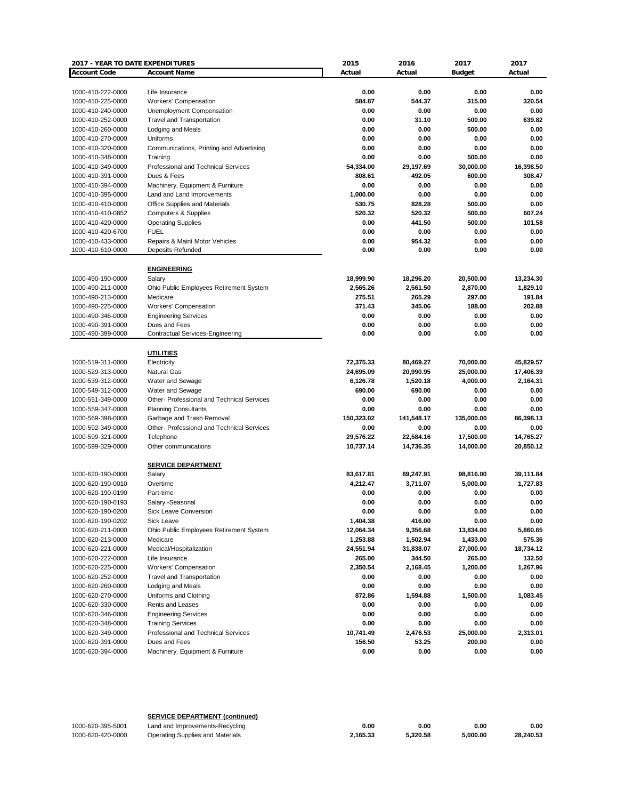| 2017 - YEAR TO DATE EXPENDITURES       |                                                      | 2015                | 2016           | 2017          | 2017         |
|----------------------------------------|------------------------------------------------------|---------------------|----------------|---------------|--------------|
| <b>Account Code</b>                    | <b>Account Name</b>                                  | Actual              | Actual         | <b>Budget</b> | Actual       |
|                                        |                                                      |                     |                |               |              |
| 1000-410-222-0000                      | Life Insurance                                       | 0.00                | 0.00           | 0.00          | 0.00         |
| 1000-410-225-0000                      | <b>Workers' Compensation</b>                         | 584.87              | 544.37         | 315.00        | 320.54       |
| 1000-410-240-0000                      | Unemployment Compensation                            | 0.00                | 0.00           | 0.00          | 0.00         |
| 1000-410-252-0000                      | <b>Travel and Transportation</b>                     | 0.00                | 31.10          | 500.00        | 639.82       |
| 1000-410-260-0000                      | Lodging and Meals                                    | 0.00                | 0.00           | 500.00        | 0.00         |
| 1000-410-270-0000                      | Uniforms                                             | 0.00                | 0.00           | 0.00          | 0.00         |
| 1000-410-320-0000                      | Communications, Printing and Advertising             | 0.00                | 0.00           | 0.00          | 0.00         |
| 1000-410-348-0000                      | Training                                             | 0.00                | 0.00           | 500.00        | 0.00         |
| 1000-410-349-0000                      | Professional and Technical Services                  | 54,334.00           | 29,197.69      | 30,000.00     | 16,398.50    |
| 1000-410-391-0000                      | Dues & Fees                                          | 808.61              | 492.05         | 600.00        | 308.47       |
| 1000-410-394-0000                      | Machinery, Equipment & Furniture                     | 0.00                | 0.00           | 0.00          | 0.00         |
| 1000-410-395-0000                      | Land and Land Improvements                           | 1,000.00            | 0.00           | 0.00          | 0.00         |
| 1000-410-410-0000                      | Office Supplies and Materials                        | 530.75              | 828.28         | 500.00        | 0.00         |
| 1000-410-410-0852                      | Computers & Supplies                                 | 520.32              | 520.32         | 500.00        | 607.24       |
| 1000-410-420-0000                      | <b>Operating Supplies</b>                            | 0.00                | 441.50         | 500.00        | 101.58       |
| 1000-410-420-6700                      | <b>FUEL</b>                                          | 0.00                | 0.00           | 0.00          | 0.00         |
| 1000-410-433-0000                      | Repairs & Maint Motor Vehicles                       | 0.00                | 954.32         | 0.00          | 0.00         |
| 1000-410-610-0000                      | Deposits Refunded                                    | 0.00                | 0.00           | 0.00          | 0.00         |
|                                        | <b>ENGINEERING</b>                                   |                     |                |               |              |
| 1000-490-190-0000                      | Salary                                               | 18,999.90           | 18,296.20      | 20,500.00     | 13,234.30    |
| 1000-490-211-0000                      | Ohio Public Employees Retirement System              | 2,565.26            | 2,561.50       | 2,870.00      | 1,829.10     |
| 1000-490-213-0000                      | Medicare                                             | 275.51              | 265.29         | 297.00        | 191.84       |
| 1000-490-225-0000                      | Workers' Compensation                                | 371.43              | 345.06         | 188.00        | 202.88       |
| 1000-490-346-0000                      | <b>Engineering Services</b>                          | 0.00                | 0.00           | 0.00          | 0.00         |
| 1000-490-391-0000                      | Dues and Fees                                        | 0.00                | 0.00           | 0.00          | 0.00         |
| 1000-490-399-0000                      | <b>Contractual Services-Engineering</b>              | 0.00                | 0.00           | 0.00          | 0.00         |
|                                        |                                                      |                     |                |               |              |
|                                        | <b>UTILITIES</b>                                     |                     |                |               |              |
| 1000-519-311-0000                      | Electricity                                          | 72,375.33           | 80,469.27      | 70,000.00     | 45,829.57    |
| 1000-529-313-0000                      | <b>Natural Gas</b>                                   | 24,695.09           | 20,990.95      | 25,000.00     | 17,406.39    |
| 1000-539-312-0000                      | Water and Sewage                                     | 6,126.78            | 1,520.18       | 4,000.00      | 2,164.31     |
| 1000-549-312-0000                      | Water and Sewage                                     | 690.00              | 690.00         | 0.00          | 0.00         |
| 1000-551-349-0000                      | Other- Professional and Technical Services           | 0.00                | 0.00           | 0.00          | 0.00         |
| 1000-559-347-0000                      | <b>Planning Consultants</b>                          | 0.00                | 0.00           | 0.00          | 0.00         |
| 1000-569-398-0000                      | Garbage and Trash Removal                            | 150,323.02          | 141,548.17     | 135,000.00    | 86,398.13    |
| 1000-592-349-0000                      | Other- Professional and Technical Services           | 0.00                | 0.00           | 0.00          | 0.00         |
| 1000-599-321-0000                      | Telephone                                            | 29,576.22           | 22,584.16      | 17,500.00     | 14,765.27    |
| 1000-599-329-0000                      | Other communications                                 | 10,737.14           | 14,736.35      | 14,000.00     | 20,850.12    |
|                                        |                                                      |                     |                |               |              |
| 1000-620-190-0000                      | <b>SERVICE DEPARTMENT</b><br>Salary                  | 83,617.81           | 89,247.91      | 98,816.00     | 39,111.84    |
| 1000-620-190-0010                      | Overtime                                             | 4,212.47            | 3,711.07       | 5,000.00      | 1,727.83     |
| 1000-620-190-0190                      | Part-time                                            | 0.00                | 0.00           | 0.00          | 0.00         |
| 1000-620-190-0193                      | Salary -Seasonal                                     | 0.00                | 0.00           | 0.00          | 0.00         |
|                                        |                                                      |                     |                |               |              |
| 1000-620-190-0200<br>1000-620-190-0202 | Sick Leave Conversion<br>Sick Leave                  | 0.00<br>1,404.38    | 0.00<br>416.00 | 0.00<br>0.00  | 0.00<br>0.00 |
| 1000-620-211-0000                      | Ohio Public Employees Retirement System              | 12,064.34           | 9,356.68       | 13,834.00     | 5,860.65     |
| 1000-620-213-0000                      | Medicare                                             | 1,253.88            | 1,502.94       | 1,433.00      | 575.36       |
| 1000-620-221-0000                      | Medical/Hospitalization                              | 24,551.94           | 31,838.07      | 27,000.00     | 18,734.12    |
| 1000-620-222-0000                      | Life Insurance                                       | 265.00              | 344.50         | 265.00        | 132.50       |
| 1000-620-225-0000                      | <b>Workers' Compensation</b>                         | 2,350.54            | 2,168.45       | 1,200.00      | 1,267.96     |
| 1000-620-252-0000                      | <b>Travel and Transportation</b>                     | 0.00                | 0.00           | 0.00          | 0.00         |
|                                        |                                                      |                     |                |               |              |
| 1000-620-260-0000                      | Lodging and Meals                                    | 0.00                | 0.00           | 0.00          | 0.00         |
| 1000-620-270-0000                      | Uniforms and Clothing                                | 872.86              | 1,594.88       | 1,500.00      | 1,083.45     |
| 1000-620-330-0000                      | Rents and Leases                                     | 0.00                | 0.00           | 0.00          | 0.00         |
| 1000-620-346-0000                      | <b>Engineering Services</b>                          | 0.00                | 0.00           | 0.00          | 0.00         |
| 1000-620-348-0000                      | <b>Training Services</b>                             | 0.00                | 0.00           | 0.00          | 0.00         |
| 1000-620-349-0000                      | Professional and Technical Services<br>Dues and Fees | 10,741.49<br>156.50 | 2,476.53       | 25,000.00     | 2,313.01     |
| 1000-620-391-0000                      |                                                      |                     | 53.25          | 200.00        | 0.00         |
| 1000-620-394-0000                      | Machinery, Equipment & Furniture                     | 0.00                | 0.00           | 0.00          | 0.00         |

|                   | <b>SERVICE DEPARTMENT (continued)</b> |          |          |          |           |
|-------------------|---------------------------------------|----------|----------|----------|-----------|
| 1000-620-395-5001 | Land and Improvements-Recycling       | 0.00     | 0.00     | 0.00     | 0.00      |
| 1000-620-420-0000 | Operating Supplies and Materials      | 2.165.33 | 5.320.58 | 5.000.00 | 28.240.53 |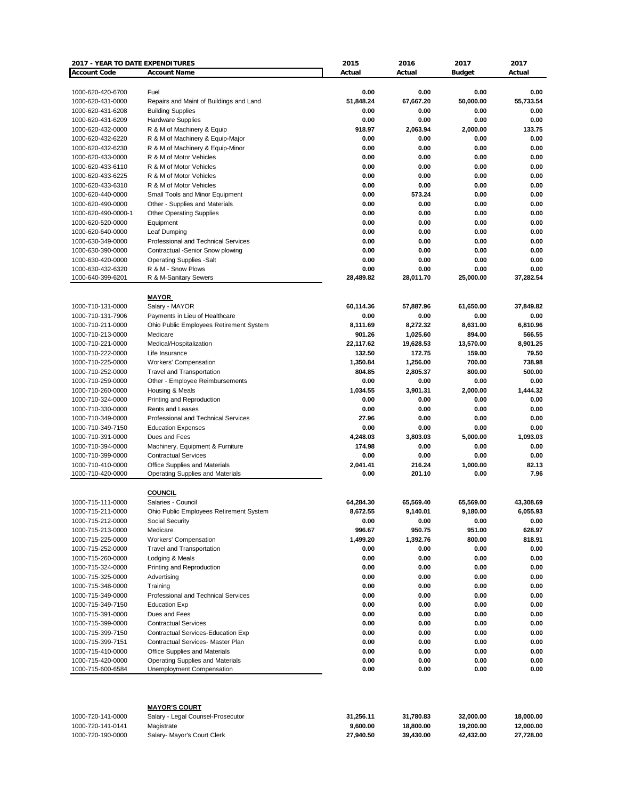| 2017 - YEAR TO DATE EXPENDITURES       |                                                                   | 2015             | 2016             | 2017           | 2017           |
|----------------------------------------|-------------------------------------------------------------------|------------------|------------------|----------------|----------------|
| <b>Account Code</b>                    | <b>Account Name</b>                                               | Actual           | Actual           | <b>Budget</b>  | Actual         |
|                                        |                                                                   |                  |                  |                |                |
| 1000-620-420-6700                      | Fuel                                                              | 0.00             | 0.00             | 0.00           | 0.00           |
| 1000-620-431-0000                      | Repairs and Maint of Buildings and Land                           | 51,848.24        | 67,667.20        | 50,000.00      | 55,733.54      |
| 1000-620-431-6208                      | <b>Building Supplies</b>                                          | 0.00             | 0.00             | 0.00           | 0.00           |
| 1000-620-431-6209                      | <b>Hardware Supplies</b>                                          | 0.00             | 0.00             | 0.00           | 0.00           |
| 1000-620-432-0000                      | R & M of Machinery & Equip                                        | 918.97           | 2,063.94         | 2,000.00       | 133.75         |
| 1000-620-432-6220                      | R & M of Machinery & Equip-Major                                  | 0.00             | 0.00             | 0.00           | 0.00           |
| 1000-620-432-6230                      | R & M of Machinery & Equip-Minor                                  | 0.00             | 0.00             | 0.00           | 0.00           |
| 1000-620-433-0000                      | R & M of Motor Vehicles                                           | 0.00             | 0.00             | 0.00           | 0.00           |
| 1000-620-433-6110                      | R & M of Motor Vehicles                                           | 0.00             | 0.00             | 0.00           | 0.00           |
| 1000-620-433-6225                      | R & M of Motor Vehicles                                           | 0.00             | 0.00             | 0.00           | 0.00           |
| 1000-620-433-6310                      | R & M of Motor Vehicles                                           | 0.00             | 0.00             | 0.00           | 0.00           |
| 1000-620-440-0000<br>1000-620-490-0000 | Small Tools and Minor Equipment<br>Other - Supplies and Materials | 0.00<br>0.00     | 573.24<br>0.00   | 0.00<br>0.00   | 0.00<br>0.00   |
| 1000-620-490-0000-1                    |                                                                   | 0.00             | 0.00             | 0.00           | 0.00           |
| 1000-620-520-0000                      | <b>Other Operating Supplies</b><br>Equipment                      | 0.00             | 0.00             | 0.00           | 0.00           |
| 1000-620-640-0000                      | Leaf Dumping                                                      | 0.00             | 0.00             | 0.00           | 0.00           |
| 1000-630-349-0000                      | Professional and Technical Services                               | 0.00             | 0.00             | 0.00           | 0.00           |
| 1000-630-390-0000                      | Contractual -Senior Snow plowing                                  | 0.00             | 0.00             | 0.00           | 0.00           |
| 1000-630-420-0000                      | <b>Operating Supplies -Salt</b>                                   | 0.00             | 0.00             | 0.00           | 0.00           |
| 1000-630-432-6320                      | R & M - Snow Plows                                                | 0.00             | 0.00             | 0.00           | 0.00           |
| 1000-640-399-6201                      | R & M-Sanitary Sewers                                             | 28,489.82        | 28,011.70        | 25,000.00      | 37,282.54      |
|                                        |                                                                   |                  |                  |                |                |
|                                        | <b>MAYOR</b>                                                      |                  |                  |                |                |
| 1000-710-131-0000                      | Salary - MAYOR                                                    | 60,114.36        | 57,887.96        | 61,650.00      | 37,849.82      |
| 1000-710-131-7906                      | Payments in Lieu of Healthcare                                    | 0.00             | 0.00             | 0.00           | 0.00           |
| 1000-710-211-0000                      | Ohio Public Employees Retirement System                           | 8,111.69         | 8,272.32         | 8,631.00       | 6,810.96       |
| 1000-710-213-0000                      | Medicare                                                          | 901.26           | 1,025.60         | 894.00         | 566.55         |
| 1000-710-221-0000                      | Medical/Hospitalization                                           | 22,117.62        | 19,628.53        | 13,570.00      | 8,901.25       |
| 1000-710-222-0000                      | Life Insurance                                                    | 132.50           | 172.75           | 159.00         | 79.50          |
| 1000-710-225-0000                      | Workers' Compensation                                             | 1,350.84         | 1,256.00         | 700.00         | 738.98         |
| 1000-710-252-0000                      | <b>Travel and Transportation</b>                                  | 804.85           | 2,805.37         | 800.00         | 500.00         |
| 1000-710-259-0000                      | Other - Employee Reimbursements                                   | 0.00             | 0.00             | 0.00           | 0.00           |
| 1000-710-260-0000                      | Housing & Meals                                                   | 1,034.55         | 3,901.31         | 2,000.00       | 1,444.32       |
| 1000-710-324-0000                      | Printing and Reproduction                                         | 0.00             | 0.00             | 0.00           | 0.00           |
| 1000-710-330-0000                      | Rents and Leases                                                  | 0.00             | 0.00             | 0.00           | 0.00           |
| 1000-710-349-0000                      | Professional and Technical Services                               | 27.96            | 0.00             | 0.00           | 0.00           |
| 1000-710-349-7150                      | <b>Education Expenses</b>                                         | 0.00             | 0.00             | 0.00           | 0.00           |
| 1000-710-391-0000                      | Dues and Fees                                                     | 4,248.03         | 3,803.03         | 5,000.00       | 1,093.03       |
| 1000-710-394-0000                      | Machinery, Equipment & Furniture                                  | 174.98           | 0.00             | 0.00           | 0.00           |
| 1000-710-399-0000                      | <b>Contractual Services</b>                                       | 0.00             | 0.00             | 0.00           | 0.00           |
| 1000-710-410-0000                      | Office Supplies and Materials                                     | 2,041.41         | 216.24           | 1,000.00       | 82.13          |
| 1000-710-420-0000                      | <b>Operating Supplies and Materials</b>                           | 0.00             | 201.10           | 0.00           | 7.96           |
|                                        |                                                                   |                  |                  |                |                |
|                                        | <b>COUNCIL</b>                                                    |                  |                  |                |                |
| 1000-715-111-0000                      | Salaries - Council                                                | 64,284.30        | 65,569.40        | 65,569.00      | 43,308.69      |
| 1000-715-211-0000                      | Ohio Public Employees Retirement System                           | 8,672.55         | 9,140.01         | 9,180.00       | 6,055.93       |
| 1000-715-212-0000                      | Social Security                                                   | 0.00             | 0.00             | 0.00           | 0.00           |
| 1000-715-213-0000                      | Medicare                                                          | 996.67           | 950.75           | 951.00         | 628.97         |
| 1000-715-225-0000<br>1000-715-252-0000 | Workers' Compensation<br><b>Travel and Transportation</b>         | 1,499.20<br>0.00 | 1,392.76<br>0.00 | 800.00<br>0.00 | 818.91<br>0.00 |
| 1000-715-260-0000                      | Lodging & Meals                                                   | 0.00             | 0.00             | 0.00           | 0.00           |
| 1000-715-324-0000                      | Printing and Reproduction                                         | 0.00             | 0.00             | 0.00           | 0.00           |
| 1000-715-325-0000                      | Advertising                                                       | 0.00             | 0.00             | 0.00           | 0.00           |
| 1000-715-348-0000                      | Training                                                          | 0.00             | 0.00             | 0.00           | 0.00           |
| 1000-715-349-0000                      | Professional and Technical Services                               | 0.00             | 0.00             | 0.00           | 0.00           |
| 1000-715-349-7150                      | <b>Education Exp</b>                                              | 0.00             | 0.00             | 0.00           | 0.00           |
| 1000-715-391-0000                      | Dues and Fees                                                     | 0.00             | 0.00             | 0.00           | 0.00           |
| 1000-715-399-0000                      | <b>Contractual Services</b>                                       | 0.00             | 0.00             | 0.00           | 0.00           |
| 1000-715-399-7150                      | Contractual Services-Education Exp                                | 0.00             | 0.00             | 0.00           | 0.00           |
| 1000-715-399-7151                      | Contractual Services- Master Plan                                 | 0.00             | 0.00             | 0.00           | 0.00           |
| 1000-715-410-0000                      | Office Supplies and Materials                                     | 0.00             | 0.00             | 0.00           | 0.00           |
| 1000-715-420-0000                      | Operating Supplies and Materials                                  | 0.00             | 0.00             | 0.00           | 0.00           |
| 1000-715-600-6584                      | Unemployment Compensation                                         | 0.00             | 0.00             | 0.00           | 0.00           |
|                                        |                                                                   |                  |                  |                |                |
|                                        |                                                                   |                  |                  |                |                |
| 1000-720-141-0000                      | <b>MAYOR'S COURT</b><br>Salary - Legal Counsel-Prosecutor         | 31,256.11        | 31,780.83        | 32,000.00      | 18,000.00      |
| 1000-720-141-0141                      | Magistrate                                                        | 9,600.00         | 18,800.00        | 19,200.00      | 12,000.00      |
| 1000-720-190-0000                      | Salary- Mayor's Court Clerk                                       | 27,940.50        | 39,430.00        | 42,432.00      | 27,728.00      |

 $S$ alary- Mayor's Court Clerk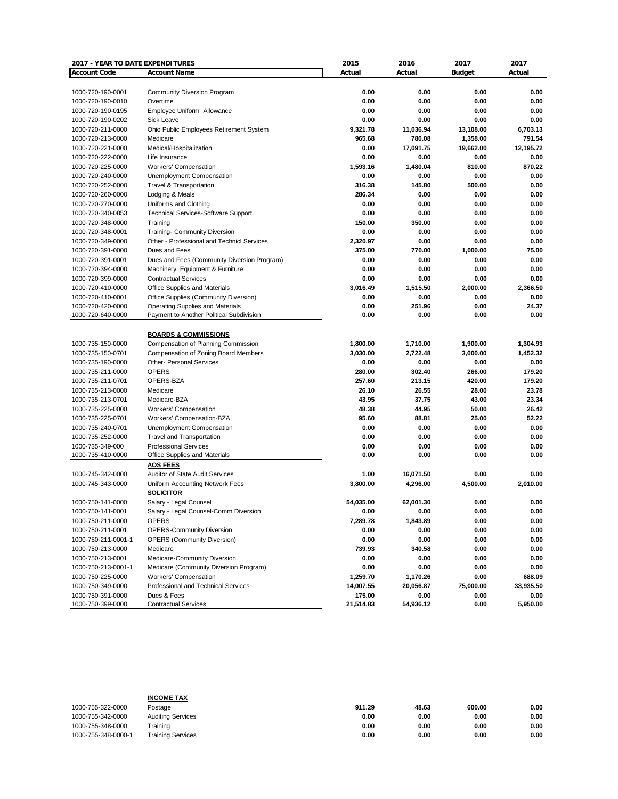| <b>2017 - YEAR TO DATE EXPENDITURES</b> |                                             | 2015      | 2016      | 2017          | 2017      |
|-----------------------------------------|---------------------------------------------|-----------|-----------|---------------|-----------|
| <b>Account Code</b>                     | <b>Account Name</b>                         | Actual    | Actual    | <b>Budget</b> | Actual    |
|                                         |                                             |           |           |               |           |
| 1000-720-190-0001                       | <b>Community Diversion Program</b>          | 0.00      | 0.00      | 0.00          | 0.00      |
| 1000-720-190-0010                       | Overtime                                    | 0.00      | 0.00      | 0.00          | 0.00      |
| 1000-720-190-0195                       | Employee Uniform Allowance                  | 0.00      | 0.00      | 0.00          | 0.00      |
| 1000-720-190-0202                       | Sick Leave                                  | 0.00      | 0.00      | 0.00          | 0.00      |
| 1000-720-211-0000                       | Ohio Public Employees Retirement System     | 9,321.78  | 11,036.94 | 13,108.00     | 6,703.13  |
| 1000-720-213-0000                       | Medicare                                    | 965.68    | 780.08    | 1,358.00      | 791.54    |
| 1000-720-221-0000                       | Medical/Hospitalization                     | 0.00      | 17,091.75 | 19,662.00     | 12,195.72 |
| 1000-720-222-0000                       | Life Insurance                              | 0.00      | 0.00      | 0.00          | 0.00      |
| 1000-720-225-0000                       | <b>Workers' Compensation</b>                | 1,593.16  | 1,480.04  | 810.00        | 870.22    |
| 1000-720-240-0000                       | Unemployment Compensation                   | 0.00      | 0.00      | 0.00          | 0.00      |
| 1000-720-252-0000                       | <b>Travel &amp; Transportation</b>          | 316.38    | 145.80    | 500.00        | 0.00      |
| 1000-720-260-0000                       | Lodging & Meals                             | 286.34    | 0.00      | 0.00          | 0.00      |
| 1000-720-270-0000                       | Uniforms and Clothing                       | 0.00      | 0.00      | 0.00          | 0.00      |
| 1000-720-340-0853                       | <b>Technical Services-Software Support</b>  | 0.00      | 0.00      | 0.00          | 0.00      |
| 1000-720-348-0000                       | Training                                    | 150.00    | 350.00    | 0.00          | 0.00      |
| 1000-720-348-0001                       | Training- Community Diversion               | 0.00      | 0.00      | 0.00          | 0.00      |
| 1000-720-349-0000                       | Other - Professional and Technicl Services  | 2,320.97  | 0.00      | 0.00          | 0.00      |
| 1000-720-391-0000                       | Dues and Fees                               | 375.00    | 770.00    | 1,000.00      | 75.00     |
| 1000-720-391-0001                       | Dues and Fees (Community Diversion Program) | 0.00      | 0.00      | 0.00          | 0.00      |
| 1000-720-394-0000                       | Machinery, Equipment & Furniture            | 0.00      | 0.00      | 0.00          | 0.00      |
| 1000-720-399-0000                       | <b>Contractual Services</b>                 | 0.00      | 0.00      | 0.00          | 0.00      |
| 1000-720-410-0000                       | Office Supplies and Materials               | 3,016.49  | 1,515.50  | 2,000.00      | 2,366.50  |
| 1000-720-410-0001                       | Office Supplies (Community Diversion)       | 0.00      | 0.00      | 0.00          | 0.00      |
| 1000-720-420-0000                       | <b>Operating Supplies and Materials</b>     | 0.00      | 251.96    | 0.00          | 24.37     |
| 1000-720-640-0000                       | Payment to Another Political Subdivision    | 0.00      | 0.00      | 0.00          | 0.00      |
|                                         |                                             |           |           |               |           |
|                                         | <b>BOARDS &amp; COMMISSIONS</b>             |           |           |               |           |
| 1000-735-150-0000                       | Compensation of Planning Commission         | 1,800.00  | 1,710.00  | 1,900.00      | 1,304.93  |
| 1000-735-150-0701                       | Compensation of Zoning Board Members        | 3,030.00  | 2,722.48  | 3,000.00      | 1,452.32  |
| 1000-735-190-0000                       | <b>Other- Personal Services</b>             | 0.00      | 0.00      | 0.00          | 0.00      |
| 1000-735-211-0000                       | <b>OPERS</b>                                | 280.00    | 302.40    | 266.00        | 179.20    |
| 1000-735-211-0701                       | OPERS-BZA                                   | 257.60    | 213.15    | 420.00        | 179.20    |
| 1000-735-213-0000                       | Medicare                                    | 26.10     | 26.55     | 28.00         | 23.78     |
| 1000-735-213-0701                       | Medicare-BZA                                | 43.95     | 37.75     | 43.00         | 23.34     |
| 1000-735-225-0000                       | <b>Workers' Compensation</b>                | 48.38     | 44.95     | 50.00         | 26.42     |
| 1000-735-225-0701                       | Workers' Compensation-BZA                   | 95.60     | 88.81     | 25.00         | 52.22     |
| 1000-735-240-0701                       | Unemployment Compensation                   | 0.00      | 0.00      | 0.00          | 0.00      |
| 1000-735-252-0000                       | <b>Travel and Transportation</b>            | 0.00      | 0.00      | 0.00          | 0.00      |
| 1000-735-349-000                        | <b>Professional Services</b>                | 0.00      | 0.00      | 0.00          | 0.00      |
| 1000-735-410-0000                       | Office Supplies and Materials               | 0.00      | 0.00      | 0.00          | 0.00      |
|                                         | <b>AOS FEES</b>                             |           |           |               |           |
| 1000-745-342-0000                       | Auditor of State Audit Services             | 1.00      | 16,071.50 | 0.00          | 0.00      |
| 1000-745-343-0000                       | Uniform Accounting Network Fees             | 3,800.00  | 4,296.00  | 4,500.00      | 2,010.00  |
|                                         | <b>SOLICITOR</b>                            |           |           |               |           |
| 1000-750-141-0000                       | Salary - Legal Counsel                      | 54,035.00 | 62,001.30 | 0.00          | 0.00      |
| 1000-750-141-0001                       | Salary - Legal Counsel-Comm Diversion       | v.vv      | 0.00      | 0.00          | 0.00      |
| 1000-750-211-0000                       | <b>OPERS</b>                                | 7,289.78  | 1,843.89  | 0.00          | 0.00      |
| 1000-750-211-0001                       | <b>OPERS-Community Diversion</b>            | 0.00      | 0.00      | 0.00          | 0.00      |
| 1000-750-211-0001-1                     | <b>OPERS (Community Diversion)</b>          | 0.00      | 0.00      | 0.00          | 0.00      |
| 1000-750-213-0000                       | Medicare                                    | 739.93    | 340.58    | 0.00          | 0.00      |
| 1000-750-213-0001                       | Medicare-Community Diversion                | 0.00      | 0.00      | 0.00          | 0.00      |
| 1000-750-213-0001-1                     | Medicare (Community Diversion Program)      | 0.00      | 0.00      | 0.00          | 0.00      |
| 1000-750-225-0000                       | Workers' Compensation                       | 1,259.70  | 1,170.26  | 0.00          | 688.09    |
| 1000-750-349-0000                       | Professional and Technical Services         | 14,007.55 | 20,056.87 | 75,000.00     | 33,935.50 |
| 1000-750-391-0000                       | Dues & Fees                                 | 175.00    | 0.00      | 0.00          | 0.00      |
| 1000-750-399-0000                       | <b>Contractual Services</b>                 | 21,514.83 | 54,936.12 | 0.00          | 5,950.00  |
|                                         |                                             |           |           |               |           |

|                     | <b>INCOME TAX</b>        |        |       |        |      |
|---------------------|--------------------------|--------|-------|--------|------|
| 1000-755-322-0000   | Postage                  | 911.29 | 48.63 | 600.00 | 0.00 |
| 1000-755-342-0000   | <b>Auditing Services</b> | 0.00   | 0.00  | 0.00   | 0.00 |
| 1000-755-348-0000   | Training                 | 0.00   | 0.00  | 0.00   | 0.00 |
| 1000-755-348-0000-1 | <b>Training Services</b> | 0.00   | 0.00  | 0.00   | 0.00 |
|                     |                          |        |       |        |      |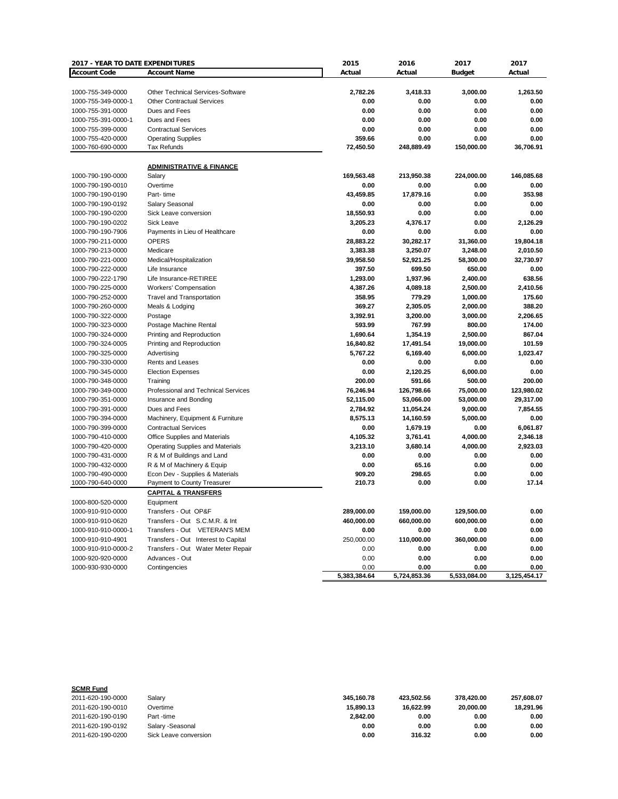| <b>Account Code</b><br><b>Account Name</b><br>Actual<br>Actual<br><b>Budget</b><br>Actual<br>Other Technical Services-Software<br>2,782.26<br>3,418.33<br>1000-755-349-0000<br>3,000.00<br>1,263.50<br>1000-755-349-0000-1<br><b>Other Contractual Services</b><br>0.00<br>0.00<br>0.00<br>0.00<br>0.00<br>0.00<br>1000-755-391-0000<br>Dues and Fees<br>0.00<br>0.00<br>0.00<br>0.00<br>0.00<br>1000-755-391-0000-1<br>Dues and Fees<br>0.00<br>0.00<br>1000-755-399-0000<br><b>Contractual Services</b><br>0.00<br>0.00<br>0.00<br>359.66<br>0.00<br>1000-755-420-0000<br><b>Operating Supplies</b><br>0.00<br>0.00<br>72,450.50<br>36,706.91<br>1000-760-690-0000<br><b>Tax Refunds</b><br>248,889.49<br>150,000.00<br><b>ADMINISTRATIVE &amp; FINANCE</b><br>146,085.68<br>1000-790-190-0000<br>Salary<br>169,563.48<br>213,950.38<br>224,000.00<br>1000-790-190-0010<br>Overtime<br>0.00<br>0.00<br>0.00<br>0.00<br>43,459.85<br>17,879.16<br>1000-790-190-0190<br>Part-time<br>0.00<br>353.98<br>0.00<br>1000-790-190-0192<br>Salary Seasonal<br>0.00<br>0.00<br>0.00<br>1000-790-190-0200<br>Sick Leave conversion<br>18,550.93<br>0.00<br>0.00<br>0.00<br>4.376.17<br>1000-790-190-0202<br>Sick Leave<br>3,205.23<br>0.00<br>2.126.29<br>0.00<br>1000-790-190-7906<br>Payments in Lieu of Healthcare<br>0.00<br>0.00<br>0.00<br>1000-790-211-0000<br><b>OPERS</b><br>28,883.22<br>30,282.17<br>31,360.00<br>19,804.18<br>1000-790-213-0000<br>Medicare<br>3,383.38<br>3,250.07<br>2,010.50<br>3,248.00<br>1000-790-221-0000<br>Medical/Hospitalization<br>39,958.50<br>52,921.25<br>58,300.00<br>32,730.97<br>1000-790-222-0000<br>397.50<br>699.50<br>650.00<br>0.00<br>Life Insurance<br>638.56<br>1000-790-222-1790<br>1,293.00<br>1,937.96<br>2,400.00<br>Life Insurance-RETIREE<br>2,410.56<br>1000-790-225-0000<br><b>Workers' Compensation</b><br>4,387.26<br>4,089.18<br>2,500.00<br>1000-790-252-0000<br><b>Travel and Transportation</b><br>358.95<br>779.29<br>1,000.00<br>175.60<br>1000-790-260-0000<br>369.27<br>2,305.05<br>2,000.00<br>388.20<br>Meals & Lodging<br>1000-790-322-0000<br>Postage<br>3,392.91<br>3,200.00<br>3,000.00<br>2,206.65<br>1000-790-323-0000<br>Postage Machine Rental<br>593.99<br>767.99<br>800.00<br>174.00<br>1,690.64<br>1,354.19<br>2,500.00<br>867.04<br>1000-790-324-0000<br>Printing and Reproduction<br>1000-790-324-0005<br>Printing and Reproduction<br>16,840.82<br>17,491.54<br>19,000.00<br>101.59<br>1000-790-325-0000<br>5,767.22<br>6,169.40<br>6,000.00<br>1,023.47<br>Advertising<br>0.00<br>0.00<br>0.00<br>0.00<br>1000-790-330-0000<br>Rents and Leases<br>1000-790-345-0000<br><b>Election Expenses</b><br>0.00<br>2,120.25<br>6,000.00<br>0.00<br>200.00<br>1000-790-348-0000<br>200.00<br>591.66<br>500.00<br>Training<br>Professional and Technical Services<br>76,246.94<br>126,798.66<br>75,000.00<br>123,980.02<br>1000-790-349-0000<br>1000-790-351-0000<br>Insurance and Bonding<br>52,115.00<br>53,066.00<br>53,000.00<br>29,317.00<br>1000-790-391-0000<br>2,784.92<br>11,054.24<br>9,000.00<br>7,854.55<br>Dues and Fees<br>8,575.13<br>14,160.59<br>5,000.00<br>0.00<br>1000-790-394-0000<br>Machinery, Equipment & Furniture<br>6,061.87<br>1000-790-399-0000<br><b>Contractual Services</b><br>0.00<br>1,679.19<br>0.00<br>1000-790-410-0000<br>Office Supplies and Materials<br>4,105.32<br>3,761.41<br>4,000.00<br>2,346.18<br>3,680.14<br>3,213.10<br>4,000.00<br>2,923.03<br>1000-790-420-0000<br>Operating Supplies and Materials<br>1000-790-431-0000<br>R & M of Buildings and Land<br>0.00<br>0.00<br>0.00<br>0.00 | 2017 - YEAR TO DATE EXPENDITURES |                            | 2015 | 2016  | 2017 | 2017 |
|-------------------------------------------------------------------------------------------------------------------------------------------------------------------------------------------------------------------------------------------------------------------------------------------------------------------------------------------------------------------------------------------------------------------------------------------------------------------------------------------------------------------------------------------------------------------------------------------------------------------------------------------------------------------------------------------------------------------------------------------------------------------------------------------------------------------------------------------------------------------------------------------------------------------------------------------------------------------------------------------------------------------------------------------------------------------------------------------------------------------------------------------------------------------------------------------------------------------------------------------------------------------------------------------------------------------------------------------------------------------------------------------------------------------------------------------------------------------------------------------------------------------------------------------------------------------------------------------------------------------------------------------------------------------------------------------------------------------------------------------------------------------------------------------------------------------------------------------------------------------------------------------------------------------------------------------------------------------------------------------------------------------------------------------------------------------------------------------------------------------------------------------------------------------------------------------------------------------------------------------------------------------------------------------------------------------------------------------------------------------------------------------------------------------------------------------------------------------------------------------------------------------------------------------------------------------------------------------------------------------------------------------------------------------------------------------------------------------------------------------------------------------------------------------------------------------------------------------------------------------------------------------------------------------------------------------------------------------------------------------------------------------------------------------------------------------------------------------------------------------------------------------------------------------------------------------------------------------------------------------------------------------------------------------------------------------------------------------------------------------------------------------------------------------------------------------------------------------------------------------------------------------------------------------------------------------------------------------------------------------|----------------------------------|----------------------------|------|-------|------|------|
|                                                                                                                                                                                                                                                                                                                                                                                                                                                                                                                                                                                                                                                                                                                                                                                                                                                                                                                                                                                                                                                                                                                                                                                                                                                                                                                                                                                                                                                                                                                                                                                                                                                                                                                                                                                                                                                                                                                                                                                                                                                                                                                                                                                                                                                                                                                                                                                                                                                                                                                                                                                                                                                                                                                                                                                                                                                                                                                                                                                                                                                                                                                                                                                                                                                                                                                                                                                                                                                                                                                                                                                                                   |                                  |                            |      |       |      |      |
|                                                                                                                                                                                                                                                                                                                                                                                                                                                                                                                                                                                                                                                                                                                                                                                                                                                                                                                                                                                                                                                                                                                                                                                                                                                                                                                                                                                                                                                                                                                                                                                                                                                                                                                                                                                                                                                                                                                                                                                                                                                                                                                                                                                                                                                                                                                                                                                                                                                                                                                                                                                                                                                                                                                                                                                                                                                                                                                                                                                                                                                                                                                                                                                                                                                                                                                                                                                                                                                                                                                                                                                                                   |                                  |                            |      |       |      |      |
|                                                                                                                                                                                                                                                                                                                                                                                                                                                                                                                                                                                                                                                                                                                                                                                                                                                                                                                                                                                                                                                                                                                                                                                                                                                                                                                                                                                                                                                                                                                                                                                                                                                                                                                                                                                                                                                                                                                                                                                                                                                                                                                                                                                                                                                                                                                                                                                                                                                                                                                                                                                                                                                                                                                                                                                                                                                                                                                                                                                                                                                                                                                                                                                                                                                                                                                                                                                                                                                                                                                                                                                                                   |                                  |                            |      |       |      |      |
|                                                                                                                                                                                                                                                                                                                                                                                                                                                                                                                                                                                                                                                                                                                                                                                                                                                                                                                                                                                                                                                                                                                                                                                                                                                                                                                                                                                                                                                                                                                                                                                                                                                                                                                                                                                                                                                                                                                                                                                                                                                                                                                                                                                                                                                                                                                                                                                                                                                                                                                                                                                                                                                                                                                                                                                                                                                                                                                                                                                                                                                                                                                                                                                                                                                                                                                                                                                                                                                                                                                                                                                                                   |                                  |                            |      |       |      |      |
|                                                                                                                                                                                                                                                                                                                                                                                                                                                                                                                                                                                                                                                                                                                                                                                                                                                                                                                                                                                                                                                                                                                                                                                                                                                                                                                                                                                                                                                                                                                                                                                                                                                                                                                                                                                                                                                                                                                                                                                                                                                                                                                                                                                                                                                                                                                                                                                                                                                                                                                                                                                                                                                                                                                                                                                                                                                                                                                                                                                                                                                                                                                                                                                                                                                                                                                                                                                                                                                                                                                                                                                                                   |                                  |                            |      |       |      |      |
|                                                                                                                                                                                                                                                                                                                                                                                                                                                                                                                                                                                                                                                                                                                                                                                                                                                                                                                                                                                                                                                                                                                                                                                                                                                                                                                                                                                                                                                                                                                                                                                                                                                                                                                                                                                                                                                                                                                                                                                                                                                                                                                                                                                                                                                                                                                                                                                                                                                                                                                                                                                                                                                                                                                                                                                                                                                                                                                                                                                                                                                                                                                                                                                                                                                                                                                                                                                                                                                                                                                                                                                                                   |                                  |                            |      |       |      |      |
|                                                                                                                                                                                                                                                                                                                                                                                                                                                                                                                                                                                                                                                                                                                                                                                                                                                                                                                                                                                                                                                                                                                                                                                                                                                                                                                                                                                                                                                                                                                                                                                                                                                                                                                                                                                                                                                                                                                                                                                                                                                                                                                                                                                                                                                                                                                                                                                                                                                                                                                                                                                                                                                                                                                                                                                                                                                                                                                                                                                                                                                                                                                                                                                                                                                                                                                                                                                                                                                                                                                                                                                                                   |                                  |                            |      |       |      |      |
|                                                                                                                                                                                                                                                                                                                                                                                                                                                                                                                                                                                                                                                                                                                                                                                                                                                                                                                                                                                                                                                                                                                                                                                                                                                                                                                                                                                                                                                                                                                                                                                                                                                                                                                                                                                                                                                                                                                                                                                                                                                                                                                                                                                                                                                                                                                                                                                                                                                                                                                                                                                                                                                                                                                                                                                                                                                                                                                                                                                                                                                                                                                                                                                                                                                                                                                                                                                                                                                                                                                                                                                                                   |                                  |                            |      |       |      |      |
|                                                                                                                                                                                                                                                                                                                                                                                                                                                                                                                                                                                                                                                                                                                                                                                                                                                                                                                                                                                                                                                                                                                                                                                                                                                                                                                                                                                                                                                                                                                                                                                                                                                                                                                                                                                                                                                                                                                                                                                                                                                                                                                                                                                                                                                                                                                                                                                                                                                                                                                                                                                                                                                                                                                                                                                                                                                                                                                                                                                                                                                                                                                                                                                                                                                                                                                                                                                                                                                                                                                                                                                                                   |                                  |                            |      |       |      |      |
|                                                                                                                                                                                                                                                                                                                                                                                                                                                                                                                                                                                                                                                                                                                                                                                                                                                                                                                                                                                                                                                                                                                                                                                                                                                                                                                                                                                                                                                                                                                                                                                                                                                                                                                                                                                                                                                                                                                                                                                                                                                                                                                                                                                                                                                                                                                                                                                                                                                                                                                                                                                                                                                                                                                                                                                                                                                                                                                                                                                                                                                                                                                                                                                                                                                                                                                                                                                                                                                                                                                                                                                                                   |                                  |                            |      |       |      |      |
|                                                                                                                                                                                                                                                                                                                                                                                                                                                                                                                                                                                                                                                                                                                                                                                                                                                                                                                                                                                                                                                                                                                                                                                                                                                                                                                                                                                                                                                                                                                                                                                                                                                                                                                                                                                                                                                                                                                                                                                                                                                                                                                                                                                                                                                                                                                                                                                                                                                                                                                                                                                                                                                                                                                                                                                                                                                                                                                                                                                                                                                                                                                                                                                                                                                                                                                                                                                                                                                                                                                                                                                                                   |                                  |                            |      |       |      |      |
|                                                                                                                                                                                                                                                                                                                                                                                                                                                                                                                                                                                                                                                                                                                                                                                                                                                                                                                                                                                                                                                                                                                                                                                                                                                                                                                                                                                                                                                                                                                                                                                                                                                                                                                                                                                                                                                                                                                                                                                                                                                                                                                                                                                                                                                                                                                                                                                                                                                                                                                                                                                                                                                                                                                                                                                                                                                                                                                                                                                                                                                                                                                                                                                                                                                                                                                                                                                                                                                                                                                                                                                                                   |                                  |                            |      |       |      |      |
|                                                                                                                                                                                                                                                                                                                                                                                                                                                                                                                                                                                                                                                                                                                                                                                                                                                                                                                                                                                                                                                                                                                                                                                                                                                                                                                                                                                                                                                                                                                                                                                                                                                                                                                                                                                                                                                                                                                                                                                                                                                                                                                                                                                                                                                                                                                                                                                                                                                                                                                                                                                                                                                                                                                                                                                                                                                                                                                                                                                                                                                                                                                                                                                                                                                                                                                                                                                                                                                                                                                                                                                                                   |                                  |                            |      |       |      |      |
|                                                                                                                                                                                                                                                                                                                                                                                                                                                                                                                                                                                                                                                                                                                                                                                                                                                                                                                                                                                                                                                                                                                                                                                                                                                                                                                                                                                                                                                                                                                                                                                                                                                                                                                                                                                                                                                                                                                                                                                                                                                                                                                                                                                                                                                                                                                                                                                                                                                                                                                                                                                                                                                                                                                                                                                                                                                                                                                                                                                                                                                                                                                                                                                                                                                                                                                                                                                                                                                                                                                                                                                                                   |                                  |                            |      |       |      |      |
|                                                                                                                                                                                                                                                                                                                                                                                                                                                                                                                                                                                                                                                                                                                                                                                                                                                                                                                                                                                                                                                                                                                                                                                                                                                                                                                                                                                                                                                                                                                                                                                                                                                                                                                                                                                                                                                                                                                                                                                                                                                                                                                                                                                                                                                                                                                                                                                                                                                                                                                                                                                                                                                                                                                                                                                                                                                                                                                                                                                                                                                                                                                                                                                                                                                                                                                                                                                                                                                                                                                                                                                                                   |                                  |                            |      |       |      |      |
|                                                                                                                                                                                                                                                                                                                                                                                                                                                                                                                                                                                                                                                                                                                                                                                                                                                                                                                                                                                                                                                                                                                                                                                                                                                                                                                                                                                                                                                                                                                                                                                                                                                                                                                                                                                                                                                                                                                                                                                                                                                                                                                                                                                                                                                                                                                                                                                                                                                                                                                                                                                                                                                                                                                                                                                                                                                                                                                                                                                                                                                                                                                                                                                                                                                                                                                                                                                                                                                                                                                                                                                                                   |                                  |                            |      |       |      |      |
|                                                                                                                                                                                                                                                                                                                                                                                                                                                                                                                                                                                                                                                                                                                                                                                                                                                                                                                                                                                                                                                                                                                                                                                                                                                                                                                                                                                                                                                                                                                                                                                                                                                                                                                                                                                                                                                                                                                                                                                                                                                                                                                                                                                                                                                                                                                                                                                                                                                                                                                                                                                                                                                                                                                                                                                                                                                                                                                                                                                                                                                                                                                                                                                                                                                                                                                                                                                                                                                                                                                                                                                                                   |                                  |                            |      |       |      |      |
|                                                                                                                                                                                                                                                                                                                                                                                                                                                                                                                                                                                                                                                                                                                                                                                                                                                                                                                                                                                                                                                                                                                                                                                                                                                                                                                                                                                                                                                                                                                                                                                                                                                                                                                                                                                                                                                                                                                                                                                                                                                                                                                                                                                                                                                                                                                                                                                                                                                                                                                                                                                                                                                                                                                                                                                                                                                                                                                                                                                                                                                                                                                                                                                                                                                                                                                                                                                                                                                                                                                                                                                                                   |                                  |                            |      |       |      |      |
|                                                                                                                                                                                                                                                                                                                                                                                                                                                                                                                                                                                                                                                                                                                                                                                                                                                                                                                                                                                                                                                                                                                                                                                                                                                                                                                                                                                                                                                                                                                                                                                                                                                                                                                                                                                                                                                                                                                                                                                                                                                                                                                                                                                                                                                                                                                                                                                                                                                                                                                                                                                                                                                                                                                                                                                                                                                                                                                                                                                                                                                                                                                                                                                                                                                                                                                                                                                                                                                                                                                                                                                                                   |                                  |                            |      |       |      |      |
|                                                                                                                                                                                                                                                                                                                                                                                                                                                                                                                                                                                                                                                                                                                                                                                                                                                                                                                                                                                                                                                                                                                                                                                                                                                                                                                                                                                                                                                                                                                                                                                                                                                                                                                                                                                                                                                                                                                                                                                                                                                                                                                                                                                                                                                                                                                                                                                                                                                                                                                                                                                                                                                                                                                                                                                                                                                                                                                                                                                                                                                                                                                                                                                                                                                                                                                                                                                                                                                                                                                                                                                                                   |                                  |                            |      |       |      |      |
|                                                                                                                                                                                                                                                                                                                                                                                                                                                                                                                                                                                                                                                                                                                                                                                                                                                                                                                                                                                                                                                                                                                                                                                                                                                                                                                                                                                                                                                                                                                                                                                                                                                                                                                                                                                                                                                                                                                                                                                                                                                                                                                                                                                                                                                                                                                                                                                                                                                                                                                                                                                                                                                                                                                                                                                                                                                                                                                                                                                                                                                                                                                                                                                                                                                                                                                                                                                                                                                                                                                                                                                                                   |                                  |                            |      |       |      |      |
|                                                                                                                                                                                                                                                                                                                                                                                                                                                                                                                                                                                                                                                                                                                                                                                                                                                                                                                                                                                                                                                                                                                                                                                                                                                                                                                                                                                                                                                                                                                                                                                                                                                                                                                                                                                                                                                                                                                                                                                                                                                                                                                                                                                                                                                                                                                                                                                                                                                                                                                                                                                                                                                                                                                                                                                                                                                                                                                                                                                                                                                                                                                                                                                                                                                                                                                                                                                                                                                                                                                                                                                                                   |                                  |                            |      |       |      |      |
|                                                                                                                                                                                                                                                                                                                                                                                                                                                                                                                                                                                                                                                                                                                                                                                                                                                                                                                                                                                                                                                                                                                                                                                                                                                                                                                                                                                                                                                                                                                                                                                                                                                                                                                                                                                                                                                                                                                                                                                                                                                                                                                                                                                                                                                                                                                                                                                                                                                                                                                                                                                                                                                                                                                                                                                                                                                                                                                                                                                                                                                                                                                                                                                                                                                                                                                                                                                                                                                                                                                                                                                                                   |                                  |                            |      |       |      |      |
|                                                                                                                                                                                                                                                                                                                                                                                                                                                                                                                                                                                                                                                                                                                                                                                                                                                                                                                                                                                                                                                                                                                                                                                                                                                                                                                                                                                                                                                                                                                                                                                                                                                                                                                                                                                                                                                                                                                                                                                                                                                                                                                                                                                                                                                                                                                                                                                                                                                                                                                                                                                                                                                                                                                                                                                                                                                                                                                                                                                                                                                                                                                                                                                                                                                                                                                                                                                                                                                                                                                                                                                                                   |                                  |                            |      |       |      |      |
|                                                                                                                                                                                                                                                                                                                                                                                                                                                                                                                                                                                                                                                                                                                                                                                                                                                                                                                                                                                                                                                                                                                                                                                                                                                                                                                                                                                                                                                                                                                                                                                                                                                                                                                                                                                                                                                                                                                                                                                                                                                                                                                                                                                                                                                                                                                                                                                                                                                                                                                                                                                                                                                                                                                                                                                                                                                                                                                                                                                                                                                                                                                                                                                                                                                                                                                                                                                                                                                                                                                                                                                                                   |                                  |                            |      |       |      |      |
|                                                                                                                                                                                                                                                                                                                                                                                                                                                                                                                                                                                                                                                                                                                                                                                                                                                                                                                                                                                                                                                                                                                                                                                                                                                                                                                                                                                                                                                                                                                                                                                                                                                                                                                                                                                                                                                                                                                                                                                                                                                                                                                                                                                                                                                                                                                                                                                                                                                                                                                                                                                                                                                                                                                                                                                                                                                                                                                                                                                                                                                                                                                                                                                                                                                                                                                                                                                                                                                                                                                                                                                                                   |                                  |                            |      |       |      |      |
|                                                                                                                                                                                                                                                                                                                                                                                                                                                                                                                                                                                                                                                                                                                                                                                                                                                                                                                                                                                                                                                                                                                                                                                                                                                                                                                                                                                                                                                                                                                                                                                                                                                                                                                                                                                                                                                                                                                                                                                                                                                                                                                                                                                                                                                                                                                                                                                                                                                                                                                                                                                                                                                                                                                                                                                                                                                                                                                                                                                                                                                                                                                                                                                                                                                                                                                                                                                                                                                                                                                                                                                                                   |                                  |                            |      |       |      |      |
|                                                                                                                                                                                                                                                                                                                                                                                                                                                                                                                                                                                                                                                                                                                                                                                                                                                                                                                                                                                                                                                                                                                                                                                                                                                                                                                                                                                                                                                                                                                                                                                                                                                                                                                                                                                                                                                                                                                                                                                                                                                                                                                                                                                                                                                                                                                                                                                                                                                                                                                                                                                                                                                                                                                                                                                                                                                                                                                                                                                                                                                                                                                                                                                                                                                                                                                                                                                                                                                                                                                                                                                                                   |                                  |                            |      |       |      |      |
|                                                                                                                                                                                                                                                                                                                                                                                                                                                                                                                                                                                                                                                                                                                                                                                                                                                                                                                                                                                                                                                                                                                                                                                                                                                                                                                                                                                                                                                                                                                                                                                                                                                                                                                                                                                                                                                                                                                                                                                                                                                                                                                                                                                                                                                                                                                                                                                                                                                                                                                                                                                                                                                                                                                                                                                                                                                                                                                                                                                                                                                                                                                                                                                                                                                                                                                                                                                                                                                                                                                                                                                                                   |                                  |                            |      |       |      |      |
|                                                                                                                                                                                                                                                                                                                                                                                                                                                                                                                                                                                                                                                                                                                                                                                                                                                                                                                                                                                                                                                                                                                                                                                                                                                                                                                                                                                                                                                                                                                                                                                                                                                                                                                                                                                                                                                                                                                                                                                                                                                                                                                                                                                                                                                                                                                                                                                                                                                                                                                                                                                                                                                                                                                                                                                                                                                                                                                                                                                                                                                                                                                                                                                                                                                                                                                                                                                                                                                                                                                                                                                                                   |                                  |                            |      |       |      |      |
|                                                                                                                                                                                                                                                                                                                                                                                                                                                                                                                                                                                                                                                                                                                                                                                                                                                                                                                                                                                                                                                                                                                                                                                                                                                                                                                                                                                                                                                                                                                                                                                                                                                                                                                                                                                                                                                                                                                                                                                                                                                                                                                                                                                                                                                                                                                                                                                                                                                                                                                                                                                                                                                                                                                                                                                                                                                                                                                                                                                                                                                                                                                                                                                                                                                                                                                                                                                                                                                                                                                                                                                                                   |                                  |                            |      |       |      |      |
|                                                                                                                                                                                                                                                                                                                                                                                                                                                                                                                                                                                                                                                                                                                                                                                                                                                                                                                                                                                                                                                                                                                                                                                                                                                                                                                                                                                                                                                                                                                                                                                                                                                                                                                                                                                                                                                                                                                                                                                                                                                                                                                                                                                                                                                                                                                                                                                                                                                                                                                                                                                                                                                                                                                                                                                                                                                                                                                                                                                                                                                                                                                                                                                                                                                                                                                                                                                                                                                                                                                                                                                                                   |                                  |                            |      |       |      |      |
|                                                                                                                                                                                                                                                                                                                                                                                                                                                                                                                                                                                                                                                                                                                                                                                                                                                                                                                                                                                                                                                                                                                                                                                                                                                                                                                                                                                                                                                                                                                                                                                                                                                                                                                                                                                                                                                                                                                                                                                                                                                                                                                                                                                                                                                                                                                                                                                                                                                                                                                                                                                                                                                                                                                                                                                                                                                                                                                                                                                                                                                                                                                                                                                                                                                                                                                                                                                                                                                                                                                                                                                                                   |                                  |                            |      |       |      |      |
|                                                                                                                                                                                                                                                                                                                                                                                                                                                                                                                                                                                                                                                                                                                                                                                                                                                                                                                                                                                                                                                                                                                                                                                                                                                                                                                                                                                                                                                                                                                                                                                                                                                                                                                                                                                                                                                                                                                                                                                                                                                                                                                                                                                                                                                                                                                                                                                                                                                                                                                                                                                                                                                                                                                                                                                                                                                                                                                                                                                                                                                                                                                                                                                                                                                                                                                                                                                                                                                                                                                                                                                                                   |                                  |                            |      |       |      |      |
|                                                                                                                                                                                                                                                                                                                                                                                                                                                                                                                                                                                                                                                                                                                                                                                                                                                                                                                                                                                                                                                                                                                                                                                                                                                                                                                                                                                                                                                                                                                                                                                                                                                                                                                                                                                                                                                                                                                                                                                                                                                                                                                                                                                                                                                                                                                                                                                                                                                                                                                                                                                                                                                                                                                                                                                                                                                                                                                                                                                                                                                                                                                                                                                                                                                                                                                                                                                                                                                                                                                                                                                                                   |                                  |                            |      |       |      |      |
|                                                                                                                                                                                                                                                                                                                                                                                                                                                                                                                                                                                                                                                                                                                                                                                                                                                                                                                                                                                                                                                                                                                                                                                                                                                                                                                                                                                                                                                                                                                                                                                                                                                                                                                                                                                                                                                                                                                                                                                                                                                                                                                                                                                                                                                                                                                                                                                                                                                                                                                                                                                                                                                                                                                                                                                                                                                                                                                                                                                                                                                                                                                                                                                                                                                                                                                                                                                                                                                                                                                                                                                                                   |                                  |                            |      |       |      |      |
|                                                                                                                                                                                                                                                                                                                                                                                                                                                                                                                                                                                                                                                                                                                                                                                                                                                                                                                                                                                                                                                                                                                                                                                                                                                                                                                                                                                                                                                                                                                                                                                                                                                                                                                                                                                                                                                                                                                                                                                                                                                                                                                                                                                                                                                                                                                                                                                                                                                                                                                                                                                                                                                                                                                                                                                                                                                                                                                                                                                                                                                                                                                                                                                                                                                                                                                                                                                                                                                                                                                                                                                                                   |                                  |                            |      |       |      |      |
|                                                                                                                                                                                                                                                                                                                                                                                                                                                                                                                                                                                                                                                                                                                                                                                                                                                                                                                                                                                                                                                                                                                                                                                                                                                                                                                                                                                                                                                                                                                                                                                                                                                                                                                                                                                                                                                                                                                                                                                                                                                                                                                                                                                                                                                                                                                                                                                                                                                                                                                                                                                                                                                                                                                                                                                                                                                                                                                                                                                                                                                                                                                                                                                                                                                                                                                                                                                                                                                                                                                                                                                                                   |                                  |                            |      |       |      |      |
|                                                                                                                                                                                                                                                                                                                                                                                                                                                                                                                                                                                                                                                                                                                                                                                                                                                                                                                                                                                                                                                                                                                                                                                                                                                                                                                                                                                                                                                                                                                                                                                                                                                                                                                                                                                                                                                                                                                                                                                                                                                                                                                                                                                                                                                                                                                                                                                                                                                                                                                                                                                                                                                                                                                                                                                                                                                                                                                                                                                                                                                                                                                                                                                                                                                                                                                                                                                                                                                                                                                                                                                                                   |                                  |                            |      |       |      |      |
|                                                                                                                                                                                                                                                                                                                                                                                                                                                                                                                                                                                                                                                                                                                                                                                                                                                                                                                                                                                                                                                                                                                                                                                                                                                                                                                                                                                                                                                                                                                                                                                                                                                                                                                                                                                                                                                                                                                                                                                                                                                                                                                                                                                                                                                                                                                                                                                                                                                                                                                                                                                                                                                                                                                                                                                                                                                                                                                                                                                                                                                                                                                                                                                                                                                                                                                                                                                                                                                                                                                                                                                                                   |                                  |                            |      |       |      |      |
|                                                                                                                                                                                                                                                                                                                                                                                                                                                                                                                                                                                                                                                                                                                                                                                                                                                                                                                                                                                                                                                                                                                                                                                                                                                                                                                                                                                                                                                                                                                                                                                                                                                                                                                                                                                                                                                                                                                                                                                                                                                                                                                                                                                                                                                                                                                                                                                                                                                                                                                                                                                                                                                                                                                                                                                                                                                                                                                                                                                                                                                                                                                                                                                                                                                                                                                                                                                                                                                                                                                                                                                                                   |                                  |                            |      |       |      |      |
|                                                                                                                                                                                                                                                                                                                                                                                                                                                                                                                                                                                                                                                                                                                                                                                                                                                                                                                                                                                                                                                                                                                                                                                                                                                                                                                                                                                                                                                                                                                                                                                                                                                                                                                                                                                                                                                                                                                                                                                                                                                                                                                                                                                                                                                                                                                                                                                                                                                                                                                                                                                                                                                                                                                                                                                                                                                                                                                                                                                                                                                                                                                                                                                                                                                                                                                                                                                                                                                                                                                                                                                                                   |                                  |                            |      |       |      |      |
|                                                                                                                                                                                                                                                                                                                                                                                                                                                                                                                                                                                                                                                                                                                                                                                                                                                                                                                                                                                                                                                                                                                                                                                                                                                                                                                                                                                                                                                                                                                                                                                                                                                                                                                                                                                                                                                                                                                                                                                                                                                                                                                                                                                                                                                                                                                                                                                                                                                                                                                                                                                                                                                                                                                                                                                                                                                                                                                                                                                                                                                                                                                                                                                                                                                                                                                                                                                                                                                                                                                                                                                                                   | 1000-790-432-0000                | R & M of Machinery & Equip | 0.00 | 65.16 | 0.00 | 0.00 |
| 909.20<br>0.00<br>1000-790-490-0000<br>Econ Dev - Supplies & Materials<br>298.65<br>0.00                                                                                                                                                                                                                                                                                                                                                                                                                                                                                                                                                                                                                                                                                                                                                                                                                                                                                                                                                                                                                                                                                                                                                                                                                                                                                                                                                                                                                                                                                                                                                                                                                                                                                                                                                                                                                                                                                                                                                                                                                                                                                                                                                                                                                                                                                                                                                                                                                                                                                                                                                                                                                                                                                                                                                                                                                                                                                                                                                                                                                                                                                                                                                                                                                                                                                                                                                                                                                                                                                                                          |                                  |                            |      |       |      |      |
| 17.14<br>1000-790-640-0000<br>Payment to County Treasurer<br>210.73<br>0.00<br>0.00                                                                                                                                                                                                                                                                                                                                                                                                                                                                                                                                                                                                                                                                                                                                                                                                                                                                                                                                                                                                                                                                                                                                                                                                                                                                                                                                                                                                                                                                                                                                                                                                                                                                                                                                                                                                                                                                                                                                                                                                                                                                                                                                                                                                                                                                                                                                                                                                                                                                                                                                                                                                                                                                                                                                                                                                                                                                                                                                                                                                                                                                                                                                                                                                                                                                                                                                                                                                                                                                                                                               |                                  |                            |      |       |      |      |
| <b>CAPITAL &amp; TRANSFERS</b>                                                                                                                                                                                                                                                                                                                                                                                                                                                                                                                                                                                                                                                                                                                                                                                                                                                                                                                                                                                                                                                                                                                                                                                                                                                                                                                                                                                                                                                                                                                                                                                                                                                                                                                                                                                                                                                                                                                                                                                                                                                                                                                                                                                                                                                                                                                                                                                                                                                                                                                                                                                                                                                                                                                                                                                                                                                                                                                                                                                                                                                                                                                                                                                                                                                                                                                                                                                                                                                                                                                                                                                    |                                  |                            |      |       |      |      |
| 1000-800-520-0000<br>Equipment                                                                                                                                                                                                                                                                                                                                                                                                                                                                                                                                                                                                                                                                                                                                                                                                                                                                                                                                                                                                                                                                                                                                                                                                                                                                                                                                                                                                                                                                                                                                                                                                                                                                                                                                                                                                                                                                                                                                                                                                                                                                                                                                                                                                                                                                                                                                                                                                                                                                                                                                                                                                                                                                                                                                                                                                                                                                                                                                                                                                                                                                                                                                                                                                                                                                                                                                                                                                                                                                                                                                                                                    |                                  |                            |      |       |      |      |
| 1000-910-910-0000<br>Transfers - Out OP&F<br>289,000.00<br>159,000.00<br>129,500.00<br>0.00                                                                                                                                                                                                                                                                                                                                                                                                                                                                                                                                                                                                                                                                                                                                                                                                                                                                                                                                                                                                                                                                                                                                                                                                                                                                                                                                                                                                                                                                                                                                                                                                                                                                                                                                                                                                                                                                                                                                                                                                                                                                                                                                                                                                                                                                                                                                                                                                                                                                                                                                                                                                                                                                                                                                                                                                                                                                                                                                                                                                                                                                                                                                                                                                                                                                                                                                                                                                                                                                                                                       |                                  |                            |      |       |      |      |
| Transfers - Out S.C.M.R. & Int<br>460,000.00<br>660,000.00<br>600,000.00<br>0.00<br>1000-910-910-0620                                                                                                                                                                                                                                                                                                                                                                                                                                                                                                                                                                                                                                                                                                                                                                                                                                                                                                                                                                                                                                                                                                                                                                                                                                                                                                                                                                                                                                                                                                                                                                                                                                                                                                                                                                                                                                                                                                                                                                                                                                                                                                                                                                                                                                                                                                                                                                                                                                                                                                                                                                                                                                                                                                                                                                                                                                                                                                                                                                                                                                                                                                                                                                                                                                                                                                                                                                                                                                                                                                             |                                  |                            |      |       |      |      |
| 1000-910-910-0000-1<br>Transfers - Out VETERAN'S MEM<br>0.00<br>0.00<br>0.00<br>0.00                                                                                                                                                                                                                                                                                                                                                                                                                                                                                                                                                                                                                                                                                                                                                                                                                                                                                                                                                                                                                                                                                                                                                                                                                                                                                                                                                                                                                                                                                                                                                                                                                                                                                                                                                                                                                                                                                                                                                                                                                                                                                                                                                                                                                                                                                                                                                                                                                                                                                                                                                                                                                                                                                                                                                                                                                                                                                                                                                                                                                                                                                                                                                                                                                                                                                                                                                                                                                                                                                                                              |                                  |                            |      |       |      |      |
| 250.000.00<br>110,000.00<br>360,000.00<br>1000-910-910-4901<br>Transfers - Out Interest to Capital<br>0.00                                                                                                                                                                                                                                                                                                                                                                                                                                                                                                                                                                                                                                                                                                                                                                                                                                                                                                                                                                                                                                                                                                                                                                                                                                                                                                                                                                                                                                                                                                                                                                                                                                                                                                                                                                                                                                                                                                                                                                                                                                                                                                                                                                                                                                                                                                                                                                                                                                                                                                                                                                                                                                                                                                                                                                                                                                                                                                                                                                                                                                                                                                                                                                                                                                                                                                                                                                                                                                                                                                        |                                  |                            |      |       |      |      |
| 0.00<br>0.00<br>1000-910-910-0000-2<br>Transfers - Out Water Meter Repair<br>0.00<br>0.00                                                                                                                                                                                                                                                                                                                                                                                                                                                                                                                                                                                                                                                                                                                                                                                                                                                                                                                                                                                                                                                                                                                                                                                                                                                                                                                                                                                                                                                                                                                                                                                                                                                                                                                                                                                                                                                                                                                                                                                                                                                                                                                                                                                                                                                                                                                                                                                                                                                                                                                                                                                                                                                                                                                                                                                                                                                                                                                                                                                                                                                                                                                                                                                                                                                                                                                                                                                                                                                                                                                         |                                  |                            |      |       |      |      |
| 1000-920-920-0000<br>Advances - Out<br>0.00<br>0.00<br>0.00<br>0.00                                                                                                                                                                                                                                                                                                                                                                                                                                                                                                                                                                                                                                                                                                                                                                                                                                                                                                                                                                                                                                                                                                                                                                                                                                                                                                                                                                                                                                                                                                                                                                                                                                                                                                                                                                                                                                                                                                                                                                                                                                                                                                                                                                                                                                                                                                                                                                                                                                                                                                                                                                                                                                                                                                                                                                                                                                                                                                                                                                                                                                                                                                                                                                                                                                                                                                                                                                                                                                                                                                                                               |                                  |                            |      |       |      |      |
| 0.00<br>0.00<br>1000-930-930-0000<br>Contingencies<br>0.00<br>0.00                                                                                                                                                                                                                                                                                                                                                                                                                                                                                                                                                                                                                                                                                                                                                                                                                                                                                                                                                                                                                                                                                                                                                                                                                                                                                                                                                                                                                                                                                                                                                                                                                                                                                                                                                                                                                                                                                                                                                                                                                                                                                                                                                                                                                                                                                                                                                                                                                                                                                                                                                                                                                                                                                                                                                                                                                                                                                                                                                                                                                                                                                                                                                                                                                                                                                                                                                                                                                                                                                                                                                |                                  |                            |      |       |      |      |
| 5,383,384.64<br>5,533,084.00<br>3,125,454.17<br>5,724,853.36                                                                                                                                                                                                                                                                                                                                                                                                                                                                                                                                                                                                                                                                                                                                                                                                                                                                                                                                                                                                                                                                                                                                                                                                                                                                                                                                                                                                                                                                                                                                                                                                                                                                                                                                                                                                                                                                                                                                                                                                                                                                                                                                                                                                                                                                                                                                                                                                                                                                                                                                                                                                                                                                                                                                                                                                                                                                                                                                                                                                                                                                                                                                                                                                                                                                                                                                                                                                                                                                                                                                                      |                                  |                            |      |       |      |      |

| <b>SCMR Fund</b>  |                       |            |            |            |            |
|-------------------|-----------------------|------------|------------|------------|------------|
| 2011-620-190-0000 | Salarv                | 345.160.78 | 423.502.56 | 378.420.00 | 257.608.07 |
| 2011-620-190-0010 | Overtime              | 15,890.13  | 16.622.99  | 20.000.00  | 18.291.96  |
| 2011-620-190-0190 | Part -time            | 2.842.00   | 0.00       | 0.00       | 0.00       |
| 2011-620-190-0192 | Salary -Seasonal      | 0.00       | 0.00       | 0.00       | 0.00       |
| 2011-620-190-0200 | Sick Leave conversion | 0.00       | 316.32     | 0.00       | 0.00       |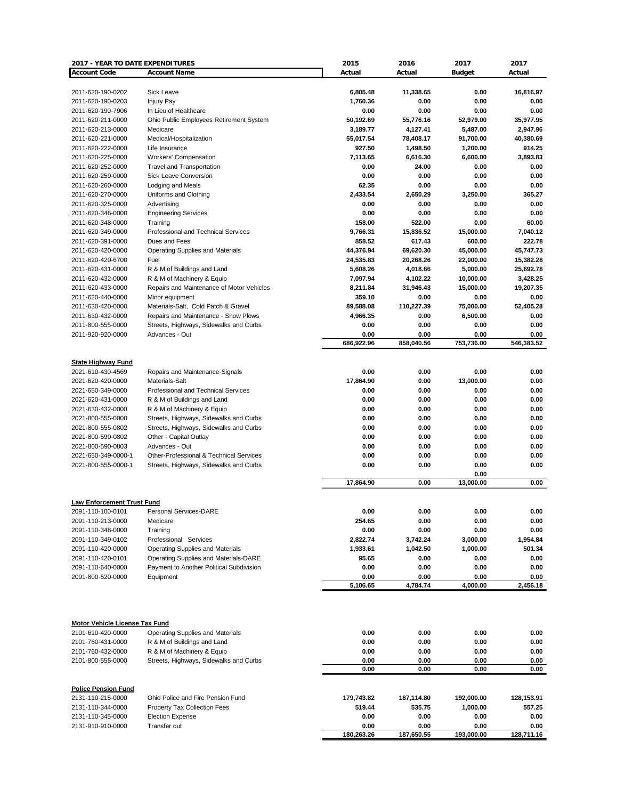| 2017 - YEAR TO DATE EXPENDITURES      |                                                    | 2015       | 2016       | 2017          | 2017       |
|---------------------------------------|----------------------------------------------------|------------|------------|---------------|------------|
| <b>Account Code</b>                   | <b>Account Name</b>                                | Actual     | Actual     | <b>Budget</b> | Actual     |
|                                       |                                                    |            |            |               |            |
| 2011-620-190-0202                     | Sick Leave                                         | 6,805.48   | 11,338.65  | 0.00          | 16,816.97  |
| 2011-620-190-0203                     | <b>Injury Pay</b>                                  | 1,760.36   | 0.00       | 0.00          | 0.00       |
| 2011-620-190-7906                     | In Lieu of Healthcare                              | 0.00       | 0.00       | 0.00          | 0.00       |
| 2011-620-211-0000                     | Ohio Public Employees Retirement System            | 50,192.69  | 55,776.16  | 52,979.00     | 35,977.95  |
| 2011-620-213-0000                     | Medicare                                           | 3,189.77   | 4,127.41   | 5,487.00      | 2,947.96   |
| 2011-620-221-0000                     | Medical/Hospitalization                            | 55,017.54  | 78,408.17  | 91,700.00     | 40,380.69  |
| 2011-620-222-0000                     | Life Insurance                                     | 927.50     | 1,498.50   | 1,200.00      | 914.25     |
| 2011-620-225-0000                     | Workers' Compensation                              | 7,113.65   | 6,616.30   | 6,600.00      | 3,893.83   |
| 2011-620-252-0000                     | <b>Travel and Transportation</b>                   | 0.00       | 24.00      | 0.00          | 0.00       |
| 2011-620-259-0000                     | <b>Sick Leave Conversion</b>                       | 0.00       | 0.00       | 0.00          | 0.00       |
| 2011-620-260-0000                     | Lodging and Meals                                  | 62.35      | 0.00       | 0.00          | 0.00       |
| 2011-620-270-0000                     | Uniforms and Clothing                              | 2,433.54   | 2,650.29   | 3,250.00      | 365.27     |
| 2011-620-325-0000                     | Advertising                                        | 0.00       | 0.00       | 0.00          | 0.00       |
| 2011-620-346-0000                     | <b>Engineering Services</b>                        | 0.00       | 0.00       | 0.00          | 0.00       |
| 2011-620-348-0000                     | Training                                           | 158.00     | 522.00     | 0.00          | 60.00      |
| 2011-620-349-0000                     | Professional and Technical Services                | 9,766.31   | 15,836.52  | 15,000.00     | 7,040.12   |
| 2011-620-391-0000                     | Dues and Fees                                      | 858.52     | 617.43     | 600.00        | 222.78     |
| 2011-620-420-0000                     | Operating Supplies and Materials                   | 44,376.94  | 69,620.30  | 45,000.00     | 45,747.73  |
| 2011-620-420-6700                     | Fuel                                               | 24,535.83  | 20,268.26  | 22,000.00     | 15,382.28  |
| 2011-620-431-0000                     | R & M of Buildings and Land                        | 5,608.26   | 4,018.66   | 5,000.00      | 25,692.78  |
| 2011-620-432-0000                     | R & M of Machinery & Equip                         | 7,097.94   | 4,102.22   | 10,000.00     | 3,428.25   |
| 2011-620-433-0000                     | Repairs and Maintenance of Motor Vehicles          | 8,211.84   | 31,946.43  | 15,000.00     | 19,207.35  |
| 2011-620-440-0000                     | Minor equipment                                    | 359.10     | 0.00       | 0.00          | 0.00       |
| 2011-630-420-0000                     | Materials-Salt, Cold Patch & Gravel                | 89,588.08  | 110,227.39 | 75,000.00     | 52,405.28  |
| 2011-630-432-0000                     | Repairs and Maintenance - Snow Plows               | 4,966.35   | 0.00       | 6,500.00      | 0.00       |
| 2011-800-555-0000                     | Streets, Highways, Sidewalks and Curbs             | 0.00       | 0.00       | 0.00          | 0.00       |
| 2011-920-920-0000                     | Advances - Out                                     | 0.00       | 0.00       | 0.00          | 0.00       |
|                                       |                                                    | 686.922.96 | 858,040.56 | 753,736.00    | 546,383.52 |
|                                       |                                                    |            |            |               |            |
| <b>State Highway Fund</b>             |                                                    |            |            |               |            |
| 2021-610-430-4569                     | Repairs and Maintenance-Signals                    | 0.00       | 0.00       | 0.00          | 0.00       |
| 2021-620-420-0000                     | Materials-Salt                                     | 17,864.90  | 0.00       | 13,000.00     | 0.00       |
| 2021-650-349-0000                     | Professional and Technical Services                | 0.00       | 0.00       | 0.00          | 0.00       |
| 2021-620-431-0000                     | R & M of Buildings and Land                        | 0.00       | 0.00       | 0.00          | 0.00       |
| 2021-630-432-0000                     | R & M of Machinery & Equip                         | 0.00       | 0.00       | 0.00          | 0.00       |
| 2021-800-555-0000                     | Streets, Highways, Sidewalks and Curbs             | 0.00       | 0.00       | 0.00          | 0.00       |
| 2021-800-555-0802                     | Streets, Highways, Sidewalks and Curbs             | 0.00       | 0.00       | 0.00          | 0.00       |
| 2021-800-590-0802                     | Other - Capital Outlay                             | 0.00       | 0.00       | 0.00          | 0.00       |
| 2021-800-590-0803                     | Advances - Out                                     | 0.00       | 0.00       | 0.00          | 0.00       |
| 2021-650-349-0000-1                   | <b>Other-Professional &amp; Technical Services</b> | 0.00       | 0.00       | 0.00          | 0.00       |
| 2021-800-555-0000-1                   | Streets, Highways, Sidewalks and Curbs             | 0.00       | 0.00       | 0.00          | 0.00       |
|                                       |                                                    |            |            | 0.00          |            |
|                                       |                                                    | 17,864.90  | 0.00       | 13,000.00     | 0.00       |
|                                       |                                                    |            |            |               |            |
| <b>Law Enforcement Trust Fund</b>     |                                                    |            |            |               |            |
| 2091-110-100-0101                     | Personal Services-DARE                             | 0.00       | 0.00       | 0.00          | 0.00       |
| 2091-110-213-0000                     | Medicare                                           | 254.65     | 0.00       | 0.00          | 0.00       |
| 2091-110-348-0000                     | Training                                           | 0.00       | 0.00       | 0.00          | 0.00       |
| 2091-110-349-0102                     | Professional Services                              | 2,822.74   | 3,742.24   | 3,000.00      | 1,954.84   |
| 2091-110-420-0000                     | <b>Operating Supplies and Materials</b>            | 1,933.61   | 1,042.50   | 1,000.00      | 501.34     |
| 2091-110-420-0101                     | Operating Supplies and Materials-DARE              | 95.65      | 0.00       | 0.00          | 0.00       |
| 2091-110-640-0000                     | Payment to Another Political Subdivision           | 0.00       | 0.00       | 0.00          | 0.00       |
| 2091-800-520-0000                     | Equipment                                          | 0.00       | 0.00       | 0.00          | 0.00       |
|                                       |                                                    | 5,106.65   | 4,784.74   | 4,000.00      | 2,456.18   |
|                                       |                                                    |            |            |               |            |
|                                       |                                                    |            |            |               |            |
|                                       |                                                    |            |            |               |            |
| <b>Motor Vehicle License Tax Fund</b> |                                                    |            |            |               |            |
| 2101-610-420-0000                     | <b>Operating Supplies and Materials</b>            | 0.00       | 0.00       | 0.00          | 0.00       |
| 2101-760-431-0000                     | R & M of Buildings and Land                        | 0.00       | 0.00       | 0.00          | 0.00       |
| 2101-760-432-0000                     | R & M of Machinery & Equip                         | 0.00       | 0.00       | 0.00          | 0.00       |
| 2101-800-555-0000                     | Streets, Highways, Sidewalks and Curbs             | 0.00       | 0.00       | 0.00          | 0.00       |
|                                       |                                                    | 0.00       | 0.00       | 0.00          | 0.00       |
|                                       |                                                    |            |            |               |            |
| <b>Police Pension Fund</b>            |                                                    |            |            |               |            |
| 2131-110-215-0000                     | Ohio Police and Fire Pension Fund                  | 179,743.82 | 187,114.80 | 192,000.00    | 128,153.91 |
| 2131-110-344-0000                     | Property Tax Collection Fees                       | 519.44     | 535.75     | 1,000.00      | 557.25     |
| 2131-110-345-0000                     | <b>Election Expense</b>                            | 0.00       | 0.00       | 0.00          | 0.00       |
| 2131-910-910-0000                     | Transfer out                                       | 0.00       | 0.00       | 0.00          | 0.00       |
|                                       |                                                    | 180.263.26 | 187.650.55 | 193.000.00    | 128.711.16 |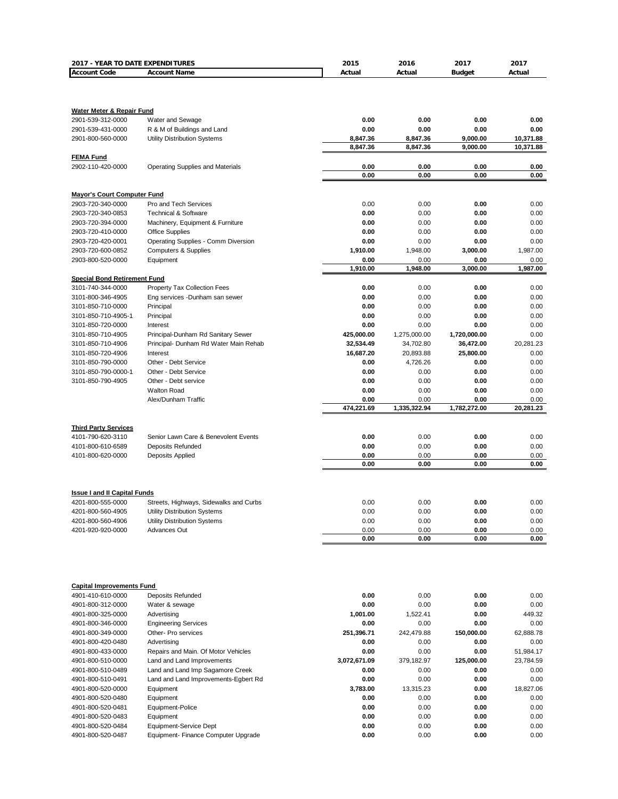| 2017 - YEAR TO DATE EXPENDITURES                         |                                                                             | 2015                    | 2016                 | 2017                      | 2017         |
|----------------------------------------------------------|-----------------------------------------------------------------------------|-------------------------|----------------------|---------------------------|--------------|
| <b>Account Code</b>                                      | <b>Account Name</b>                                                         | Actual                  | Actual               | <b>Budget</b>             | Actual       |
|                                                          |                                                                             |                         |                      |                           |              |
|                                                          |                                                                             |                         |                      |                           |              |
| Water Meter & Repair Fund                                |                                                                             | 0.00                    | 0.00                 | 0.00                      | 0.00         |
| 2901-539-312-0000<br>2901-539-431-0000                   | Water and Sewage<br>R & M of Buildings and Land                             | 0.00                    | 0.00                 | 0.00                      | 0.00         |
| 2901-800-560-0000                                        | <b>Utility Distribution Systems</b>                                         | 8,847.36                | 8,847.36             | 9,000.00                  | 10,371.88    |
|                                                          |                                                                             | 8,847.36                | 8,847.36             | 9,000.00                  | 10,371.88    |
| <b>FEMA Fund</b>                                         |                                                                             |                         |                      |                           |              |
| 2902-110-420-0000                                        | <b>Operating Supplies and Materials</b>                                     | 0.00                    | 0.00                 | 0.00                      | 0.00         |
|                                                          |                                                                             | 0.00                    | 0.00                 | 0.00                      | 0.00         |
|                                                          |                                                                             |                         |                      |                           |              |
| <b>Mayor's Court Computer Fund</b>                       |                                                                             |                         |                      |                           |              |
| 2903-720-340-0000                                        | Pro and Tech Services                                                       | 0.00                    | 0.00                 | 0.00                      | 0.00         |
| 2903-720-340-0853                                        | <b>Technical &amp; Software</b>                                             | 0.00                    | 0.00                 | 0.00                      | 0.00         |
| 2903-720-394-0000                                        | Machinery, Equipment & Furniture                                            | 0.00                    | 0.00                 | 0.00                      | 0.00         |
| 2903-720-410-0000                                        | <b>Office Supplies</b>                                                      | 0.00                    | 0.00                 | 0.00                      | 0.00         |
| 2903-720-420-0001                                        | Operating Supplies - Comm Diversion                                         | 0.00                    | 0.00                 | 0.00                      | 0.00         |
| 2903-720-600-0852                                        | <b>Computers &amp; Supplies</b>                                             | 1,910.00                | 1,948.00             | 3,000.00                  | 1,987.00     |
| 2903-800-520-0000                                        | Equipment                                                                   | 0.00                    | 0.00                 | 0.00                      | 0.00         |
|                                                          |                                                                             | 1.910.00                | 1,948.00             | 3.000.00                  | 1,987.00     |
| <b>Special Bond Retirement Fund</b>                      |                                                                             |                         |                      |                           |              |
| 3101-740-344-0000                                        | Property Tax Collection Fees                                                | 0.00                    | 0.00                 | 0.00                      | 0.00         |
| 3101-800-346-4905                                        | Eng services -Dunham san sewer                                              | 0.00                    | 0.00                 | 0.00                      | 0.00         |
| 3101-850-710-0000                                        | Principal                                                                   | 0.00                    | 0.00                 | 0.00                      | 0.00         |
| 3101-850-710-4905-1                                      | Principal                                                                   | 0.00                    | 0.00                 | 0.00                      | 0.00         |
| 3101-850-720-0000<br>3101-850-710-4905                   | Interest                                                                    | 0.00                    | 0.00<br>1,275,000.00 | 0.00                      | 0.00<br>0.00 |
| 3101-850-710-4906                                        | Principal-Dunham Rd Sanitary Sewer<br>Principal- Dunham Rd Water Main Rehab | 425,000.00<br>32,534.49 | 34,702.80            | 1,720,000.00<br>36,472.00 | 20,281.23    |
| 3101-850-720-4906                                        | Interest                                                                    | 16,687.20               | 20,893.88            | 25,800.00                 | 0.00         |
| 3101-850-790-0000                                        | Other - Debt Service                                                        | 0.00                    | 4,726.26             | 0.00                      | 0.00         |
| 3101-850-790-0000-1                                      | Other - Debt Service                                                        | 0.00                    | 0.00                 | 0.00                      | 0.00         |
| 3101-850-790-4905                                        | Other - Debt service                                                        | 0.00                    | 0.00                 | 0.00                      | 0.00         |
|                                                          | <b>Walton Road</b>                                                          | 0.00                    | 0.00                 | 0.00                      | 0.00         |
|                                                          | Alex/Dunham Traffic                                                         | 0.00                    | 0.00                 | 0.00                      | 0.00         |
|                                                          |                                                                             | 474,221.69              | 1,335,322.94         | 1,782,272.00              | 20,281.23    |
|                                                          |                                                                             |                         |                      |                           |              |
| <b>Third Party Services</b>                              |                                                                             |                         |                      |                           |              |
| 4101-790-620-3110                                        | Senior Lawn Care & Benevolent Events                                        | 0.00                    | 0.00                 | 0.00                      | 0.00         |
| 4101-800-610-6589                                        | <b>Deposits Refunded</b>                                                    | 0.00                    | 0.00                 | 0.00                      | 0.00         |
| 4101-800-620-0000                                        | <b>Deposits Applied</b>                                                     | 0.00                    | 0.00                 | 0.00                      | 0.00         |
|                                                          |                                                                             | 0.00                    | 0.00                 | 0.00                      | 0.00         |
|                                                          |                                                                             |                         |                      |                           |              |
|                                                          |                                                                             |                         |                      |                           |              |
| <b>Issue I and II Capital Funds</b><br>4201-800-555-0000 | Streets, Highways, Sidewalks and Curbs                                      | 0.00                    | 0.00                 | 0.00                      | 0.00         |
| 4201-800-560-4905                                        | Utility Distribution Systems                                                | 0.00                    | 0.00                 | 0.00                      | 0.00         |
| 4201-800-560-4906                                        | Utility Distribution Systems                                                | 0.00                    | 0.00                 | 0.00                      | 0.00         |
| 4201-920-920-0000                                        | Advances Out                                                                | 0.00                    | 0.00                 | 0.00                      | 0.00         |
|                                                          |                                                                             | 0.00                    | 0.00                 | 0.00                      | 0.00         |
|                                                          |                                                                             |                         |                      |                           |              |
|                                                          |                                                                             |                         |                      |                           |              |
|                                                          |                                                                             |                         |                      |                           |              |
|                                                          |                                                                             |                         |                      |                           |              |
| <b>Capital Improvements Fund</b>                         |                                                                             |                         |                      |                           |              |
| 4901-410-610-0000                                        | Deposits Refunded                                                           | 0.00                    | 0.00                 | 0.00                      | 0.00         |
| 4901-800-312-0000                                        | Water & sewage                                                              | 0.00                    | 0.00                 | 0.00                      | 0.00         |
| 4901-800-325-0000                                        | Advertising                                                                 | 1,001.00                | 1,522.41             | 0.00                      | 449.32       |
| 4901-800-346-0000                                        | <b>Engineering Services</b>                                                 | 0.00                    | 0.00                 | 0.00                      | 0.00         |
| 4901-800-349-0000                                        | Other- Pro services                                                         | 251,396.71              | 242,479.88           | 150,000.00                | 62,888.78    |
| 4901-800-420-0480                                        | Advertising                                                                 | 0.00                    | 0.00                 | 0.00                      | 0.00         |
| 4901-800-433-0000                                        | Repairs and Main. Of Motor Vehicles                                         | 0.00                    | 0.00                 | 0.00                      | 51,984.17    |
| 4901-800-510-0000                                        | Land and Land Improvements                                                  | 3,072,671.09            | 379,182.97           | 125,000.00                | 23,784.59    |
| 4901-800-510-0489<br>4901-800-510-0491                   | Land and Land Imp Sagamore Creek                                            | 0.00<br>0.00            | 0.00<br>0.00         | 0.00<br>0.00              | 0.00<br>0.00 |
| 4901-800-520-0000                                        | Land and Land Improvements-Egbert Rd<br>Equipment                           | 3,783.00                | 13,315.23            | 0.00                      | 18,827.06    |
| 4901-800-520-0480                                        | Equipment                                                                   | 0.00                    | 0.00                 | 0.00                      | 0.00         |
| 4901-800-520-0481                                        | Equipment-Police                                                            | 0.00                    | 0.00                 | 0.00                      | 0.00         |
| 4901-800-520-0483                                        | Equipment                                                                   | 0.00                    | 0.00                 | 0.00                      | 0.00         |
| 4901-800-520-0484                                        | Equipment-Service Dept                                                      | 0.00                    | 0.00                 | 0.00                      | 0.00         |
| 4901-800-520-0487                                        | Equipment- Finance Computer Upgrade                                         | 0.00                    | 0.00                 | 0.00                      | 0.00         |
|                                                          |                                                                             |                         |                      |                           |              |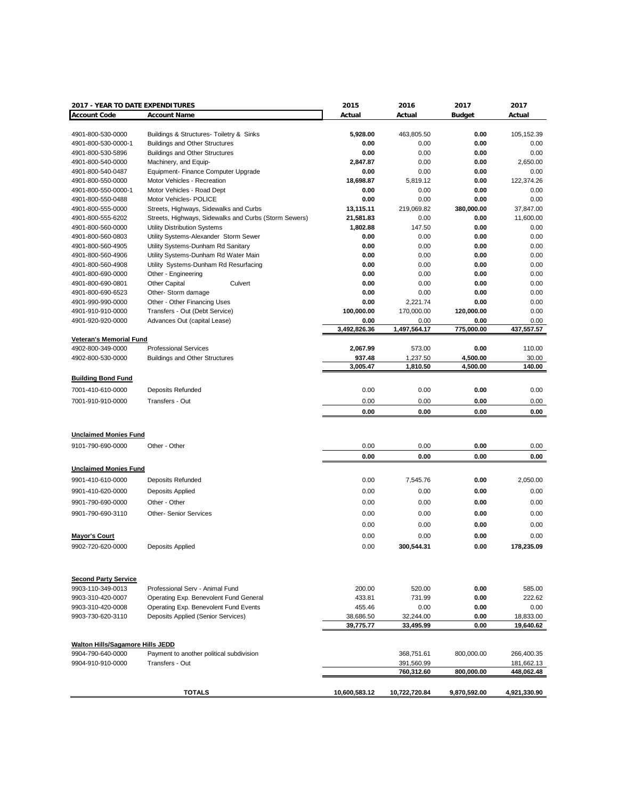| 2017 - YEAR TO DATE EXPENDITURES        |                                                       | 2015          | 2016          | 2017          | 2017         |
|-----------------------------------------|-------------------------------------------------------|---------------|---------------|---------------|--------------|
| <b>Account Code</b>                     | <b>Account Name</b>                                   | Actual        | Actual        | <b>Budget</b> | Actual       |
|                                         |                                                       |               |               |               |              |
| 4901-800-530-0000                       | Buildings & Structures- Toiletry & Sinks              | 5,928.00      | 463,805.50    | 0.00          | 105,152.39   |
| 4901-800-530-0000-1                     | <b>Buildings and Other Structures</b>                 | 0.00          | 0.00          | 0.00          | 0.00         |
| 4901-800-530-5896                       | <b>Buildings and Other Structures</b>                 | 0.00          | 0.00          | 0.00          | 0.00         |
| 4901-800-540-0000                       | Machinery, and Equip-                                 | 2,847.87      | 0.00          | 0.00          | 2,650.00     |
| 4901-800-540-0487                       | Equipment- Finance Computer Upgrade                   | 0.00          | 0.00          | 0.00          | 0.00         |
| 4901-800-550-0000                       | Motor Vehicles - Recreation                           | 18,698.87     | 5,819.12      | 0.00          | 122,374.26   |
| 4901-800-550-0000-1                     | Motor Vehicles - Road Dept                            | 0.00          | 0.00          | 0.00          | 0.00         |
| 4901-800-550-0488                       | Motor Vehicles- POLICE                                | 0.00          | 0.00          | 0.00          | 0.00         |
| 4901-800-555-0000                       | Streets, Highways, Sidewalks and Curbs                | 13,115.11     | 219,069.82    | 380,000.00    | 37,847.00    |
| 4901-800-555-6202                       | Streets, Highways, Sidewalks and Curbs (Storm Sewers) | 21,581.83     | 0.00          | 0.00          | 11,600.00    |
| 4901-800-560-0000                       | Utility Distribution Systems                          | 1,802.88      | 147.50        | 0.00          | 0.00         |
| 4901-800-560-0803                       | Utility Systems-Alexander Storm Sewer                 | 0.00          | 0.00          | 0.00          | 0.00         |
| 4901-800-560-4905                       | Utility Systems-Dunham Rd Sanitary                    | 0.00          | 0.00          | 0.00          | 0.00         |
| 4901-800-560-4906                       | Utility Systems-Dunham Rd Water Main                  | 0.00          | 0.00          | 0.00          | 0.00         |
| 4901-800-560-4908                       | Utility Systems-Dunham Rd Resurfacing                 | 0.00          | 0.00          | 0.00          | 0.00         |
| 4901-800-690-0000                       | Other - Engineering                                   | 0.00          | 0.00          | 0.00          | 0.00         |
| 4901-800-690-0801                       | <b>Other Capital</b><br>Culvert                       | 0.00          | 0.00          | 0.00          | 0.00         |
| 4901-800-690-6523                       | Other-Storm damage                                    | 0.00          | 0.00          | 0.00          | 0.00         |
| 4901-990-990-0000                       | Other - Other Financing Uses                          | 0.00          | 2,221.74      | 0.00          | 0.00         |
| 4901-910-910-0000                       | Transfers - Out (Debt Service)                        | 100,000.00    | 170,000.00    | 120,000.00    | 0.00         |
| 4901-920-920-0000                       | Advances Out (capital Lease)                          | 0.00          | 0.00          | 0.00          | 0.00         |
|                                         |                                                       | 3.492.826.36  | 1,497,564.17  | 775,000.00    | 437,557.57   |
| <b>Veteran's Memorial Fund</b>          |                                                       |               |               |               |              |
| 4902-800-349-0000                       | <b>Professional Services</b>                          | 2,067.99      | 573.00        | 0.00          | 110.00       |
| 4902-800-530-0000                       | <b>Buildings and Other Structures</b>                 | 937.48        | 1,237.50      | 4,500.00      | 30.00        |
|                                         |                                                       | 3,005.47      | 1,810.50      | 4,500.00      | 140.00       |
| <b>Building Bond Fund</b>               |                                                       |               |               |               |              |
| 7001-410-610-0000                       | Deposits Refunded                                     | 0.00          | 0.00          | 0.00          | 0.00         |
| 7001-910-910-0000                       | Transfers - Out                                       | 0.00          | 0.00          | 0.00          | 0.00         |
|                                         |                                                       |               |               |               |              |
|                                         |                                                       | 0.00          | 0.00          | 0.00          | 0.00         |
|                                         |                                                       |               |               |               |              |
| <b>Unclaimed Monies Fund</b>            |                                                       |               |               |               |              |
| 9101-790-690-0000                       | Other - Other                                         | 0.00          | 0.00          | 0.00          | 0.00         |
|                                         |                                                       | 0.00          | 0.00          | 0.00          | 0.00         |
|                                         |                                                       |               |               |               |              |
| <b>Unclaimed Monies Fund</b>            |                                                       |               |               |               |              |
| 9901-410-610-0000                       | Deposits Refunded                                     | 0.00          | 7,545.76      | 0.00          | 2,050.00     |
| 9901-410-620-0000                       | Deposits Applied                                      | 0.00          | 0.00          | 0.00          | 0.00         |
| 9901-790-690-0000                       | Other - Other                                         | 0.00          | 0.00          | 0.00          | 0.00         |
| 9901-790-690-3110                       | <b>Other- Senior Services</b>                         | 0.00          | 0.00          | 0.00          | 0.00         |
|                                         |                                                       | 0.00          | 0.00          |               | 0.00         |
|                                         |                                                       |               |               | 0.00          |              |
| <b>Mayor's Court</b>                    |                                                       | 0.00          | 0.00          | 0.00          | 0.00         |
| 9902-720-620-0000                       | Deposits Applied                                      | 0.00          | 300,544.31    | 0.00          | 178,235.09   |
|                                         |                                                       |               |               |               |              |
|                                         |                                                       |               |               |               |              |
| <b>Second Party Service</b>             |                                                       |               |               |               |              |
| 9903-110-349-0013                       | Professional Serv - Animal Fund                       | 200.00        | 520.00        | 0.00          | 585.00       |
| 9903-310-420-0007                       | Operating Exp. Benevolent Fund General                | 433.81        | 731.99        | 0.00          | 222.62       |
| 9903-310-420-0008                       | Operating Exp. Benevolent Fund Events                 | 455.46        | 0.00          | 0.00          | 0.00         |
| 9903-730-620-3110                       | Deposits Applied (Senior Services)                    | 38,686.50     | 32,244.00     | 0.00          | 18,833.00    |
|                                         |                                                       | 39,775.77     | 33,495.99     | 0.00          | 19,640.62    |
|                                         |                                                       |               |               |               |              |
| <b>Walton Hills/Sagamore Hills JEDD</b> |                                                       |               |               |               |              |
| 9904-790-640-0000                       | Payment to another political subdivision              |               | 368,751.61    | 800,000.00    | 266,400.35   |
| 9904-910-910-0000                       | Transfers - Out                                       |               | 391,560.99    |               | 181,662.13   |
|                                         |                                                       |               | 760,312.60    | 800,000.00    | 448,062.48   |
|                                         |                                                       |               |               |               |              |
|                                         | <b>TOTALS</b>                                         | 10,600,583.12 | 10,722,720.84 | 9,870,592.00  | 4,921,330.90 |
|                                         |                                                       |               |               |               |              |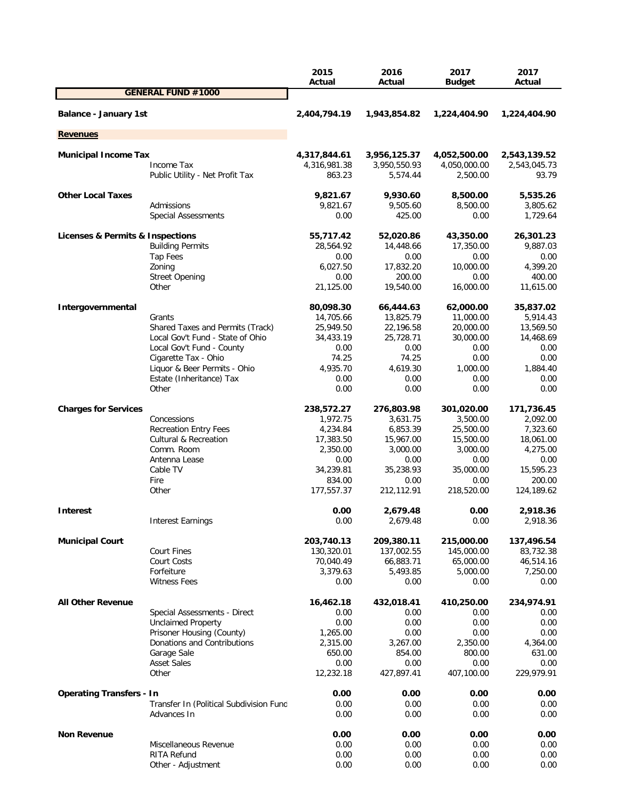|                                                 |                                                   | 2015<br>Actual               | 2016<br>Actual               | 2017<br><b>Budget</b>        | 2017<br>Actual               |
|-------------------------------------------------|---------------------------------------------------|------------------------------|------------------------------|------------------------------|------------------------------|
|                                                 | <b>GENERAL FUND #1000</b>                         |                              |                              |                              |                              |
| <b>Balance - January 1st</b>                    |                                                   | 2,404,794.19                 | 1,943,854.82                 | 1,224,404.90                 | 1,224,404.90                 |
| <b>Revenues</b>                                 |                                                   |                              |                              |                              |                              |
|                                                 |                                                   |                              |                              |                              |                              |
| <b>Municipal Income Tax</b>                     | Income Tax                                        | 4,317,844.61<br>4,316,981.38 | 3,956,125.37<br>3,950,550.93 | 4,052,500.00<br>4,050,000.00 | 2,543,139.52<br>2,543,045.73 |
|                                                 | Public Utility - Net Profit Tax                   | 863.23                       | 5,574.44                     | 2,500.00                     | 93.79                        |
| <b>Other Local Taxes</b>                        |                                                   | 9,821.67                     | 9,930.60                     | 8,500.00                     | 5,535.26                     |
|                                                 | Admissions                                        | 9,821.67                     | 9,505.60                     | 8,500.00                     | 3,805.62                     |
|                                                 | Special Assessments                               | 0.00                         | 425.00                       | 0.00                         | 1,729.64                     |
| <b>Licenses &amp; Permits &amp; Inspections</b> |                                                   | 55,717.42                    | 52,020.86                    | 43,350.00                    | 26,301.23                    |
|                                                 | <b>Building Permits</b>                           | 28,564.92                    | 14,448.66                    | 17,350.00                    | 9,887.03                     |
|                                                 | <b>Tap Fees</b>                                   | 0.00                         | 0.00                         | 0.00                         | 0.00                         |
|                                                 | Zoning                                            | 6,027.50                     | 17,832.20                    | 10,000.00                    | 4,399.20                     |
|                                                 | <b>Street Opening</b>                             | 0.00                         | 200.00                       | 0.00                         | 400.00                       |
|                                                 | Other                                             | 21,125.00                    | 19,540.00                    | 16,000.00                    | 11,615.00                    |
| Intergovernmental                               |                                                   | 80,098.30                    | 66,444.63                    | 62,000.00                    | 35,837.02                    |
|                                                 | Grants                                            | 14,705.66                    | 13,825.79                    | 11,000.00                    | 5,914.43                     |
|                                                 | Shared Taxes and Permits (Track)                  | 25,949.50                    | 22,196.58                    | 20,000.00                    | 13,569.50                    |
|                                                 | Local Gov't Fund - State of Ohio                  | 34,433.19                    | 25,728.71                    | 30,000.00                    | 14,468.69                    |
|                                                 | Local Gov't Fund - County<br>Cigarette Tax - Ohio | 0.00<br>74.25                | 0.00<br>74.25                | 0.00<br>0.00                 | 0.00<br>0.00                 |
|                                                 | Liquor & Beer Permits - Ohio                      | 4,935.70                     | 4,619.30                     | 1,000.00                     | 1,884.40                     |
|                                                 | Estate (Inheritance) Tax                          | 0.00                         | 0.00                         | 0.00                         | 0.00                         |
|                                                 | Other                                             | 0.00                         | 0.00                         | 0.00                         | 0.00                         |
| <b>Charges for Services</b>                     |                                                   | 238,572.27                   | 276,803.98                   | 301,020.00                   | 171,736.45                   |
|                                                 | Concessions                                       | 1,972.75                     | 3,631.75                     | 3,500.00                     | 2,092.00                     |
|                                                 | <b>Recreation Entry Fees</b>                      | 4,234.84                     | 6,853.39                     | 25,500.00                    | 7,323.60                     |
|                                                 | <b>Cultural &amp; Recreation</b>                  | 17,383.50                    | 15,967.00                    | 15,500.00                    | 18,061.00                    |
|                                                 | Comm. Room                                        | 2,350.00                     | 3,000.00                     | 3,000.00                     | 4,275.00                     |
|                                                 | Antenna Lease                                     | 0.00                         | 0.00                         | 0.00                         | 0.00                         |
|                                                 | Cable TV                                          | 34,239.81                    | 35,238.93                    | 35,000.00                    | 15,595.23                    |
|                                                 | Fire<br>Other                                     | 834.00<br>177,557.37         | 0.00<br>212,112.91           | 0.00<br>218,520.00           | 200.00<br>124,189.62         |
|                                                 |                                                   |                              |                              |                              |                              |
| <b>Interest</b>                                 |                                                   | 0.00<br>0.00                 | 2,679.48<br>2,679.48         | 0.00<br>0.00                 | 2,918.36<br>2,918.36         |
|                                                 | <b>Interest Earnings</b>                          |                              |                              |                              |                              |
| <b>Municipal Court</b>                          |                                                   | 203,740.13                   | 209,380.11                   | 215,000.00                   | 137,496.54                   |
|                                                 | <b>Court Fines</b>                                | 130,320.01                   | 137,002.55                   | 145,000.00                   | 83,732.38                    |
|                                                 | Court Costs<br>Forfeiture                         | 70,040.49<br>3,379.63        | 66,883.71                    | 65,000.00<br>5,000.00        | 46,514.16                    |
|                                                 | <b>Witness Fees</b>                               | 0.00                         | 5,493.85<br>0.00             | 0.00                         | 7,250.00<br>0.00             |
|                                                 |                                                   |                              |                              |                              |                              |
| <b>All Other Revenue</b>                        | Special Assessments - Direct                      | 16,462.18<br>0.00            | 432,018.41<br>0.00           | 410,250.00<br>0.00           | 234,974.91<br>0.00           |
|                                                 | <b>Unclaimed Property</b>                         | 0.00                         | 0.00                         | 0.00                         | 0.00                         |
|                                                 | Prisoner Housing (County)                         | 1,265.00                     | 0.00                         | 0.00                         | 0.00                         |
|                                                 | Donations and Contributions                       | 2,315.00                     | 3,267.00                     | 2,350.00                     | 4,364.00                     |
|                                                 | Garage Sale                                       | 650.00                       | 854.00                       | 800.00                       | 631.00                       |
|                                                 | <b>Asset Sales</b>                                | 0.00                         | 0.00                         | 0.00                         | 0.00                         |
|                                                 | Other                                             | 12,232.18                    | 427,897.41                   | 407,100.00                   | 229,979.91                   |
| <b>Operating Transfers - In</b>                 |                                                   | 0.00                         | 0.00                         | 0.00                         | 0.00                         |
|                                                 | Transfer In (Political Subdivision Fund           | 0.00                         | 0.00                         | 0.00                         | 0.00                         |
|                                                 | Advances In                                       | 0.00                         | 0.00                         | 0.00                         | 0.00                         |
| <b>Non Revenue</b>                              |                                                   | 0.00                         | 0.00                         | 0.00                         | 0.00                         |
|                                                 | Miscellaneous Revenue                             | 0.00                         | 0.00                         | 0.00                         | 0.00                         |
|                                                 | <b>RITA Refund</b>                                | 0.00                         | 0.00                         | 0.00                         | 0.00                         |
|                                                 | Other - Adjustment                                | 0.00                         | 0.00                         | 0.00                         | 0.00                         |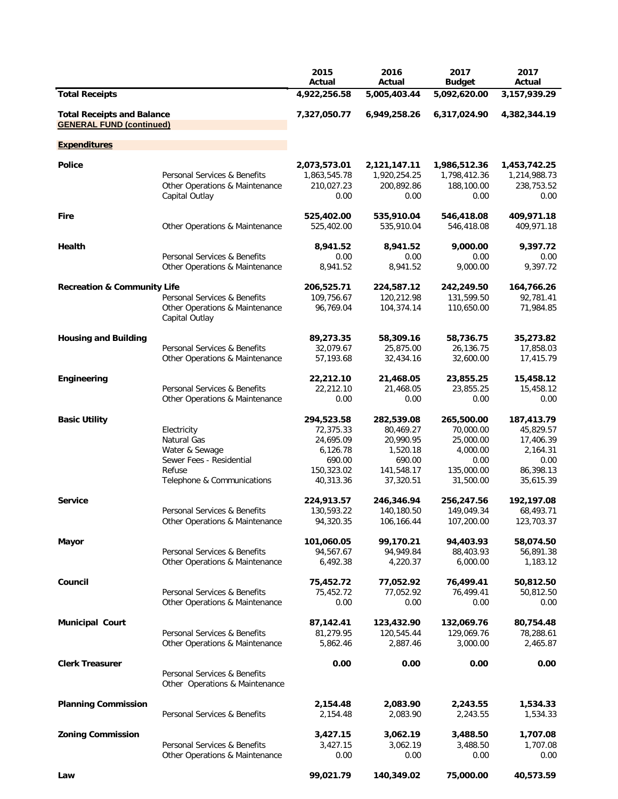|                                                                      |                                                                                                                  | 2015<br>Actual                                                                        | 2016<br>Actual                                                                        | 2017<br><b>Budget</b>                                                               | 2017<br>Actual                                                                     |
|----------------------------------------------------------------------|------------------------------------------------------------------------------------------------------------------|---------------------------------------------------------------------------------------|---------------------------------------------------------------------------------------|-------------------------------------------------------------------------------------|------------------------------------------------------------------------------------|
| <b>Total Receipts</b>                                                |                                                                                                                  | 4,922,256.58                                                                          | 5,005,403.44                                                                          | 5,092,620.00                                                                        | 3,157,939.29                                                                       |
| <b>Total Receipts and Balance</b><br><b>GENERAL FUND (continued)</b> |                                                                                                                  | 7,327,050.77                                                                          | 6,949,258.26                                                                          | 6,317,024.90                                                                        | 4,382,344.19                                                                       |
| <b>Expenditures</b>                                                  |                                                                                                                  |                                                                                       |                                                                                       |                                                                                     |                                                                                    |
| <b>Police</b>                                                        | Personal Services & Benefits<br>Other Operations & Maintenance<br>Capital Outlay                                 | 2,073,573.01<br>1,863,545.78<br>210,027.23<br>0.00                                    | 2,121,147.11<br>1,920,254.25<br>200,892.86<br>0.00                                    | 1,986,512.36<br>1,798,412.36<br>188,100.00<br>0.00                                  | 1,453,742.25<br>1,214,988.73<br>238,753.52<br>0.00                                 |
| Fire                                                                 | Other Operations & Maintenance                                                                                   | 525,402.00<br>525,402.00                                                              | 535,910.04<br>535,910.04                                                              | 546,418.08<br>546,418.08                                                            | 409,971.18<br>409,971.18                                                           |
| Health                                                               | Personal Services & Benefits<br>Other Operations & Maintenance                                                   | 8,941.52<br>0.00<br>8,941.52                                                          | 8,941.52<br>0.00<br>8,941.52                                                          | 9,000.00<br>0.00<br>9,000.00                                                        | 9,397.72<br>0.00<br>9,397.72                                                       |
| <b>Recreation &amp; Community Life</b>                               | Personal Services & Benefits<br>Other Operations & Maintenance<br>Capital Outlay                                 | 206,525.71<br>109,756.67<br>96,769.04                                                 | 224,587.12<br>120,212.98<br>104,374.14                                                | 242,249.50<br>131,599.50<br>110,650.00                                              | 164,766.26<br>92,781.41<br>71,984.85                                               |
| <b>Housing and Building</b>                                          | Personal Services & Benefits<br>Other Operations & Maintenance                                                   | 89,273.35<br>32,079.67<br>57,193.68                                                   | 58,309.16<br>25,875.00<br>32,434.16                                                   | 58,736.75<br>26,136.75<br>32,600.00                                                 | 35,273.82<br>17,858.03<br>17,415.79                                                |
| Engineering                                                          | Personal Services & Benefits<br>Other Operations & Maintenance                                                   | 22,212.10<br>22,212.10<br>0.00                                                        | 21,468.05<br>21,468.05<br>0.00                                                        | 23,855.25<br>23,855.25<br>0.00                                                      | 15,458.12<br>15,458.12<br>0.00                                                     |
| <b>Basic Utility</b>                                                 | Electricity<br>Natural Gas<br>Water & Sewage<br>Sewer Fees - Residential<br>Refuse<br>Telephone & Communications | 294,523.58<br>72,375.33<br>24,695.09<br>6,126.78<br>690.00<br>150,323.02<br>40,313.36 | 282,539.08<br>80,469.27<br>20,990.95<br>1,520.18<br>690.00<br>141,548.17<br>37,320.51 | 265,500.00<br>70,000.00<br>25,000.00<br>4,000.00<br>0.00<br>135,000.00<br>31,500.00 | 187,413.79<br>45,829.57<br>17,406.39<br>2,164.31<br>0.00<br>86,398.13<br>35,615.39 |
| <b>Service</b>                                                       | Personal Services & Benefits<br>Other Operations & Maintenance                                                   | 224,913.57<br>130,593.22<br>94,320.35                                                 | 246,346.94<br>140,180.50<br>106,166.44                                                | 256,247.56<br>149,049.34<br>107,200.00                                              | 192,197.08<br>68,493.71<br>123,703.37                                              |
| Mayor                                                                | Personal Services & Benefits<br>Other Operations & Maintenance                                                   | 101,060.05<br>94,567.67<br>6,492.38                                                   | 99,170.21<br>94,949.84<br>4,220.37                                                    | 94,403.93<br>88,403.93<br>6,000.00                                                  | 58,074.50<br>56,891.38<br>1,183.12                                                 |
| Council                                                              | Personal Services & Benefits<br>Other Operations & Maintenance                                                   | 75,452.72<br>75,452.72<br>0.00                                                        | 77,052.92<br>77,052.92<br>0.00                                                        | 76,499.41<br>76,499.41<br>0.00                                                      | 50,812.50<br>50,812.50<br>0.00                                                     |
| <b>Municipal Court</b>                                               | Personal Services & Benefits<br>Other Operations & Maintenance                                                   | 87,142.41<br>81,279.95<br>5,862.46                                                    | 123,432.90<br>120,545.44<br>2,887.46                                                  | 132,069.76<br>129,069.76<br>3,000.00                                                | 80,754.48<br>78,288.61<br>2,465.87                                                 |
| <b>Clerk Treasurer</b>                                               | Personal Services & Benefits<br>Other Operations & Maintenance                                                   | 0.00                                                                                  | 0.00                                                                                  | 0.00                                                                                | 0.00                                                                               |
| <b>Planning Commission</b>                                           | Personal Services & Benefits                                                                                     | 2,154.48<br>2,154.48                                                                  | 2,083.90<br>2,083.90                                                                  | 2,243.55<br>2,243.55                                                                | 1,534.33<br>1,534.33                                                               |
| <b>Zoning Commission</b>                                             | Personal Services & Benefits<br>Other Operations & Maintenance                                                   | 3,427.15<br>3,427.15<br>0.00                                                          | 3,062.19<br>3,062.19<br>0.00                                                          | 3,488.50<br>3,488.50<br>0.00                                                        | 1,707.08<br>1,707.08<br>0.00                                                       |
| Law                                                                  |                                                                                                                  | 99,021.79                                                                             | 140,349.02                                                                            | 75,000.00                                                                           | 40,573.59                                                                          |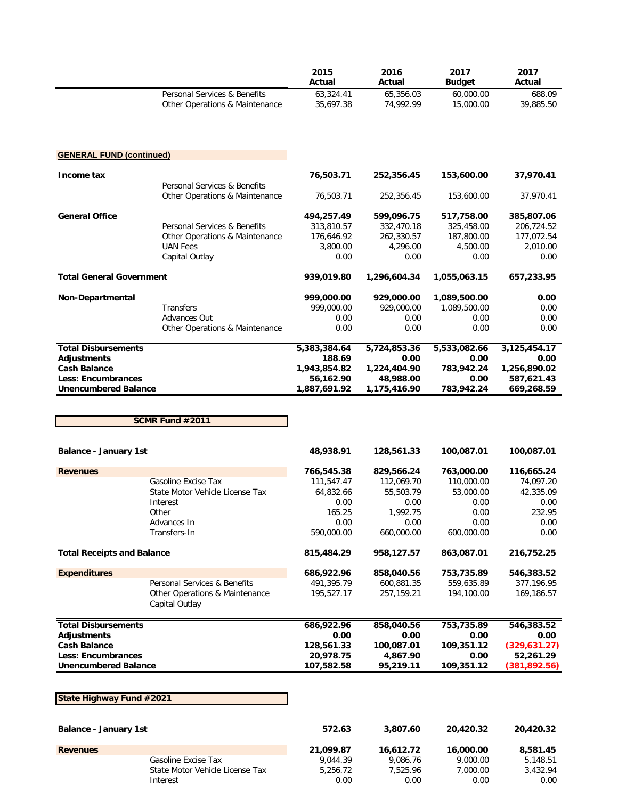|                                 |                                           | 2015<br>Actual | 2016<br>Actual | 2017<br><b>Budget</b> | 2017<br>Actual |
|---------------------------------|-------------------------------------------|----------------|----------------|-----------------------|----------------|
|                                 | Personal Services & Benefits              | 63,324.41      | 65,356.03      | 60,000.00             | 688.09         |
|                                 | <b>Other Operations &amp; Maintenance</b> | 35,697.38      | 74,992.99      | 15,000.00             | 39,885.50      |
|                                 |                                           |                |                |                       |                |
| <b>GENERAL FUND (continued)</b> |                                           |                |                |                       |                |
| Income tax                      |                                           | 76,503.71      | 252,356.45     | 153,600.00            | 37,970.41      |
|                                 | Personal Services & Benefits              |                |                |                       |                |
|                                 | Other Operations & Maintenance            | 76,503.71      | 252,356.45     | 153,600.00            | 37,970.41      |
| <b>General Office</b>           |                                           | 494,257.49     | 599,096.75     | 517,758.00            | 385,807.06     |
|                                 | Personal Services & Benefits              | 313,810.57     | 332,470.18     | 325,458.00            | 206,724.52     |
|                                 | Other Operations & Maintenance            | 176,646.92     | 262,330.57     | 187,800.00            | 177,072.54     |
|                                 | <b>UAN Fees</b>                           | 3,800.00       | 4.296.00       | 4,500.00              | 2,010.00       |
|                                 | Capital Outlay                            | 0.00           | 0.00           | 0.00                  | 0.00           |
| <b>Total General Government</b> |                                           | 939,019.80     | 1,296,604.34   | 1,055,063.15          | 657,233.95     |
| Non-Departmental                |                                           | 999,000.00     | 929,000.00     | 1,089,500.00          | 0.00           |
|                                 | <b>Transfers</b>                          | 999.000.00     | 929,000.00     | 1,089,500.00          | 0.00           |
|                                 | <b>Advances Out</b>                       | 0.00           | 0.00           | 0.00                  | 0.00           |
|                                 | Other Operations & Maintenance            | 0.00           | 0.00           | 0.00                  | 0.00           |
| <b>Total Disbursements</b>      |                                           | 5,383,384.64   | 5,724,853.36   | 5,533,082.66          | 3,125,454.17   |
| <b>Adjustments</b>              |                                           | 188.69         | 0.00           | 0.00                  | 0.00           |
| <b>Cash Balance</b>             |                                           | 1,943,854.82   | 1,224,404.90   | 783,942.24            | 1,256,890.02   |
| <b>Less: Encumbrances</b>       |                                           | 56,162.90      | 48,988.00      | 0.00                  | 587,621.43     |
| <b>Unencumbered Balance</b>     |                                           | 1,887,691.92   | 1,175,416.90   | 783,942.24            | 669,268.59     |

**SCMR Fund #2011**

| <b>Balance - January 1st</b>      |                                                  | 48.938.91  | 128.561.33 | 100.087.01 | 100,087.01    |
|-----------------------------------|--------------------------------------------------|------------|------------|------------|---------------|
| <b>Revenues</b>                   |                                                  | 766,545.38 | 829,566.24 | 763,000.00 | 116,665.24    |
|                                   | Gasoline Excise Tax                              | 111,547.47 | 112,069.70 | 110,000.00 | 74,097.20     |
|                                   | State Motor Vehicle License Tax                  | 64.832.66  | 55,503.79  | 53,000.00  | 42,335.09     |
|                                   | Interest                                         | 0.00       | 0.00       | 0.00       | 0.00          |
|                                   | Other                                            | 165.25     | 1,992.75   | 0.00       | 232.95        |
|                                   | Advances In                                      | 0.00       | 0.00       | 0.00       | 0.00          |
|                                   | Transfers-In                                     | 590,000.00 | 660,000.00 | 600,000.00 | 0.00          |
| <b>Total Receipts and Balance</b> |                                                  | 815,484.29 | 958,127.57 | 863,087.01 | 216,752.25    |
| <b>Expenditures</b>               |                                                  | 686,922.96 | 858,040.56 | 753,735.89 | 546,383.52    |
|                                   | Personal Services & Benefits                     | 491,395.79 | 600,881.35 | 559,635.89 | 377,196.95    |
|                                   | Other Operations & Maintenance<br>Capital Outlay | 195,527.17 | 257,159.21 | 194,100.00 | 169,186.57    |
| <b>Total Disbursements</b>        |                                                  | 686,922.96 | 858,040.56 | 753,735.89 | 546,383.52    |
| <b>Adjustments</b>                |                                                  | 0.00       | 0.00       | 0.00       | 0.00          |
| <b>Cash Balance</b>               |                                                  | 128,561.33 | 100,087.01 | 109,351.12 | (329, 631.27) |
| <b>Less: Encumbrances</b>         |                                                  | 20,978.75  | 4,867.90   | 0.00       | 52,261.29     |
| <b>Unencumbered Balance</b>       |                                                  | 107,582.58 | 95,219.11  | 109,351.12 | (381, 892.56) |
|                                   |                                                  |            |            |            |               |
| State Highway Fund #2021          |                                                  |            |            |            |               |
| <b>Balance - January 1st</b>      |                                                  | 572.63     | 3,807.60   | 20,420.32  | 20,420.32     |

| <b>Revenues</b> |                                 | 21.099.87 | 16.612.72 | 16,000.00 | 8,581.45 |
|-----------------|---------------------------------|-----------|-----------|-----------|----------|
|                 | Gasoline Excise Tax             | 9.044.39  | 9.086.76  | 9.000.00  | 5,148.51 |
|                 | State Motor Vehicle License Tax | 5.256.72  | 7.525.96  | 7.000.00  | 3,432.94 |
|                 | Interest                        | 0.00      | 0.00      | 0.00      | 0.00     |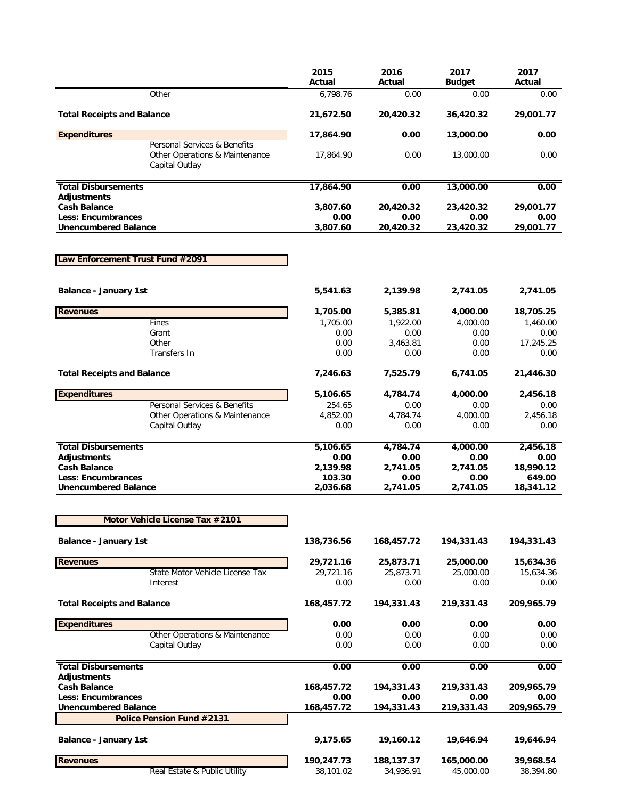|                                                                                  | 2015<br>Actual          | 2016<br>Actual          | 2017<br><b>Budget</b>   | 2017<br>Actual         |
|----------------------------------------------------------------------------------|-------------------------|-------------------------|-------------------------|------------------------|
| Other                                                                            | 6,798.76                | 0.00                    | 0.00                    | 0.00                   |
| <b>Total Receipts and Balance</b>                                                | 21,672.50               | 20,420.32               | 36,420.32               | 29,001.77              |
| <b>Expenditures</b>                                                              | 17,864.90               | 0.00                    | 13,000.00               | 0.00                   |
| Personal Services & Benefits<br>Other Operations & Maintenance<br>Capital Outlay | 17,864.90               | 0.00                    | 13,000.00               | 0.00                   |
| <b>Total Disbursements</b><br><b>Adjustments</b>                                 | 17,864.90               | 0.00                    | 13,000.00               | 0.00                   |
| <b>Cash Balance</b>                                                              | 3,807.60                | 20,420.32               | 23,420.32               | 29,001.77              |
| <b>Less: Encumbrances</b>                                                        | 0.00                    | 0.00                    | 0.00                    | 0.00                   |
| <b>Unencumbered Balance</b>                                                      | 3,807.60                | 20,420.32               | 23,420.32               | 29,001.77              |
| Law Enforcement Trust Fund #2091                                                 |                         |                         |                         |                        |
| <b>Balance - January 1st</b>                                                     | 5,541.63                | 2,139.98                | 2,741.05                | 2,741.05               |
| <b>Revenues</b>                                                                  | 1,705.00                | 5,385.81                | 4,000.00                | 18,705.25              |
| Fines                                                                            | 1,705.00                | 1,922.00                | 4,000.00                | 1,460.00               |
| Grant<br>Other                                                                   | 0.00<br>0.00            | 0.00<br>3,463.81        | 0.00<br>0.00            | 0.00<br>17,245.25      |
| Transfers In                                                                     | 0.00                    | 0.00                    | 0.00                    | 0.00                   |
| <b>Total Receipts and Balance</b>                                                | 7,246.63                | 7,525.79                | 6,741.05                | 21,446.30              |
| <b>Expenditures</b>                                                              | 5,106.65                | 4,784.74                | 4,000.00                | 2,456.18               |
| Personal Services & Benefits                                                     | 254.65                  | 0.00                    | 0.00                    | 0.00                   |
| Other Operations & Maintenance<br>Capital Outlay                                 | 4,852.00<br>0.00        | 4,784.74<br>0.00        | 4,000.00<br>0.00        | 2,456.18<br>0.00       |
|                                                                                  |                         |                         |                         |                        |
| <b>Total Disbursements</b><br><b>Adjustments</b>                                 | 5,106.65<br>0.00        | 4,784.74<br>0.00        | 4,000.00<br>0.00        | 2,456.18<br>0.00       |
| <b>Cash Balance</b>                                                              | 2,139.98                | 2,741.05                | 2,741.05                | 18,990.12              |
| <b>Less: Encumbrances</b><br><b>Unencumbered Balance</b>                         | 103.30<br>2,036.68      | 0.00<br>2,741.05        | 0.00<br>2,741.05        | 649.00<br>18,341.12    |
|                                                                                  |                         |                         |                         |                        |
| Motor Vehicle License Tax #2101                                                  |                         |                         |                         |                        |
| <b>Balance - January 1st</b>                                                     | 138,736.56              | 168,457.72              | 194,331.43              | 194,331.43             |
| <b>Revenues</b>                                                                  | 29,721.16               | 25,873.71               | 25,000.00               | 15,634.36              |
| State Motor Vehicle License Tax                                                  | 29,721.16               | 25,873.71               | 25,000.00               | 15,634.36              |
| Interest                                                                         | 0.00                    | 0.00                    | 0.00                    | 0.00                   |
| <b>Total Receipts and Balance</b>                                                | 168,457.72              | 194,331.43              | 219,331.43              | 209,965.79             |
| <b>Expenditures</b>                                                              | 0.00                    | 0.00                    | 0.00                    | 0.00                   |
| Other Operations & Maintenance<br>Capital Outlay                                 | 0.00<br>0.00            | 0.00<br>0.00            | 0.00<br>0.00            | 0.00<br>0.00           |
|                                                                                  |                         |                         |                         |                        |
| <b>Total Disbursements</b><br><b>Adjustments</b>                                 | 0.00                    | 0.00                    | 0.00                    | 0.00                   |
| <b>Cash Balance</b>                                                              | 168,457.72              | 194,331.43              | 219,331.43              | 209,965.79             |
| <b>Less: Encumbrances</b><br><b>Unencumbered Balance</b>                         | 0.00<br>168,457.72      | 0.00<br>194,331.43      | 0.00<br>219,331.43      | 0.00<br>209,965.79     |
| Police Pension Fund #2131                                                        |                         |                         |                         |                        |
| <b>Balance - January 1st</b>                                                     | 9,175.65                | 19,160.12               | 19,646.94               | 19,646.94              |
|                                                                                  |                         |                         |                         |                        |
| <b>Revenues</b><br>Real Estate & Public Utility                                  | 190,247.73<br>38,101.02 | 188,137.37<br>34,936.91 | 165,000.00<br>45,000.00 | 39,968.54<br>38,394.80 |
|                                                                                  |                         |                         |                         |                        |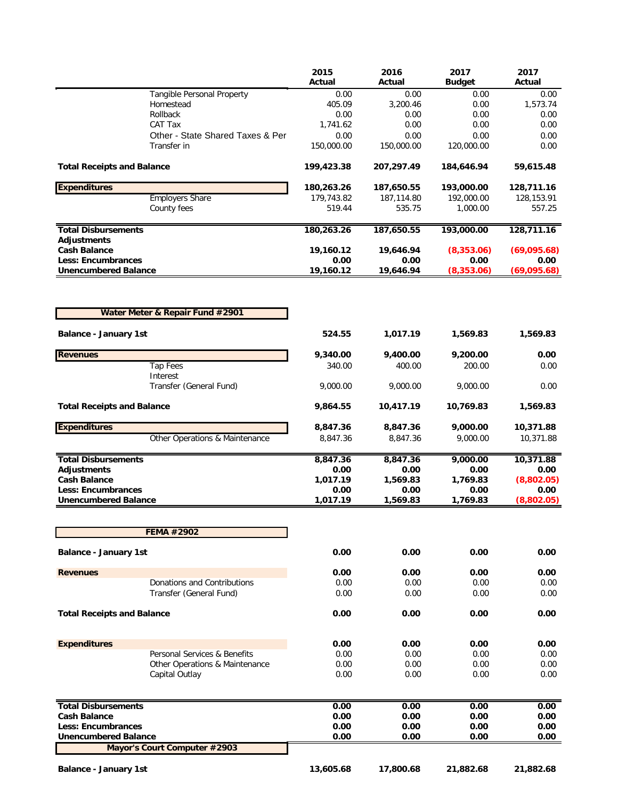|                                                  |                                  | 2015<br>Actual   | 2016<br>Actual | 2017<br><b>Budget</b> | 2017<br>Actual |
|--------------------------------------------------|----------------------------------|------------------|----------------|-----------------------|----------------|
|                                                  | Tangible Personal Property       | 0.00             | 0.00           | 0.00                  | 0.00           |
|                                                  | Homestead<br>Rollback            | 405.09           | 3,200.46       | 0.00                  | 1,573.74       |
|                                                  | CAT Tax                          | 0.00<br>1,741.62 | 0.00<br>0.00   | 0.00<br>0.00          | 0.00<br>0.00   |
|                                                  | Other - State Shared Taxes & Per | 0.00             | 0.00           | 0.00                  | 0.00           |
|                                                  | Transfer in                      | 150,000.00       | 150,000.00     | 120,000.00            | 0.00           |
| <b>Total Receipts and Balance</b>                |                                  | 199,423.38       | 207,297.49     | 184,646.94            | 59,615.48      |
| <b>Expenditures</b>                              |                                  | 180,263.26       | 187,650.55     | 193,000.00            | 128,711.16     |
|                                                  | <b>Employers Share</b>           | 179,743.82       | 187,114.80     | 192,000.00            | 128,153.91     |
|                                                  | County fees                      | 519.44           | 535.75         | 1,000.00              | 557.25         |
| <b>Total Disbursements</b><br><b>Adjustments</b> |                                  | 180,263.26       | 187,650.55     | 193,000.00            | 128,711.16     |
| <b>Cash Balance</b>                              |                                  | 19,160.12        | 19,646.94      | (8, 353.06)           | (69,095.68)    |
| <b>Less: Encumbrances</b>                        |                                  | 0.00             | 0.00           | 0.00                  | 0.00           |
| <b>Unencumbered Balance</b>                      |                                  | 19,160.12        | 19,646.94      | (8,353.06)            | (69,095.68)    |
|                                                  |                                  |                  |                |                       |                |
|                                                  | Water Meter & Repair Fund #2901  |                  |                |                       |                |
| <b>Balance - January 1st</b>                     |                                  | 524.55           | 1,017.19       | 1,569.83              | 1,569.83       |
| <b>Revenues</b>                                  |                                  | 9,340.00         | 9,400.00       | 9,200.00              | 0.00           |
|                                                  | <b>Tap Fees</b><br>Interest      | 340.00           | 400.00         | 200.00                | 0.00           |
|                                                  | Transfer (General Fund)          | 9,000.00         | 9,000.00       | 9,000.00              | 0.00           |
| <b>Total Receipts and Balance</b>                |                                  | 9,864.55         | 10,417.19      | 10,769.83             | 1,569.83       |
| <b>Expenditures</b>                              |                                  | 8,847.36         | 8,847.36       | 9,000.00              | 10,371.88      |
|                                                  | Other Operations & Maintenance   | 8,847.36         | 8,847.36       | 9,000.00              | 10,371.88      |
| <b>Total Disbursements</b>                       |                                  | 8,847.36         | 8,847.36       | 9,000.00              | 10,371.88      |
| <b>Adjustments</b>                               |                                  | 0.00             | 0.00           | 0.00                  | 0.00           |
| <b>Cash Balance</b>                              |                                  | 1,017.19         | 1,569.83       | 1,769.83              | (8,802.05)     |
| <b>Less: Encumbrances</b>                        |                                  | 0.00             | 0.00           | 0.00                  | 0.00           |
| <b>Unencumbered Balance</b>                      |                                  | 1,017.19         | 1,569.83       | 1,769.83              | (8,802.05)     |
|                                                  | <b>FEMA #2902</b>                |                  |                |                       |                |
| <b>Balance - January 1st</b>                     |                                  | 0.00             | 0.00           | 0.00                  | 0.00           |
|                                                  |                                  |                  |                |                       |                |
| <b>Revenues</b>                                  | Donations and Contributions      | 0.00             | 0.00           | 0.00                  | 0.00           |
|                                                  | Transfer (General Fund)          | 0.00<br>0.00     | 0.00<br>0.00   | 0.00<br>0.00          | 0.00<br>0.00   |
| <b>Total Receipts and Balance</b>                |                                  | 0.00             | 0.00           | 0.00                  | 0.00           |
|                                                  |                                  |                  |                |                       |                |
| <b>Expenditures</b>                              |                                  | 0.00             | 0.00           | 0.00                  | 0.00           |
|                                                  | Personal Services & Benefits     | 0.00             | 0.00           | 0.00                  | 0.00           |
|                                                  | Other Operations & Maintenance   | 0.00             | 0.00           | 0.00                  | 0.00           |
|                                                  | Capital Outlay                   | 0.00             | 0.00           | 0.00                  | 0.00           |
| <b>Total Disbursements</b>                       |                                  | 0.00             | 0.00           | 0.00                  | 0.00           |
| <b>Cash Balance</b>                              |                                  | 0.00             | 0.00           | 0.00                  | 0.00           |
| <b>Less: Encumbrances</b>                        |                                  | 0.00             | 0.00           | 0.00                  | 0.00           |
| <b>Unencumbered Balance</b>                      | Mayor's Court Computer #2903     | 0.00             | 0.00           | 0.00                  | 0.00           |
|                                                  |                                  |                  |                |                       |                |
| <b>Balance - January 1st</b>                     |                                  | 13,605.68        | 17,800.68      | 21,882.68             | 21,882.68      |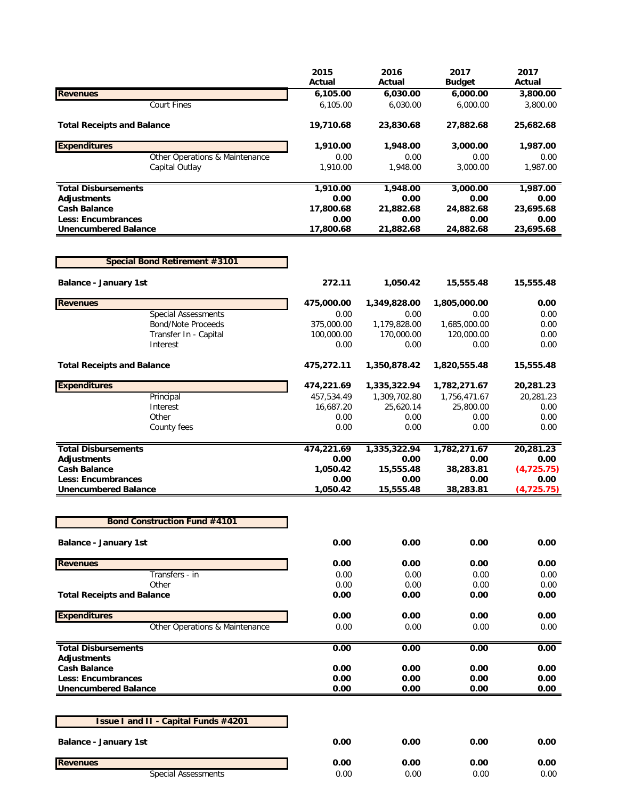|                                                         | 2015                 | 2016                 | 2017                 | 2017<br>Actual       |
|---------------------------------------------------------|----------------------|----------------------|----------------------|----------------------|
|                                                         | Actual               | Actual               | <b>Budget</b>        |                      |
| <b>Revenues</b><br><b>Court Fines</b>                   | 6,105.00<br>6,105.00 | 6,030.00<br>6,030.00 | 6,000.00<br>6,000.00 | 3,800.00<br>3,800.00 |
|                                                         |                      |                      |                      |                      |
| <b>Total Receipts and Balance</b>                       | 19,710.68            | 23,830.68            | 27,882.68            | 25,682.68            |
| <b>Expenditures</b>                                     | 1,910.00             | 1,948.00             | 3,000.00             | 1,987.00             |
| Other Operations & Maintenance                          | 0.00                 | 0.00                 | 0.00                 | 0.00                 |
| Capital Outlay                                          | 1,910.00             | 1,948.00             | 3,000.00             | 1,987.00             |
| <b>Total Disbursements</b>                              | 1,910.00             | 1,948.00             | 3,000.00             | 1,987.00             |
| <b>Adjustments</b>                                      | 0.00                 | 0.00                 | 0.00                 | 0.00                 |
| <b>Cash Balance</b>                                     | 17,800.68<br>0.00    | 21,882.68<br>0.00    | 24,882.68            | 23,695.68            |
| <b>Less: Encumbrances</b>                               |                      |                      | 0.00                 | 0.00<br>23,695.68    |
| <b>Unencumbered Balance</b>                             | 17,800.68            | 21,882.68            | 24,882.68            |                      |
| Special Bond Retirement #3101                           |                      |                      |                      |                      |
| <b>Balance - January 1st</b>                            | 272.11               | 1,050.42             | 15,555.48            | 15,555.48            |
|                                                         |                      |                      |                      |                      |
| <b>Revenues</b>                                         | 475,000.00<br>0.00   | 1,349,828.00<br>0.00 | 1,805,000.00<br>0.00 | 0.00<br>0.00         |
| <b>Special Assessments</b><br><b>Bond/Note Proceeds</b> | 375,000.00           | 1,179,828.00         | 1,685,000.00         | 0.00                 |
| Transfer In - Capital                                   | 100,000.00           | 170,000.00           | 120,000.00           | 0.00                 |
| Interest                                                | 0.00                 | 0.00                 | 0.00                 | 0.00                 |
| <b>Total Receipts and Balance</b>                       | 475,272.11           | 1,350,878.42         | 1,820,555.48         | 15,555.48            |
| <b>Expenditures</b>                                     | 474,221.69           | 1,335,322.94         | 1,782,271.67         | 20,281.23            |
| Principal                                               | 457,534.49           | 1,309,702.80         | 1,756,471.67         | 20,281.23            |
| Interest                                                | 16,687.20            | 25,620.14            | 25,800.00            | 0.00                 |
| Other                                                   | 0.00                 | 0.00                 | 0.00                 | 0.00                 |
| County fees                                             | 0.00                 | 0.00                 | 0.00                 | 0.00                 |
| <b>Total Disbursements</b>                              | 474,221.69           | 1,335,322.94         | 1,782,271.67         | 20,281.23            |
| <b>Adjustments</b>                                      | 0.00                 | 0.00                 | 0.00                 | 0.00                 |
| <b>Cash Balance</b>                                     | 1,050.42             | 15,555.48            | 38,283.81            | (4,725.75)           |
| <b>Less: Encumbrances</b>                               | 0.00                 | 0.00                 | 0.00                 | 0.00                 |
| <b>Unencumbered Balance</b>                             | 1,050.42             | 15,555.48            | 38,283.81            | (4,725.75)           |
| <b>Bond Construction Fund #4101</b>                     |                      |                      |                      |                      |
| <b>Balance - January 1st</b>                            | 0.00                 | 0.00                 | 0.00                 | 0.00                 |
|                                                         |                      |                      |                      |                      |
| <b>Revenues</b>                                         | 0.00                 | 0.00                 | 0.00                 | 0.00                 |
| Transfers - in                                          | 0.00                 | 0.00                 | 0.00                 | 0.00                 |
| Other                                                   | 0.00                 | 0.00                 | 0.00                 | 0.00                 |
| <b>Total Receipts and Balance</b>                       | 0.00                 | 0.00                 | 0.00                 | 0.00                 |
| <b>Expenditures</b>                                     | 0.00                 | 0.00                 | 0.00                 | 0.00                 |
| Other Operations & Maintenance                          | 0.00                 | 0.00                 | 0.00                 | 0.00                 |
| <b>Total Disbursements</b>                              | 0.00                 | 0.00                 | 0.00                 | 0.00                 |
| <b>Adjustments</b><br><b>Cash Balance</b>               | 0.00                 | 0.00                 | 0.00                 | 0.00                 |
| <b>Less: Encumbrances</b>                               | 0.00                 | 0.00                 | 0.00                 | 0.00                 |
| <b>Unencumbered Balance</b>                             | 0.00                 | 0.00                 | 0.00                 | 0.00                 |
|                                                         |                      |                      |                      |                      |
| <b>Issue I and II - Capital Funds #4201</b>             |                      |                      |                      |                      |
| <b>Balance - January 1st</b>                            | 0.00                 | 0.00                 | 0.00                 | 0.00                 |
| <b>Revenues</b>                                         | 0.00                 | 0.00                 | 0.00                 | 0.00                 |
| <b>Special Assessments</b>                              | 0.00                 | 0.00                 | 0.00                 | 0.00                 |
|                                                         |                      |                      |                      |                      |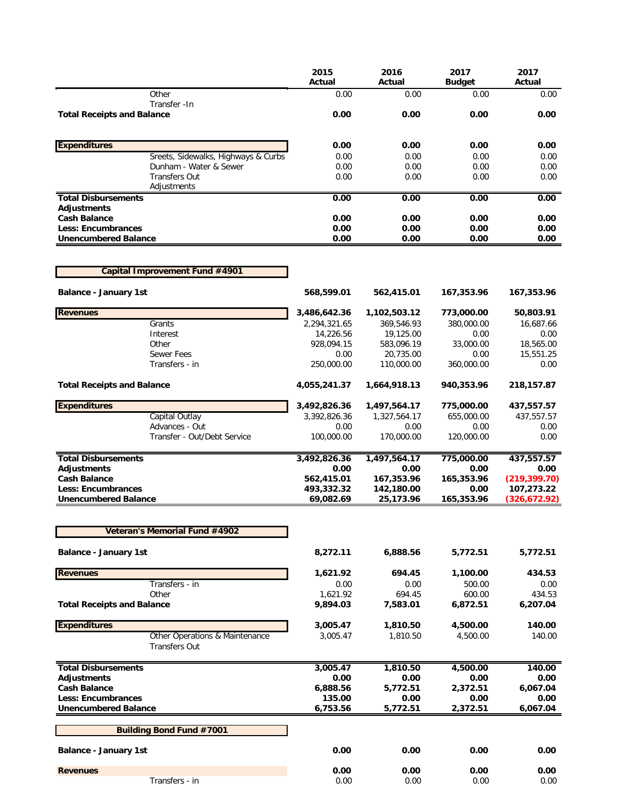|                                                          | 2015<br>Actual          | 2016<br>Actual          | 2017<br><b>Budget</b> | 2017<br>Actual              |
|----------------------------------------------------------|-------------------------|-------------------------|-----------------------|-----------------------------|
| Other<br>Transfer - In                                   | 0.00                    | 0.00                    | 0.00                  | 0.00                        |
| <b>Total Receipts and Balance</b>                        | 0.00                    | 0.00                    | 0.00                  | 0.00                        |
| <b>Expenditures</b>                                      | 0.00                    | 0.00                    | 0.00                  | 0.00                        |
| Sreets, Sidewalks, Highways & Curbs                      | 0.00                    | 0.00                    | 0.00                  | 0.00                        |
| Dunham - Water & Sewer                                   | 0.00                    | 0.00                    | 0.00                  | 0.00                        |
| <b>Transfers Out</b><br>Adjustments                      | 0.00                    | 0.00                    | 0.00                  | 0.00                        |
| <b>Total Disbursements</b>                               | 0.00                    | 0.00                    | 0.00                  | 0.00                        |
| <b>Adjustments</b><br><b>Cash Balance</b>                | 0.00                    | 0.00                    | 0.00                  | 0.00                        |
| <b>Less: Encumbrances</b>                                | 0.00                    | 0.00                    | 0.00                  | 0.00                        |
| <b>Unencumbered Balance</b>                              | 0.00                    | 0.00                    | 0.00                  | 0.00                        |
| Capital Improvement Fund #4901                           |                         |                         |                       |                             |
| <b>Balance - January 1st</b>                             | 568,599.01              | 562,415.01              | 167,353.96            | 167,353.96                  |
| <b>Revenues</b>                                          | 3,486,642.36            | 1,102,503.12            | 773,000.00            | 50,803.91                   |
| Grants                                                   | 2,294,321.65            | 369,546.93              | 380,000.00            | 16,687.66                   |
| Interest                                                 | 14,226.56               | 19,125.00               | 0.00                  | 0.00                        |
| Other                                                    | 928,094.15              | 583,096.19              | 33,000.00             | 18,565.00                   |
| Sewer Fees                                               | 0.00                    | 20,735.00               | 0.00                  | 15,551.25                   |
| Transfers - in                                           | 250,000.00              | 110,000.00              | 360,000.00            | 0.00                        |
| <b>Total Receipts and Balance</b>                        | 4,055,241.37            | 1,664,918.13            | 940,353.96            | 218,157.87                  |
| <b>Expenditures</b>                                      | 3,492,826.36            | 1,497,564.17            | 775,000.00            | 437,557.57                  |
| Capital Outlay                                           | 3,392,826.36            | 1,327,564.17            | 655,000.00            | 437,557.57                  |
| Advances - Out<br>Transfer - Out/Debt Service            | 0.00<br>100,000.00      | 0.00<br>170,000.00      | 0.00<br>120,000.00    | 0.00<br>0.00                |
| <b>Total Disbursements</b>                               | 3,492,826.36            | 1,497,564.17            | 775,000.00            | 437,557.57                  |
| <b>Adjustments</b>                                       | 0.00                    | 0.00                    | 0.00                  | 0.00                        |
| <b>Cash Balance</b>                                      | 562,415.01              | 167,353.96              | 165,353.96            | (219, 399.70)               |
| <b>Less: Encumbrances</b><br><b>Unencumbered Balance</b> | 493,332.32<br>69,082.69 | 142,180.00<br>25,173.96 | 0.00<br>165,353.96    | 107,273.22<br>(326, 672.92) |
|                                                          |                         |                         |                       |                             |
| Veteran's Memorial Fund #4902                            |                         |                         |                       |                             |
| <b>Balance - January 1st</b>                             | 8,272.11                | 6,888.56                | 5,772.51              | 5,772.51                    |
| <b>Revenues</b>                                          | 1,621.92                | 694.45                  | 1,100.00              | 434.53                      |
| Transfers - in                                           | 0.00                    | 0.00                    | 500.00                | 0.00                        |
| Other                                                    | 1,621.92                | 694.45                  | 600.00                | 434.53                      |
| <b>Total Receipts and Balance</b>                        | 9,894.03                | 7,583.01                | 6,872.51              | 6,207.04                    |
| <b>Expenditures</b>                                      | 3,005.47                | 1,810.50                | 4,500.00              | 140.00                      |
| Other Operations & Maintenance<br><b>Transfers Out</b>   | 3,005.47                | 1,810.50                | 4,500.00              | 140.00                      |
| <b>Total Disbursements</b>                               | 3,005.47                | 1,810.50                | 4,500.00              | 140.00                      |
| <b>Adjustments</b>                                       | 0.00                    | 0.00                    | 0.00                  | 0.00                        |
| <b>Cash Balance</b>                                      | 6,888.56                | 5,772.51                | 2,372.51              | 6,067.04                    |
| <b>Less: Encumbrances</b><br><b>Unencumbered Balance</b> | 135.00<br>6,753.56      | 0.00<br>5,772.51        | 0.00<br>2,372.51      | 0.00<br>6,067.04            |
| <b>Building Bond Fund #7001</b>                          |                         |                         |                       |                             |
|                                                          |                         |                         |                       |                             |
| <b>Balance - January 1st</b>                             | 0.00                    | 0.00                    | 0.00                  | 0.00                        |
| <b>Revenues</b><br>Transfers - in                        | 0.00<br>0.00            | 0.00<br>0.00            | 0.00<br>0.00          | 0.00<br>0.00                |
|                                                          |                         |                         |                       |                             |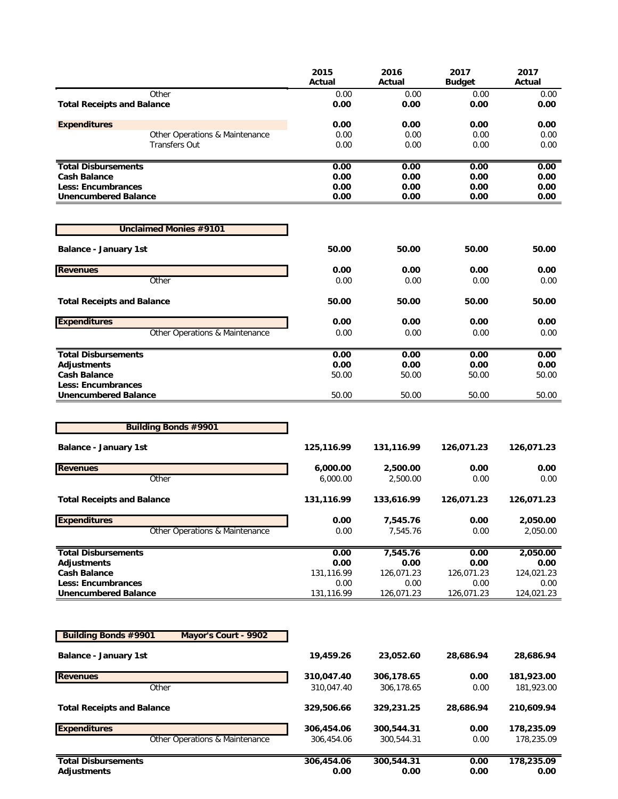|                                                     | 2015<br>Actual     | 2016<br>Actual     | 2017<br><b>Budget</b> | 2017<br>Actual     |
|-----------------------------------------------------|--------------------|--------------------|-----------------------|--------------------|
| Other<br><b>Total Receipts and Balance</b>          | 0.00<br>0.00       | 0.00<br>0.00       | 0.00<br>0.00          | 0.00<br>0.00       |
| <b>Expenditures</b>                                 | 0.00               | 0.00               | 0.00                  | 0.00               |
| Other Operations & Maintenance                      | 0.00               | 0.00               | 0.00                  | 0.00               |
| <b>Transfers Out</b>                                | 0.00               | 0.00               | 0.00                  | 0.00               |
| <b>Total Disbursements</b>                          | 0.00               | 0.00               | 0.00                  | 0.00               |
| <b>Cash Balance</b>                                 | 0.00               | 0.00               | 0.00                  | 0.00               |
| <b>Less: Encumbrances</b>                           | 0.00               | 0.00               | 0.00                  | 0.00               |
| <b>Unencumbered Balance</b>                         | 0.00               | 0.00               | 0.00                  | 0.00               |
| <b>Unclaimed Monies #9101</b>                       |                    |                    |                       |                    |
| <b>Balance - January 1st</b>                        | 50.00              | 50.00              | 50.00                 | 50.00              |
| <b>Revenues</b>                                     | 0.00               | 0.00               | 0.00                  | 0.00               |
| Other                                               | 0.00               | 0.00               | 0.00                  | 0.00               |
| <b>Total Receipts and Balance</b>                   | 50.00              | 50.00              | 50.00                 | 50.00              |
| <b>Expenditures</b>                                 | 0.00               | 0.00               | 0.00                  | 0.00               |
| Other Operations & Maintenance                      | 0.00               | 0.00               | 0.00                  | 0.00               |
| <b>Total Disbursements</b>                          | 0.00               | 0.00               | 0.00                  | 0.00               |
| <b>Adjustments</b>                                  | 0.00               | 0.00               | 0.00                  | 0.00               |
| <b>Cash Balance</b><br><b>Less: Encumbrances</b>    | 50.00              | 50.00              | 50.00                 | 50.00              |
| <b>Unencumbered Balance</b>                         | 50.00              | 50.00              | 50.00                 | 50.00              |
| <b>Building Bonds #9901</b>                         |                    |                    |                       |                    |
| <b>Balance - January 1st</b>                        | 125,116.99         | 131,116.99         | 126,071.23            | 126,071.23         |
| <b>Revenues</b>                                     | 6,000.00           | 2,500.00           | 0.00                  | 0.00               |
| Other                                               | 6,000.00           | 2,500.00           | 0.00                  | 0.00               |
| <b>Total Receipts and Balance</b>                   | 131,116.99         | 133,616.99         | 126,071.23            | 126,071.23         |
| <b>Expenditures</b>                                 | 0.00               | 7,545.76           | 0.00                  | 2,050.00           |
| Other Operations & Maintenance                      | 0.00               | 7,545.76           | 0.00                  | 2,050.00           |
| <b>Total Disbursements</b>                          | 0.00               | 7,545.76           | 0.00                  | 2,050.00           |
| <b>Adjustments</b><br><b>Cash Balance</b>           | 0.00<br>131,116.99 | 0.00<br>126,071.23 | 0.00<br>126,071.23    | 0.00<br>124,021.23 |
| <b>Less: Encumbrances</b>                           | 0.00               | 0.00               | 0.00                  | 0.00               |
| <b>Unencumbered Balance</b>                         | 131,116.99         | 126,071.23         | 126,071.23            | 124,021.23         |
|                                                     |                    |                    |                       |                    |
| <b>Building Bonds #9901</b><br>Mayor's Court - 9902 |                    |                    |                       |                    |
| <b>Balance - January 1st</b>                        | 19,459.26          | 23,052.60          | 28,686.94             | 28,686.94          |
| <b>Revenues</b>                                     | 310,047.40         | 306,178.65         | 0.00                  | 181,923.00         |
| Other                                               | 310,047.40         | 306,178.65         | 0.00                  | 181,923.00         |
| <b>Total Receipts and Balance</b>                   | 329,506.66         | 329,231.25         | 28,686.94             | 210,609.94         |
| <b>Expenditures</b>                                 | 306,454.06         | 300,544.31         | 0.00                  | 178,235.09         |
| Other Operations & Maintenance                      | 306,454.06         | 300,544.31         | 0.00                  | 178,235.09         |
| <b>Total Disbursements</b>                          | 306,454.06         | 300,544.31         | 0.00                  | 178,235.09         |
| <b>Adjustments</b>                                  | 0.00               | 0.00               | 0.00                  | 0.00               |